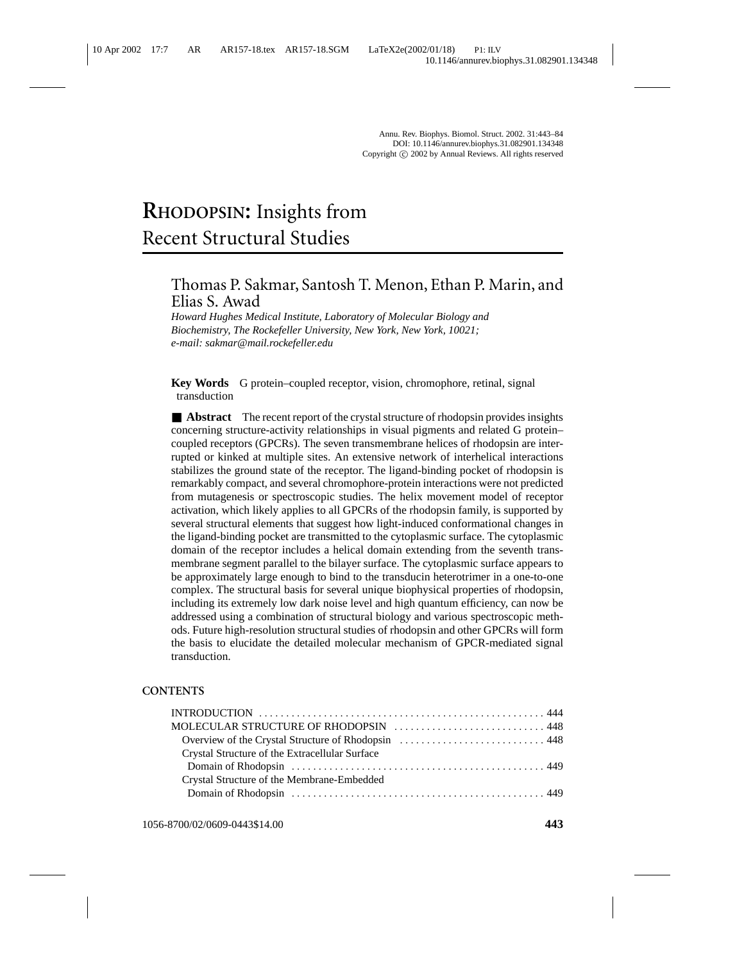# **RHODOPSIN:** Insights from Recent Structural Studies

# Thomas P. Sakmar, Santosh T. Menon, Ethan P. Marin, and Elias S. Awad

*Howard Hughes Medical Institute, Laboratory of Molecular Biology and Biochemistry, The Rockefeller University, New York, New York, 10021; e-mail: sakmar@mail.rockefeller.edu*

**Key Words** G protein–coupled receptor, vision, chromophore, retinal, signal transduction

■ **Abstract** The recent report of the crystal structure of rhodopsin provides insights concerning structure-activity relationships in visual pigments and related G protein– coupled receptors (GPCRs). The seven transmembrane helices of rhodopsin are interrupted or kinked at multiple sites. An extensive network of interhelical interactions stabilizes the ground state of the receptor. The ligand-binding pocket of rhodopsin is remarkably compact, and several chromophore-protein interactions were not predicted from mutagenesis or spectroscopic studies. The helix movement model of receptor activation, which likely applies to all GPCRs of the rhodopsin family, is supported by several structural elements that suggest how light-induced conformational changes in the ligand-binding pocket are transmitted to the cytoplasmic surface. The cytoplasmic domain of the receptor includes a helical domain extending from the seventh transmembrane segment parallel to the bilayer surface. The cytoplasmic surface appears to be approximately large enough to bind to the transducin heterotrimer in a one-to-one complex. The structural basis for several unique biophysical properties of rhodopsin, including its extremely low dark noise level and high quantum efficiency, can now be addressed using a combination of structural biology and various spectroscopic methods. Future high-resolution structural studies of rhodopsin and other GPCRs will form the basis to elucidate the detailed molecular mechanism of GPCR-mediated signal transduction.

#### **CONTENTS**

| Crystal Structure of the Extracellular Surface |  |
|------------------------------------------------|--|
|                                                |  |
| Crystal Structure of the Membrane-Embedded     |  |
|                                                |  |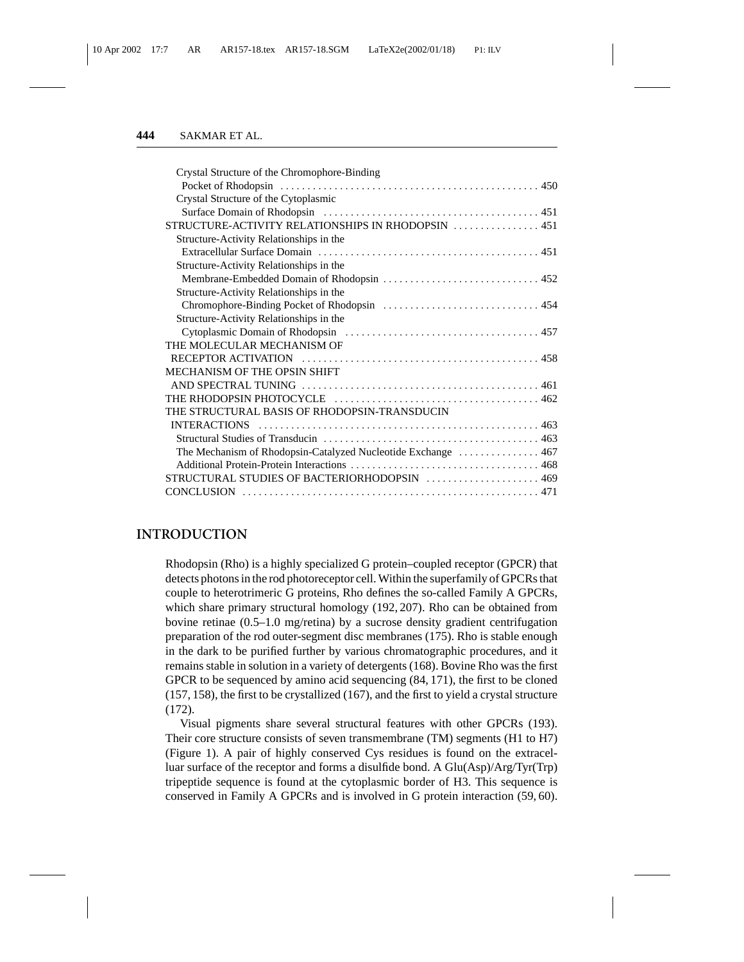| Crystal Structure of the Chromophore-Binding       |  |
|----------------------------------------------------|--|
|                                                    |  |
| Crystal Structure of the Cytoplasmic               |  |
|                                                    |  |
| STRUCTURE-ACTIVITY RELATIONSHIPS IN RHODOPSIN  451 |  |
| Structure-Activity Relationships in the            |  |
|                                                    |  |
| Structure-Activity Relationships in the            |  |
|                                                    |  |
| Structure-Activity Relationships in the            |  |
|                                                    |  |
| Structure-Activity Relationships in the            |  |
|                                                    |  |
| THE MOLECULAR MECHANISM OF                         |  |
|                                                    |  |
| <b>MECHANISM OF THE OPSIN SHIFT</b>                |  |
|                                                    |  |
|                                                    |  |
| THE STRUCTURAL BASIS OF RHODOPSIN-TRANSDUCIN       |  |
|                                                    |  |
|                                                    |  |
|                                                    |  |
|                                                    |  |
| STRUCTURAL STUDIES OF BACTERIORHODOPSIN  469       |  |
|                                                    |  |
|                                                    |  |

#### **INTRODUCTION**

Rhodopsin (Rho) is a highly specialized G protein–coupled receptor (GPCR) that detects photons in the rod photoreceptor cell. Within the superfamily of GPCRs that couple to heterotrimeric G proteins, Rho defines the so-called Family A GPCRs, which share primary structural homology (192, 207). Rho can be obtained from bovine retinae (0.5–1.0 mg/retina) by a sucrose density gradient centrifugation preparation of the rod outer-segment disc membranes (175). Rho is stable enough in the dark to be purified further by various chromatographic procedures, and it remains stable in solution in a variety of detergents (168). Bovine Rho was the first GPCR to be sequenced by amino acid sequencing (84, 171), the first to be cloned (157, 158), the first to be crystallized (167), and the first to yield a crystal structure (172).

Visual pigments share several structural features with other GPCRs (193). Their core structure consists of seven transmembrane (TM) segments (H1 to H7) (Figure 1). A pair of highly conserved Cys residues is found on the extracelluar surface of the receptor and forms a disulfide bond. A Glu(Asp)/Arg/Tyr(Trp) tripeptide sequence is found at the cytoplasmic border of H3. This sequence is conserved in Family A GPCRs and is involved in G protein interaction (59, 60).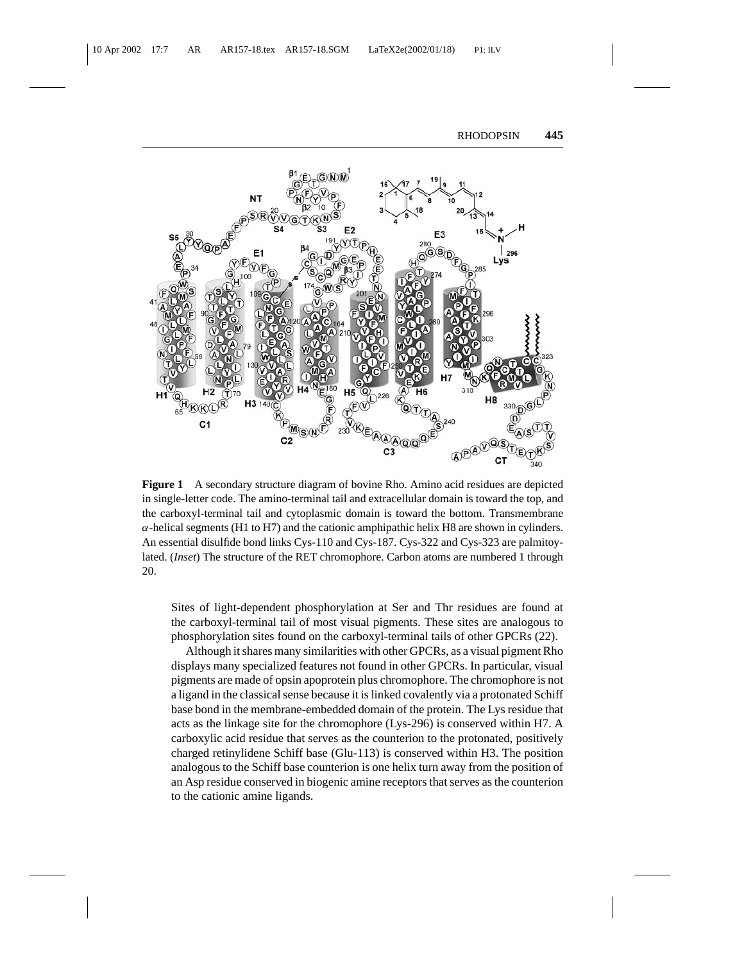

**Figure 1** A secondary structure diagram of bovine Rho. Amino acid residues are depicted in single-letter code. The amino-terminal tail and extracellular domain is toward the top, and the carboxyl-terminal tail and cytoplasmic domain is toward the bottom. Transmembrane  $\alpha$ -helical segments (H1 to H7) and the cationic amphipathic helix H8 are shown in cylinders. An essential disulfide bond links Cys-110 and Cys-187. Cys-322 and Cys-323 are palmitoylated. (*Inset*) The structure of the RET chromophore. Carbon atoms are numbered 1 through 20.

Sites of light-dependent phosphorylation at Ser and Thr residues are found at the carboxyl-terminal tail of most visual pigments. These sites are analogous to phosphorylation sites found on the carboxyl-terminal tails of other GPCRs (22).

Although it shares many similarities with other GPCRs, as a visual pigment Rho displays many specialized features not found in other GPCRs. In particular, visual pigments are made of opsin apoprotein plus chromophore. The chromophore is not a ligand in the classical sense because it is linked covalently via a protonated Schiff base bond in the membrane-embedded domain of the protein. The Lys residue that acts as the linkage site for the chromophore (Lys-296) is conserved within H7. A carboxylic acid residue that serves as the counterion to the protonated, positively charged retinylidene Schiff base (Glu-113) is conserved within H3. The position analogous to the Schiff base counterion is one helix turn away from the position of an Asp residue conserved in biogenic amine receptors that serves as the counterion to the cationic amine ligands.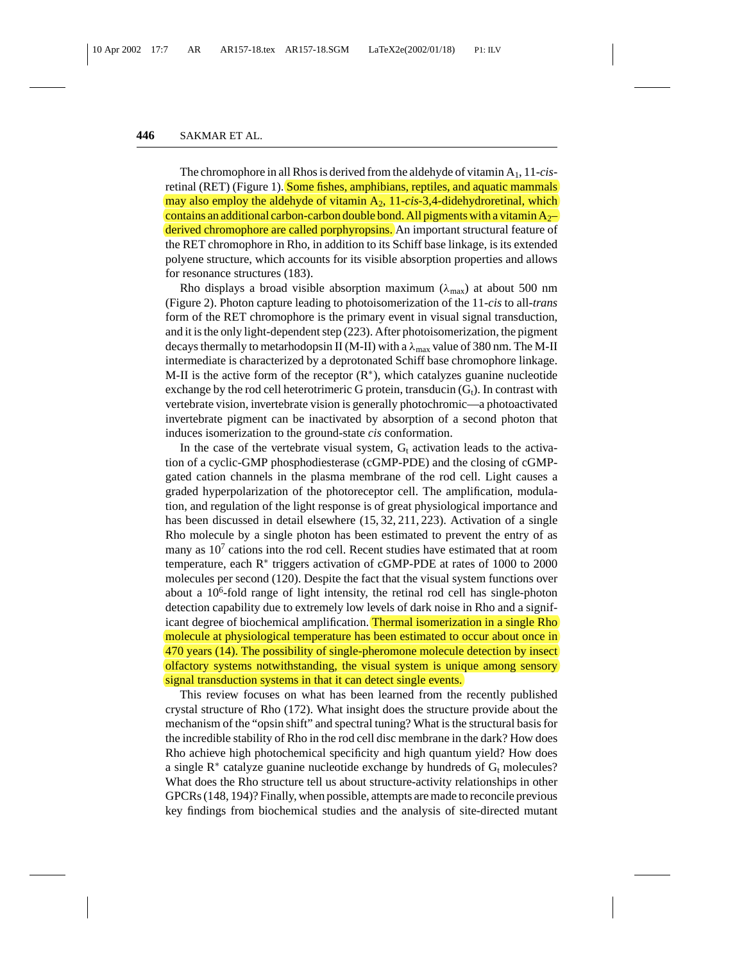The chromophore in all Rhos is derived from the aldehyde of vitamin A<sub>1</sub>, 11-*cis*retinal (RET) (Figure 1). Some fishes, amphibians, reptiles, and aquatic mammals may also employ the aldehyde of vitamin  $A_2$ , 11- $cis$ -3,4-didehydroretinal, which contains an additional carbon-carbon double bond. All pigments with a vitamin  $A_2$ – derived chromophore are called porphyropsins. An important structural feature of the RET chromophore in Rho, in addition to its Schiff base linkage, is its extended polyene structure, which accounts for its visible absorption properties and allows for resonance structures (183).

Rho displays a broad visible absorption maximum ( $\lambda_{\text{max}}$ ) at about 500 nm (Figure 2). Photon capture leading to photoisomerization of the 11-*cis* to all-*trans* form of the RET chromophore is the primary event in visual signal transduction, and it is the only light-dependent step (223). After photoisomerization, the pigment decays thermally to metarhodopsin II (M-II) with a  $\lambda_{\text{max}}$  value of 380 nm. The M-II intermediate is characterized by a deprotonated Schiff base chromophore linkage. M-II is the active form of the receptor  $(R<sup>*</sup>)$ , which catalyzes guanine nucleotide exchange by the rod cell heterotrimeric G protein, transducin  $(G_t)$ . In contrast with vertebrate vision, invertebrate vision is generally photochromic—a photoactivated invertebrate pigment can be inactivated by absorption of a second photon that induces isomerization to the ground-state *cis* conformation.

In the case of the vertebrate visual system,  $G_t$  activation leads to the activation of a cyclic-GMP phosphodiesterase (cGMP-PDE) and the closing of cGMPgated cation channels in the plasma membrane of the rod cell. Light causes a graded hyperpolarization of the photoreceptor cell. The amplification, modulation, and regulation of the light response is of great physiological importance and has been discussed in detail elsewhere (15, 32, 211, 223). Activation of a single Rho molecule by a single photon has been estimated to prevent the entry of as many as  $10<sup>7</sup>$  cations into the rod cell. Recent studies have estimated that at room temperature, each R<sup>∗</sup> triggers activation of cGMP-PDE at rates of 1000 to 2000 molecules per second (120). Despite the fact that the visual system functions over about a  $10<sup>6</sup>$ -fold range of light intensity, the retinal rod cell has single-photon detection capability due to extremely low levels of dark noise in Rho and a significant degree of biochemical amplification. Thermal isomerization in a single Rho molecule at physiological temperature has been estimated to occur about once in 470 years (14). The possibility of single-pheromone molecule detection by insect olfactory systems notwithstanding, the visual system is unique among sensory signal transduction systems in that it can detect single events.

This review focuses on what has been learned from the recently published crystal structure of Rho (172). What insight does the structure provide about the mechanism of the "opsin shift" and spectral tuning? What is the structural basis for the incredible stability of Rho in the rod cell disc membrane in the dark? How does Rho achieve high photochemical specificity and high quantum yield? How does a single  $R^*$  catalyze guanine nucleotide exchange by hundreds of  $G_t$  molecules? What does the Rho structure tell us about structure-activity relationships in other GPCRs (148, 194)? Finally, when possible, attempts are made to reconcile previous key findings from biochemical studies and the analysis of site-directed mutant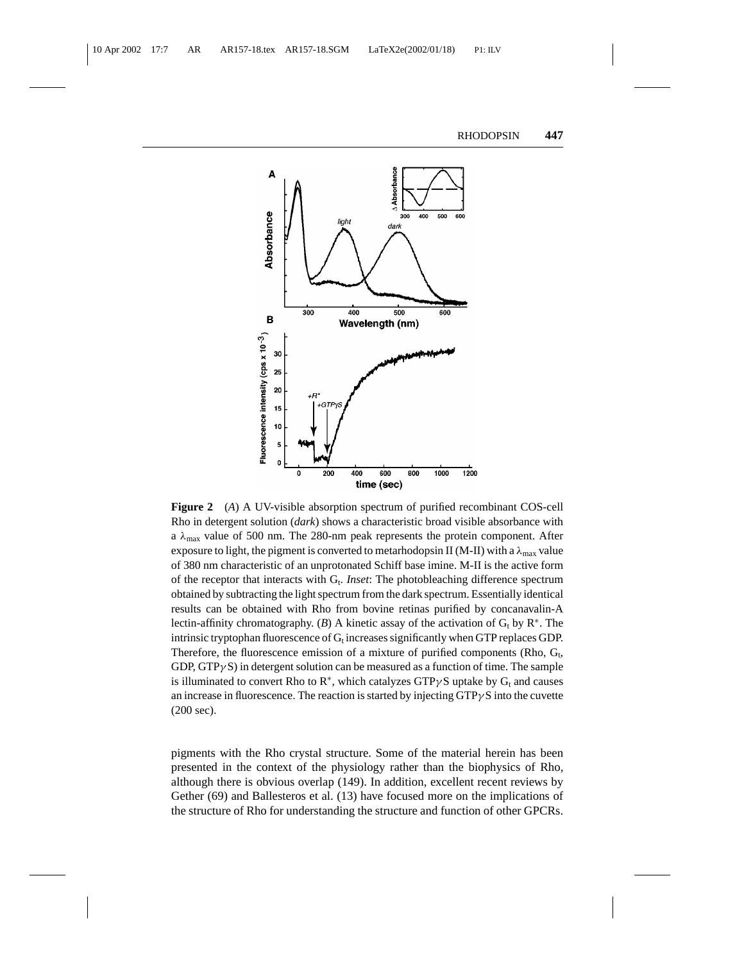

**Figure 2** (*A*) A UV-visible absorption spectrum of purified recombinant COS-cell Rho in detergent solution (*dark*) shows a characteristic broad visible absorbance with a  $\lambda_{\text{max}}$  value of 500 nm. The 280-nm peak represents the protein component. After exposure to light, the pigment is converted to metarhodopsin II (M-II) with a  $\lambda_{\text{max}}$  value of 380 nm characteristic of an unprotonated Schiff base imine. M-II is the active form of the receptor that interacts with G<sub>t</sub>. *Inset*: The photobleaching difference spectrum obtained by subtracting the light spectrum from the dark spectrum. Essentially identical results can be obtained with Rho from bovine retinas purified by concanavalin-A lectin-affinity chromatography. (*B*) A kinetic assay of the activation of  $G_t$  by  $R^*$ . The intrinsic tryptophan fluorescence of  $G_t$  increases significantly when GTP replaces GDP. Therefore, the fluorescence emission of a mixture of purified components (Rho,  $G_t$ , GDP,  $GTP\gamma S$ ) in detergent solution can be measured as a function of time. The sample is illuminated to convert Rho to R<sup>\*</sup>, which catalyzes GTP $\gamma$ S uptake by G<sub>t</sub> and causes an increase in fluorescence. The reaction is started by injecting  $GTP\gamma S$  into the cuvette (200 sec).

pigments with the Rho crystal structure. Some of the material herein has been presented in the context of the physiology rather than the biophysics of Rho, although there is obvious overlap (149). In addition, excellent recent reviews by Gether (69) and Ballesteros et al. (13) have focused more on the implications of the structure of Rho for understanding the structure and function of other GPCRs.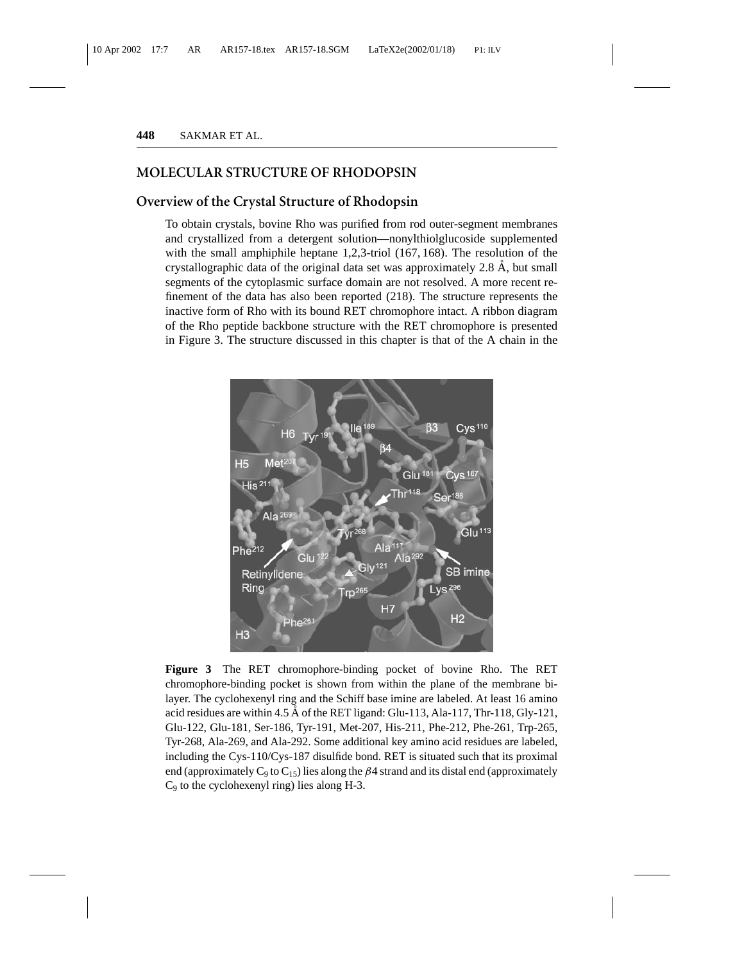### **MOLECULAR STRUCTURE OF RHODOPSIN**

#### **Overview of the Crystal Structure of Rhodopsin**

To obtain crystals, bovine Rho was purified from rod outer-segment membranes and crystallized from a detergent solution—nonylthiolglucoside supplemented with the small amphiphile heptane 1,2,3-triol (167, 168). The resolution of the crystallographic data of the original data set was approximately  $2.8 \text{ Å}$ , but small segments of the cytoplasmic surface domain are not resolved. A more recent refinement of the data has also been reported (218). The structure represents the inactive form of Rho with its bound RET chromophore intact. A ribbon diagram of the Rho peptide backbone structure with the RET chromophore is presented in Figure 3. The structure discussed in this chapter is that of the A chain in the



**Figure 3** The RET chromophore-binding pocket of bovine Rho. The RET chromophore-binding pocket is shown from within the plane of the membrane bilayer. The cyclohexenyl ring and the Schiff base imine are labeled. At least 16 amino acid residues are within 4.5  $\AA$  of the RET ligand: Glu-113, Ala-117, Thr-118, Gly-121, Glu-122, Glu-181, Ser-186, Tyr-191, Met-207, His-211, Phe-212, Phe-261, Trp-265, Tyr-268, Ala-269, and Ala-292. Some additional key amino acid residues are labeled, including the Cys-110/Cys-187 disulfide bond. RET is situated such that its proximal end (approximately  $C_9$  to  $C_{15}$ ) lies along the  $\beta$ 4 strand and its distal end (approximately  $C_9$  to the cyclohexenyl ring) lies along H-3.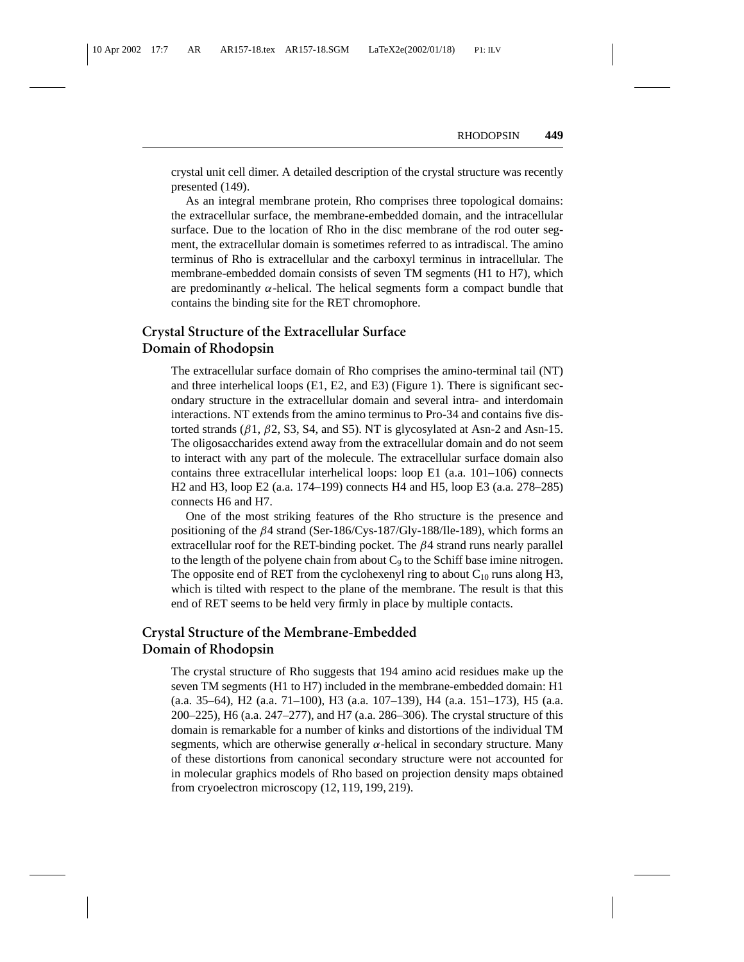crystal unit cell dimer. A detailed description of the crystal structure was recently presented (149).

As an integral membrane protein, Rho comprises three topological domains: the extracellular surface, the membrane-embedded domain, and the intracellular surface. Due to the location of Rho in the disc membrane of the rod outer segment, the extracellular domain is sometimes referred to as intradiscal. The amino terminus of Rho is extracellular and the carboxyl terminus in intracellular. The membrane-embedded domain consists of seven TM segments (H1 to H7), which are predominantly  $\alpha$ -helical. The helical segments form a compact bundle that contains the binding site for the RET chromophore.

### **Crystal Structure of the Extracellular Surface Domain of Rhodopsin**

The extracellular surface domain of Rho comprises the amino-terminal tail (NT) and three interhelical loops (E1, E2, and E3) (Figure 1). There is significant secondary structure in the extracellular domain and several intra- and interdomain interactions. NT extends from the amino terminus to Pro-34 and contains five distorted strands ( $\beta$ 1,  $\beta$ 2, S3, S4, and S5). NT is glycosylated at Asn-2 and Asn-15. The oligosaccharides extend away from the extracellular domain and do not seem to interact with any part of the molecule. The extracellular surface domain also contains three extracellular interhelical loops: loop E1 (a.a. 101–106) connects H2 and H3, loop E2 (a.a. 174–199) connects H4 and H5, loop E3 (a.a. 278–285) connects H6 and H7.

One of the most striking features of the Rho structure is the presence and positioning of the β4 strand (Ser-186/Cys-187/Gly-188/Ile-189), which forms an extracellular roof for the RET-binding pocket. The  $\beta$ 4 strand runs nearly parallel to the length of the polyene chain from about  $C_9$  to the Schiff base imine nitrogen. The opposite end of RET from the cyclohexenyl ring to about  $C_{10}$  runs along H3, which is tilted with respect to the plane of the membrane. The result is that this end of RET seems to be held very firmly in place by multiple contacts.

### **Crystal Structure of the Membrane-Embedded Domain of Rhodopsin**

The crystal structure of Rho suggests that 194 amino acid residues make up the seven TM segments (H1 to H7) included in the membrane-embedded domain: H1 (a.a. 35–64), H2 (a.a. 71–100), H3 (a.a. 107–139), H4 (a.a. 151–173), H5 (a.a. 200–225), H6 (a.a. 247–277), and H7 (a.a. 286–306). The crystal structure of this domain is remarkable for a number of kinks and distortions of the individual TM segments, which are otherwise generally  $\alpha$ -helical in secondary structure. Many of these distortions from canonical secondary structure were not accounted for in molecular graphics models of Rho based on projection density maps obtained from cryoelectron microscopy (12, 119, 199, 219).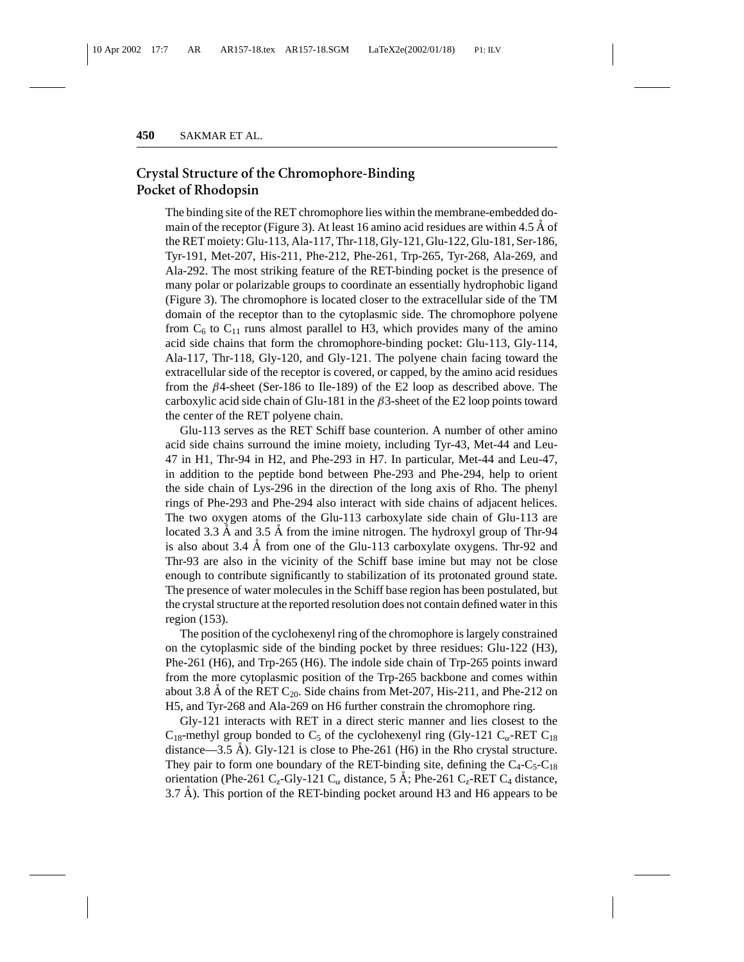# **Crystal Structure of the Chromophore-Binding Pocket of Rhodopsin**

The binding site of the RET chromophore lies within the membrane-embedded domain of the receptor (Figure 3). At least 16 amino acid residues are within 4.5  $\AA$  of the RET moiety: Glu-113, Ala-117, Thr-118, Gly-121, Glu-122, Glu-181, Ser-186, Tyr-191, Met-207, His-211, Phe-212, Phe-261, Trp-265, Tyr-268, Ala-269, and Ala-292. The most striking feature of the RET-binding pocket is the presence of many polar or polarizable groups to coordinate an essentially hydrophobic ligand (Figure 3). The chromophore is located closer to the extracellular side of the TM domain of the receptor than to the cytoplasmic side. The chromophore polyene from  $C_6$  to  $C_{11}$  runs almost parallel to H3, which provides many of the amino acid side chains that form the chromophore-binding pocket: Glu-113, Gly-114, Ala-117, Thr-118, Gly-120, and Gly-121. The polyene chain facing toward the extracellular side of the receptor is covered, or capped, by the amino acid residues from the  $\beta$ 4-sheet (Ser-186 to Ile-189) of the E2 loop as described above. The carboxylic acid side chain of Glu-181 in the  $\beta$ 3-sheet of the E2 loop points toward the center of the RET polyene chain.

Glu-113 serves as the RET Schiff base counterion. A number of other amino acid side chains surround the imine moiety, including Tyr-43, Met-44 and Leu-47 in H1, Thr-94 in H2, and Phe-293 in H7. In particular, Met-44 and Leu-47, in addition to the peptide bond between Phe-293 and Phe-294, help to orient the side chain of Lys-296 in the direction of the long axis of Rho. The phenyl rings of Phe-293 and Phe-294 also interact with side chains of adjacent helices. The two oxygen atoms of the Glu-113 carboxylate side chain of Glu-113 are located 3.3 Å and 3.5 Å from the imine nitrogen. The hydroxyl group of Thr-94 is also about 3.4  $\AA$  from one of the Glu-113 carboxylate oxygens. Thr-92 and Thr-93 are also in the vicinity of the Schiff base imine but may not be close enough to contribute significantly to stabilization of its protonated ground state. The presence of water molecules in the Schiff base region has been postulated, but the crystal structure at the reported resolution does not contain defined water in this region (153).

The position of the cyclohexenyl ring of the chromophore is largely constrained on the cytoplasmic side of the binding pocket by three residues: Glu-122 (H3), Phe-261 (H6), and Trp-265 (H6). The indole side chain of Trp-265 points inward from the more cytoplasmic position of the Trp-265 backbone and comes within about 3.8 Å of the RET  $C_{20}$ . Side chains from Met-207, His-211, and Phe-212 on H5, and Tyr-268 and Ala-269 on H6 further constrain the chromophore ring.

Gly-121 interacts with RET in a direct steric manner and lies closest to the  $C_{18}$ -methyl group bonded to  $C_5$  of the cyclohexenyl ring (Gly-121  $C_{\alpha}$ -RET  $C_{18}$ ) distance—3.5 Å). Gly-121 is close to Phe-261 (H6) in the Rho crystal structure. They pair to form one boundary of the RET-binding site, defining the  $C_4$ - $C_5$ - $C_{18}$ orientation (Phe-261 C<sub>z</sub>-Gly-121 C<sub>α</sub> distance, 5 Å; Phe-261 C<sub>z</sub>-RET C<sub>4</sub> distance,  $3.7 \text{ Å}$ ). This portion of the RET-binding pocket around H3 and H6 appears to be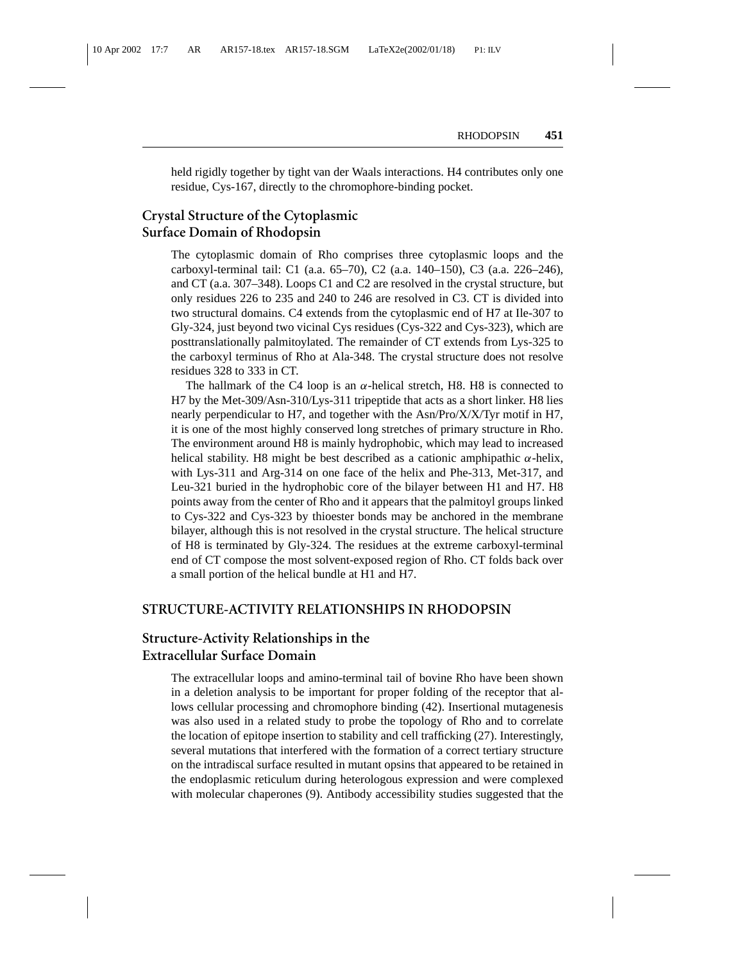held rigidly together by tight van der Waals interactions. H4 contributes only one residue, Cys-167, directly to the chromophore-binding pocket.

# **Crystal Structure of the Cytoplasmic Surface Domain of Rhodopsin**

The cytoplasmic domain of Rho comprises three cytoplasmic loops and the carboxyl-terminal tail: C1 (a.a. 65–70), C2 (a.a. 140–150), C3 (a.a. 226–246), and CT (a.a. 307–348). Loops C1 and C2 are resolved in the crystal structure, but only residues 226 to 235 and 240 to 246 are resolved in C3. CT is divided into two structural domains. C4 extends from the cytoplasmic end of H7 at Ile-307 to Gly-324, just beyond two vicinal Cys residues (Cys-322 and Cys-323), which are posttranslationally palmitoylated. The remainder of CT extends from Lys-325 to the carboxyl terminus of Rho at Ala-348. The crystal structure does not resolve residues 328 to 333 in CT.

The hallmark of the C4 loop is an  $\alpha$ -helical stretch, H8. H8 is connected to H7 by the Met-309/Asn-310/Lys-311 tripeptide that acts as a short linker. H8 lies nearly perpendicular to H7, and together with the Asn/Pro/X/X/Tyr motif in H7, it is one of the most highly conserved long stretches of primary structure in Rho. The environment around H8 is mainly hydrophobic, which may lead to increased helical stability. H8 might be best described as a cationic amphipathic  $\alpha$ -helix, with Lys-311 and Arg-314 on one face of the helix and Phe-313, Met-317, and Leu-321 buried in the hydrophobic core of the bilayer between H1 and H7. H8 points away from the center of Rho and it appears that the palmitoyl groups linked to Cys-322 and Cys-323 by thioester bonds may be anchored in the membrane bilayer, although this is not resolved in the crystal structure. The helical structure of H8 is terminated by Gly-324. The residues at the extreme carboxyl-terminal end of CT compose the most solvent-exposed region of Rho. CT folds back over a small portion of the helical bundle at H1 and H7.

### **STRUCTURE-ACTIVITY RELATIONSHIPS IN RHODOPSIN**

#### **Structure-Activity Relationships in the Extracellular Surface Domain**

The extracellular loops and amino-terminal tail of bovine Rho have been shown in a deletion analysis to be important for proper folding of the receptor that allows cellular processing and chromophore binding (42). Insertional mutagenesis was also used in a related study to probe the topology of Rho and to correlate the location of epitope insertion to stability and cell trafficking (27). Interestingly, several mutations that interfered with the formation of a correct tertiary structure on the intradiscal surface resulted in mutant opsins that appeared to be retained in the endoplasmic reticulum during heterologous expression and were complexed with molecular chaperones (9). Antibody accessibility studies suggested that the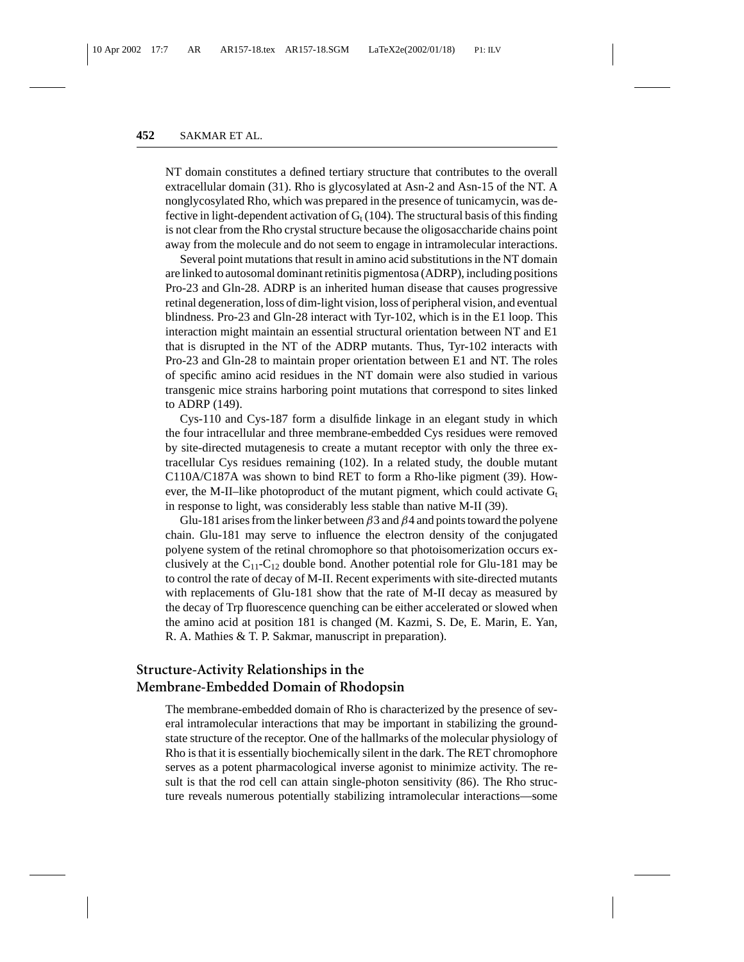NT domain constitutes a defined tertiary structure that contributes to the overall extracellular domain (31). Rho is glycosylated at Asn-2 and Asn-15 of the NT. A nonglycosylated Rho, which was prepared in the presence of tunicamycin, was defective in light-dependent activation of  $G_t(104)$ . The structural basis of this finding is not clear from the Rho crystal structure because the oligosaccharide chains point away from the molecule and do not seem to engage in intramolecular interactions.

Several point mutations that result in amino acid substitutions in the NT domain are linked to autosomal dominant retinitis pigmentosa (ADRP), including positions Pro-23 and Gln-28. ADRP is an inherited human disease that causes progressive retinal degeneration, loss of dim-light vision, loss of peripheral vision, and eventual blindness. Pro-23 and Gln-28 interact with Tyr-102, which is in the E1 loop. This interaction might maintain an essential structural orientation between NT and E1 that is disrupted in the NT of the ADRP mutants. Thus, Tyr-102 interacts with Pro-23 and Gln-28 to maintain proper orientation between E1 and NT. The roles of specific amino acid residues in the NT domain were also studied in various transgenic mice strains harboring point mutations that correspond to sites linked to ADRP (149).

Cys-110 and Cys-187 form a disulfide linkage in an elegant study in which the four intracellular and three membrane-embedded Cys residues were removed by site-directed mutagenesis to create a mutant receptor with only the three extracellular Cys residues remaining (102). In a related study, the double mutant C110A/C187A was shown to bind RET to form a Rho-like pigment (39). However, the M-II–like photoproduct of the mutant pigment, which could activate  $G_t$ in response to light, was considerably less stable than native M-II (39).

Glu-181 arises from the linker between  $\beta$ 3 and  $\beta$ 4 and points toward the polyene chain. Glu-181 may serve to influence the electron density of the conjugated polyene system of the retinal chromophore so that photoisomerization occurs exclusively at the  $C_{11}$ - $C_{12}$  double bond. Another potential role for Glu-181 may be to control the rate of decay of M-II. Recent experiments with site-directed mutants with replacements of Glu-181 show that the rate of M-II decay as measured by the decay of Trp fluorescence quenching can be either accelerated or slowed when the amino acid at position 181 is changed (M. Kazmi, S. De, E. Marin, E. Yan, R. A. Mathies & T. P. Sakmar, manuscript in preparation).

# **Structure-Activity Relationships in the Membrane-Embedded Domain of Rhodopsin**

The membrane-embedded domain of Rho is characterized by the presence of several intramolecular interactions that may be important in stabilizing the groundstate structure of the receptor. One of the hallmarks of the molecular physiology of Rho is that it is essentially biochemically silent in the dark. The RET chromophore serves as a potent pharmacological inverse agonist to minimize activity. The result is that the rod cell can attain single-photon sensitivity (86). The Rho structure reveals numerous potentially stabilizing intramolecular interactions—some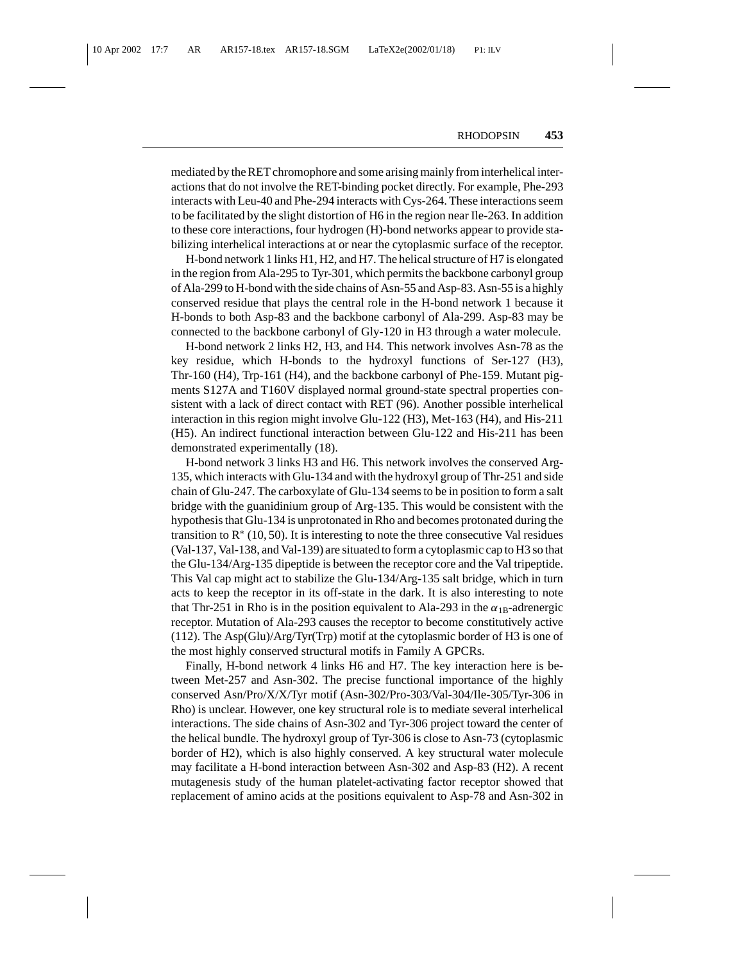mediated by the RET chromophore and some arising mainly from interhelical interactions that do not involve the RET-binding pocket directly. For example, Phe-293 interacts with Leu-40 and Phe-294 interacts with Cys-264. These interactions seem to be facilitated by the slight distortion of H6 in the region near Ile-263. In addition to these core interactions, four hydrogen (H)-bond networks appear to provide stabilizing interhelical interactions at or near the cytoplasmic surface of the receptor.

H-bond network 1 links H1, H2, and H7. The helical structure of H7 is elongated in the region from Ala-295 to Tyr-301, which permits the backbone carbonyl group of Ala-299 to H-bond with the side chains of Asn-55 and Asp-83. Asn-55 is a highly conserved residue that plays the central role in the H-bond network 1 because it H-bonds to both Asp-83 and the backbone carbonyl of Ala-299. Asp-83 may be connected to the backbone carbonyl of Gly-120 in H3 through a water molecule.

H-bond network 2 links H2, H3, and H4. This network involves Asn-78 as the key residue, which H-bonds to the hydroxyl functions of Ser-127 (H3), Thr-160 (H4), Trp-161 (H4), and the backbone carbonyl of Phe-159. Mutant pigments S127A and T160V displayed normal ground-state spectral properties consistent with a lack of direct contact with RET (96). Another possible interhelical interaction in this region might involve Glu-122 (H3), Met-163 (H4), and His-211 (H5). An indirect functional interaction between Glu-122 and His-211 has been demonstrated experimentally (18).

H-bond network 3 links H3 and H6. This network involves the conserved Arg-135, which interacts with Glu-134 and with the hydroxyl group of Thr-251 and side chain of Glu-247. The carboxylate of Glu-134 seems to be in position to form a salt bridge with the guanidinium group of Arg-135. This would be consistent with the hypothesis that Glu-134 is unprotonated in Rho and becomes protonated during the transition to  $\mathbb{R}^*$  (10, 50). It is interesting to note the three consecutive Val residues (Val-137, Val-138, and Val-139) are situated to form a cytoplasmic cap to H3 so that the Glu-134/Arg-135 dipeptide is between the receptor core and the Val tripeptide. This Val cap might act to stabilize the Glu-134/Arg-135 salt bridge, which in turn acts to keep the receptor in its off-state in the dark. It is also interesting to note that Thr-251 in Rho is in the position equivalent to Ala-293 in the  $\alpha_{1B}$ -adrenergic receptor. Mutation of Ala-293 causes the receptor to become constitutively active (112). The Asp(Glu)/Arg/Tyr(Trp) motif at the cytoplasmic border of H3 is one of the most highly conserved structural motifs in Family A GPCRs.

Finally, H-bond network 4 links H6 and H7. The key interaction here is between Met-257 and Asn-302. The precise functional importance of the highly conserved Asn/Pro/X/X/Tyr motif (Asn-302/Pro-303/Val-304/Ile-305/Tyr-306 in Rho) is unclear. However, one key structural role is to mediate several interhelical interactions. The side chains of Asn-302 and Tyr-306 project toward the center of the helical bundle. The hydroxyl group of Tyr-306 is close to Asn-73 (cytoplasmic border of H2), which is also highly conserved. A key structural water molecule may facilitate a H-bond interaction between Asn-302 and Asp-83 (H2). A recent mutagenesis study of the human platelet-activating factor receptor showed that replacement of amino acids at the positions equivalent to Asp-78 and Asn-302 in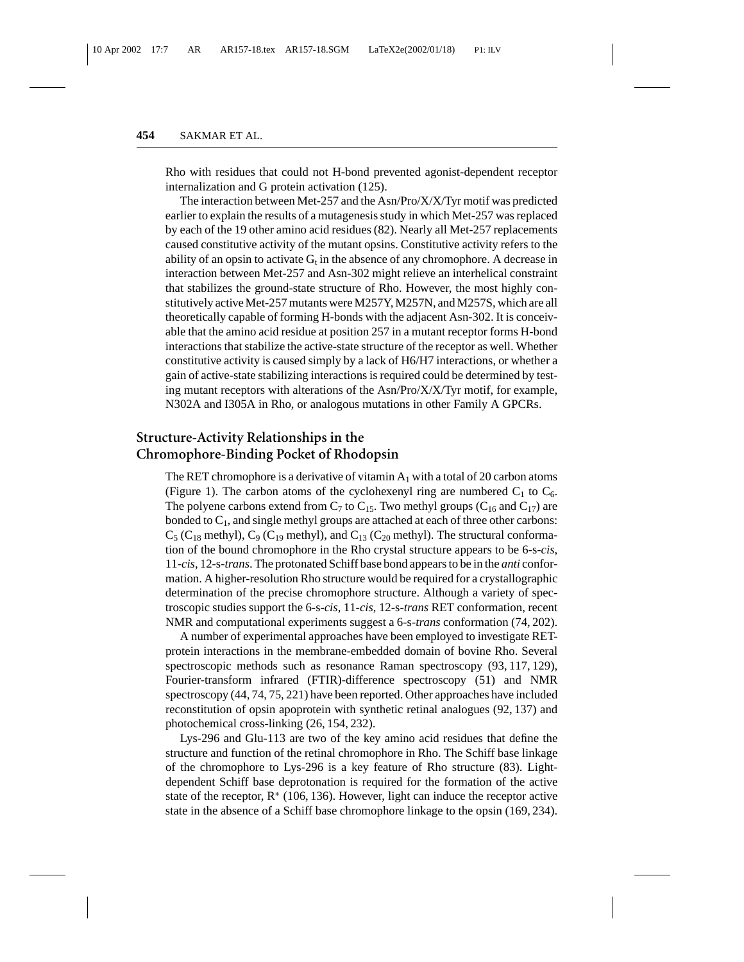Rho with residues that could not H-bond prevented agonist-dependent receptor internalization and G protein activation (125).

The interaction between Met-257 and the Asn/Pro/X/X/Tyr motif was predicted earlier to explain the results of a mutagenesis study in which Met-257 was replaced by each of the 19 other amino acid residues (82). Nearly all Met-257 replacements caused constitutive activity of the mutant opsins. Constitutive activity refers to the ability of an opsin to activate  $G_t$  in the absence of any chromophore. A decrease in interaction between Met-257 and Asn-302 might relieve an interhelical constraint that stabilizes the ground-state structure of Rho. However, the most highly constitutively active Met-257 mutants were M257Y, M257N, and M257S, which are all theoretically capable of forming H-bonds with the adjacent Asn-302. It is conceivable that the amino acid residue at position 257 in a mutant receptor forms H-bond interactions that stabilize the active-state structure of the receptor as well. Whether constitutive activity is caused simply by a lack of H6/H7 interactions, or whether a gain of active-state stabilizing interactions is required could be determined by testing mutant receptors with alterations of the Asn/Pro/X/X/Tyr motif, for example, N302A and I305A in Rho, or analogous mutations in other Family A GPCRs.

### **Structure-Activity Relationships in the Chromophore-Binding Pocket of Rhodopsin**

The RET chromophore is a derivative of vitamin  $A_1$  with a total of 20 carbon atoms (Figure 1). The carbon atoms of the cyclohexenyl ring are numbered  $C_1$  to  $C_6$ . The polyene carbons extend from  $C_7$  to  $C_{15}$ . Two methyl groups ( $C_{16}$  and  $C_{17}$ ) are bonded to  $C_1$ , and single methyl groups are attached at each of three other carbons:  $C_5$  (C<sub>18</sub> methyl), C<sub>9</sub> (C<sub>19</sub> methyl), and C<sub>13</sub> (C<sub>20</sub> methyl). The structural conformation of the bound chromophore in the Rho crystal structure appears to be 6-s-*cis*, 11-*cis*, 12-s-*trans*. The protonated Schiff base bond appears to be in the *anti* conformation. A higher-resolution Rho structure would be required for a crystallographic determination of the precise chromophore structure. Although a variety of spectroscopic studies support the 6-s-*cis*, 11-*cis*, 12-s-*trans* RET conformation, recent NMR and computational experiments suggest a 6-s-*trans* conformation (74, 202).

A number of experimental approaches have been employed to investigate RETprotein interactions in the membrane-embedded domain of bovine Rho. Several spectroscopic methods such as resonance Raman spectroscopy (93, 117, 129), Fourier-transform infrared (FTIR)-difference spectroscopy (51) and NMR spectroscopy (44, 74, 75, 221) have been reported. Other approaches have included reconstitution of opsin apoprotein with synthetic retinal analogues (92, 137) and photochemical cross-linking (26, 154, 232).

Lys-296 and Glu-113 are two of the key amino acid residues that define the structure and function of the retinal chromophore in Rho. The Schiff base linkage of the chromophore to Lys-296 is a key feature of Rho structure (83). Lightdependent Schiff base deprotonation is required for the formation of the active state of the receptor,  $\mathbb{R}^*$  (106, 136). However, light can induce the receptor active state in the absence of a Schiff base chromophore linkage to the opsin (169, 234).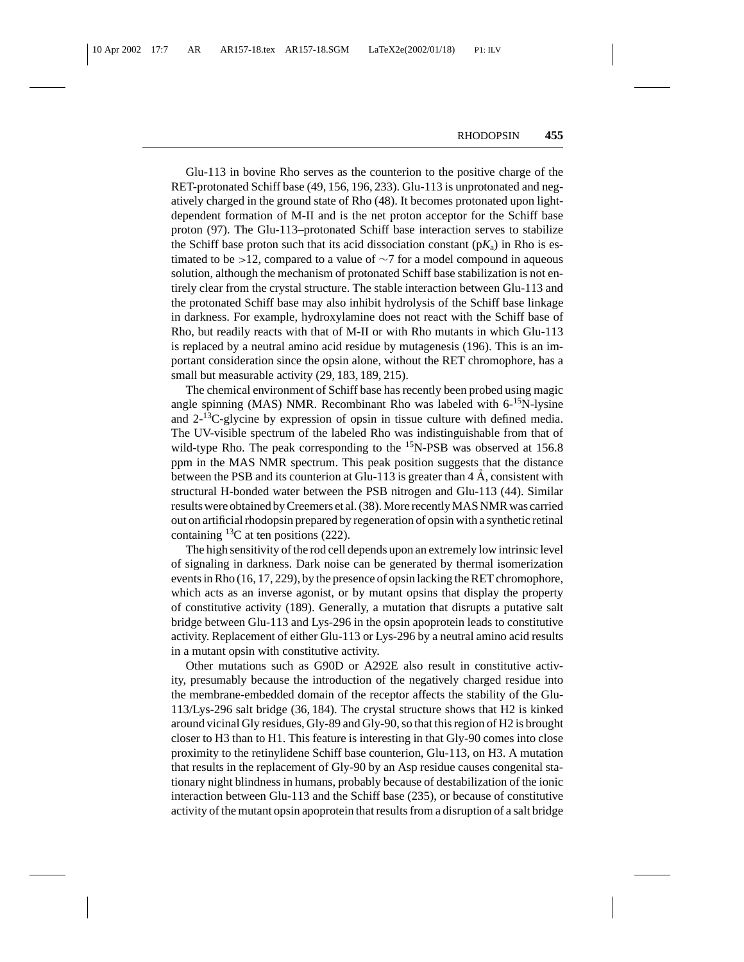Glu-113 in bovine Rho serves as the counterion to the positive charge of the RET-protonated Schiff base (49, 156, 196, 233). Glu-113 is unprotonated and negatively charged in the ground state of Rho (48). It becomes protonated upon lightdependent formation of M-II and is the net proton acceptor for the Schiff base proton (97). The Glu-113–protonated Schiff base interaction serves to stabilize the Schiff base proton such that its acid dissociation constant  $(pK_a)$  in Rho is estimated to be >12, compared to a value of ∼7 for a model compound in aqueous solution, although the mechanism of protonated Schiff base stabilization is not entirely clear from the crystal structure. The stable interaction between Glu-113 and the protonated Schiff base may also inhibit hydrolysis of the Schiff base linkage in darkness. For example, hydroxylamine does not react with the Schiff base of Rho, but readily reacts with that of M-II or with Rho mutants in which Glu-113 is replaced by a neutral amino acid residue by mutagenesis (196). This is an important consideration since the opsin alone, without the RET chromophore, has a small but measurable activity (29, 183, 189, 215).

The chemical environment of Schiff base has recently been probed using magic angle spinning (MAS) NMR. Recombinant Rho was labeled with  $6<sup>-15</sup>N$ -lysine and  $2^{-13}$ C-glycine by expression of opsin in tissue culture with defined media. The UV-visible spectrum of the labeled Rho was indistinguishable from that of wild-type Rho. The peak corresponding to the  $^{15}$ N-PSB was observed at 156.8 ppm in the MAS NMR spectrum. This peak position suggests that the distance between the PSB and its counterion at Glu-113 is greater than  $4 \text{ Å}$ , consistent with structural H-bonded water between the PSB nitrogen and Glu-113 (44). Similar results were obtained by Creemers et al. (38). More recently MAS NMR was carried out on artificial rhodopsin prepared by regeneration of opsin with a synthetic retinal containing  ${}^{13}C$  at ten positions (222).

The high sensitivity of the rod cell depends upon an extremely low intrinsic level of signaling in darkness. Dark noise can be generated by thermal isomerization events in Rho (16, 17, 229), by the presence of opsin lacking the RET chromophore, which acts as an inverse agonist, or by mutant opsins that display the property of constitutive activity (189). Generally, a mutation that disrupts a putative salt bridge between Glu-113 and Lys-296 in the opsin apoprotein leads to constitutive activity. Replacement of either Glu-113 or Lys-296 by a neutral amino acid results in a mutant opsin with constitutive activity.

Other mutations such as G90D or A292E also result in constitutive activity, presumably because the introduction of the negatively charged residue into the membrane-embedded domain of the receptor affects the stability of the Glu-113/Lys-296 salt bridge (36, 184). The crystal structure shows that H2 is kinked around vicinal Gly residues, Gly-89 and Gly-90, so that this region of H2 is brought closer to H3 than to H1. This feature is interesting in that Gly-90 comes into close proximity to the retinylidene Schiff base counterion, Glu-113, on H3. A mutation that results in the replacement of Gly-90 by an Asp residue causes congenital stationary night blindness in humans, probably because of destabilization of the ionic interaction between Glu-113 and the Schiff base (235), or because of constitutive activity of the mutant opsin apoprotein that results from a disruption of a salt bridge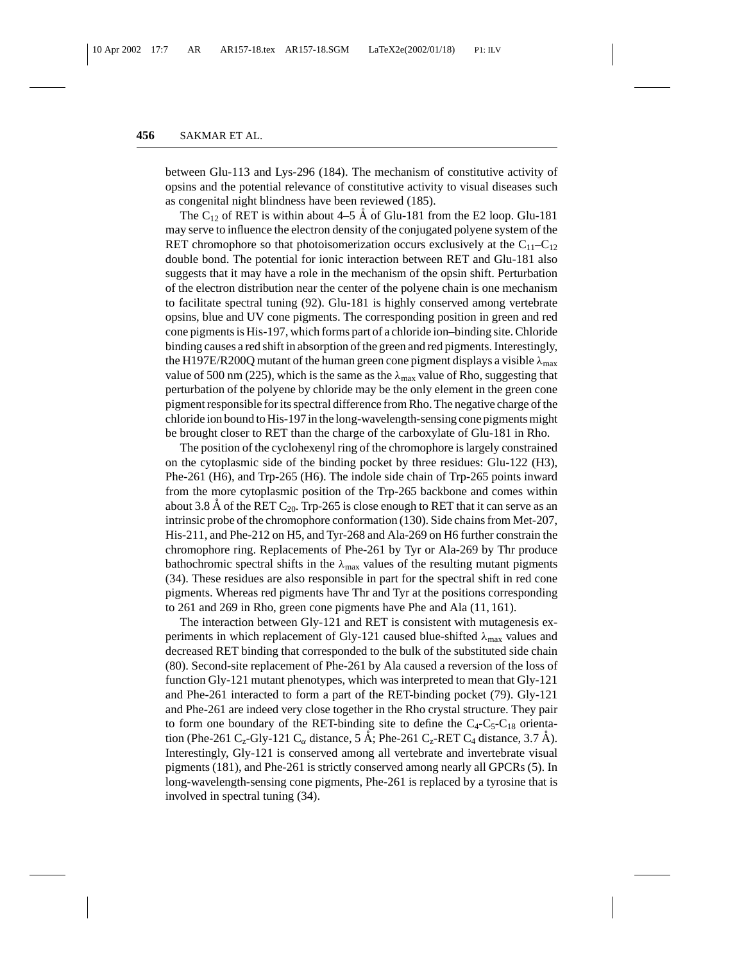between Glu-113 and Lys-296 (184). The mechanism of constitutive activity of opsins and the potential relevance of constitutive activity to visual diseases such as congenital night blindness have been reviewed (185).

The C<sub>12</sub> of RET is within about 4–5 Å of Glu-181 from the E2 loop. Glu-181 may serve to influence the electron density of the conjugated polyene system of the RET chromophore so that photoisomerization occurs exclusively at the  $C_{11}-C_{12}$ double bond. The potential for ionic interaction between RET and Glu-181 also suggests that it may have a role in the mechanism of the opsin shift. Perturbation of the electron distribution near the center of the polyene chain is one mechanism to facilitate spectral tuning (92). Glu-181 is highly conserved among vertebrate opsins, blue and UV cone pigments. The corresponding position in green and red cone pigments is His-197, which forms part of a chloride ion–binding site. Chloride binding causes a red shift in absorption of the green and red pigments. Interestingly, the H197E/R200Q mutant of the human green cone pigment displays a visible  $\lambda_{\text{max}}$ value of 500 nm (225), which is the same as the  $\lambda_{\text{max}}$  value of Rho, suggesting that perturbation of the polyene by chloride may be the only element in the green cone pigment responsible for its spectral difference from Rho. The negative charge of the chloride ion bound to His-197 in the long-wavelength-sensing cone pigments might be brought closer to RET than the charge of the carboxylate of Glu-181 in Rho.

The position of the cyclohexenyl ring of the chromophore is largely constrained on the cytoplasmic side of the binding pocket by three residues: Glu-122 (H3), Phe-261 (H6), and Trp-265 (H6). The indole side chain of Trp-265 points inward from the more cytoplasmic position of the Trp-265 backbone and comes within about 3.8 Å of the RET  $C_{20}$ . Trp-265 is close enough to RET that it can serve as an intrinsic probe of the chromophore conformation (130). Side chains from Met-207, His-211, and Phe-212 on H5, and Tyr-268 and Ala-269 on H6 further constrain the chromophore ring. Replacements of Phe-261 by Tyr or Ala-269 by Thr produce bathochromic spectral shifts in the  $\lambda_{\text{max}}$  values of the resulting mutant pigments (34). These residues are also responsible in part for the spectral shift in red cone pigments. Whereas red pigments have Thr and Tyr at the positions corresponding to 261 and 269 in Rho, green cone pigments have Phe and Ala (11, 161).

The interaction between Gly-121 and RET is consistent with mutagenesis experiments in which replacement of Gly-121 caused blue-shifted  $\lambda_{\text{max}}$  values and decreased RET binding that corresponded to the bulk of the substituted side chain (80). Second-site replacement of Phe-261 by Ala caused a reversion of the loss of function Gly-121 mutant phenotypes, which was interpreted to mean that Gly-121 and Phe-261 interacted to form a part of the RET-binding pocket (79). Gly-121 and Phe-261 are indeed very close together in the Rho crystal structure. They pair to form one boundary of the RET-binding site to define the  $C_4$ - $C_5$ - $C_{18}$  orientation (Phe-261 C<sub>z</sub>-Gly-121 C<sub>α</sub> distance, 5 Å; Phe-261 C<sub>z</sub>-RET C<sub>4</sub> distance, 3.7 Å). Interestingly, Gly-121 is conserved among all vertebrate and invertebrate visual pigments (181), and Phe-261 is strictly conserved among nearly all GPCRs (5). In long-wavelength-sensing cone pigments, Phe-261 is replaced by a tyrosine that is involved in spectral tuning (34).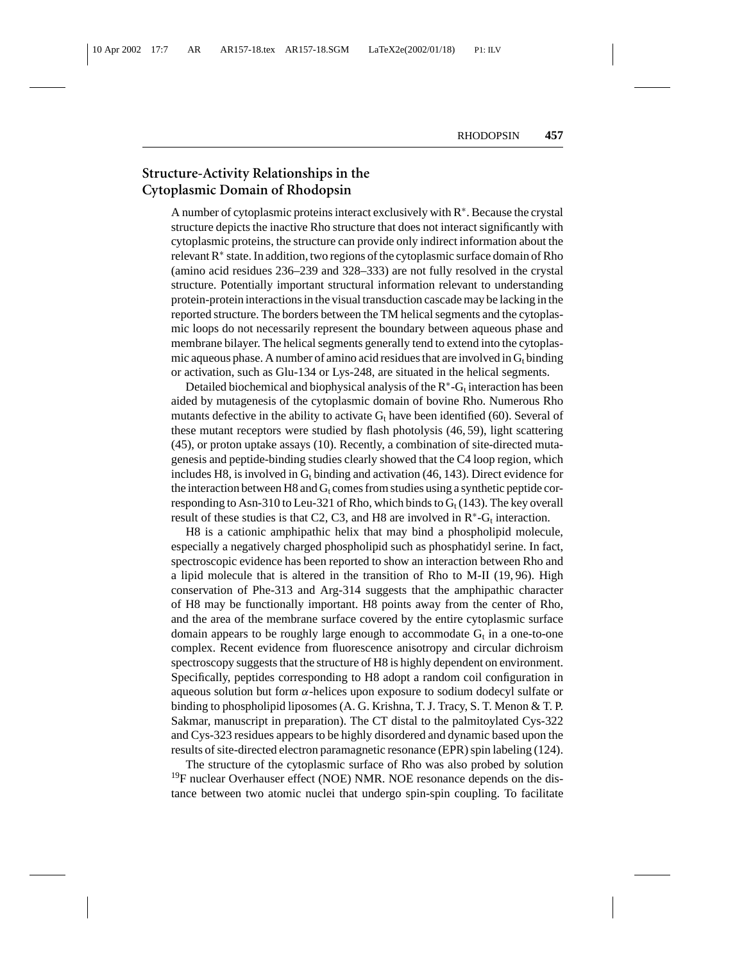# **Structure-Activity Relationships in the Cytoplasmic Domain of Rhodopsin**

A number of cytoplasmic proteins interact exclusively with R∗. Because the crystal structure depicts the inactive Rho structure that does not interact significantly with cytoplasmic proteins, the structure can provide only indirect information about the relevant R<sup>∗</sup> state. In addition, two regions of the cytoplasmic surface domain of Rho (amino acid residues 236–239 and 328–333) are not fully resolved in the crystal structure. Potentially important structural information relevant to understanding protein-protein interactions in the visual transduction cascade may be lacking in the reported structure. The borders between the TM helical segments and the cytoplasmic loops do not necessarily represent the boundary between aqueous phase and membrane bilayer. The helical segments generally tend to extend into the cytoplasmic aqueous phase. A number of amino acid residues that are involved in  $G_t$  binding or activation, such as Glu-134 or Lys-248, are situated in the helical segments.

Detailed biochemical and biophysical analysis of the  $R^*$ -G<sub>t</sub> interaction has been aided by mutagenesis of the cytoplasmic domain of bovine Rho. Numerous Rho mutants defective in the ability to activate  $G_t$  have been identified (60). Several of these mutant receptors were studied by flash photolysis (46, 59), light scattering (45), or proton uptake assays (10). Recently, a combination of site-directed mutagenesis and peptide-binding studies clearly showed that the C4 loop region, which includes H8, is involved in  $G_t$  binding and activation (46, 143). Direct evidence for the interaction between H8 and  $G_t$  comes from studies using a synthetic peptide corresponding to Asn-310 to Leu-321 of Rho, which binds to  $G_t(143)$ . The key overall result of these studies is that C2, C3, and H8 are involved in  $R^*$ -G<sub>t</sub> interaction.

H8 is a cationic amphipathic helix that may bind a phospholipid molecule, especially a negatively charged phospholipid such as phosphatidyl serine. In fact, spectroscopic evidence has been reported to show an interaction between Rho and a lipid molecule that is altered in the transition of Rho to M-II (19, 96). High conservation of Phe-313 and Arg-314 suggests that the amphipathic character of H8 may be functionally important. H8 points away from the center of Rho, and the area of the membrane surface covered by the entire cytoplasmic surface domain appears to be roughly large enough to accommodate  $G_t$  in a one-to-one complex. Recent evidence from fluorescence anisotropy and circular dichroism spectroscopy suggests that the structure of H8 is highly dependent on environment. Specifically, peptides corresponding to H8 adopt a random coil configuration in aqueous solution but form  $\alpha$ -helices upon exposure to sodium dodecyl sulfate or binding to phospholipid liposomes (A. G. Krishna, T. J. Tracy, S. T. Menon & T. P. Sakmar, manuscript in preparation). The CT distal to the palmitoylated Cys-322 and Cys-323 residues appears to be highly disordered and dynamic based upon the results of site-directed electron paramagnetic resonance (EPR) spin labeling (124).

The structure of the cytoplasmic surface of Rho was also probed by solution <sup>19</sup>F nuclear Overhauser effect (NOE) NMR. NOE resonance depends on the distance between two atomic nuclei that undergo spin-spin coupling. To facilitate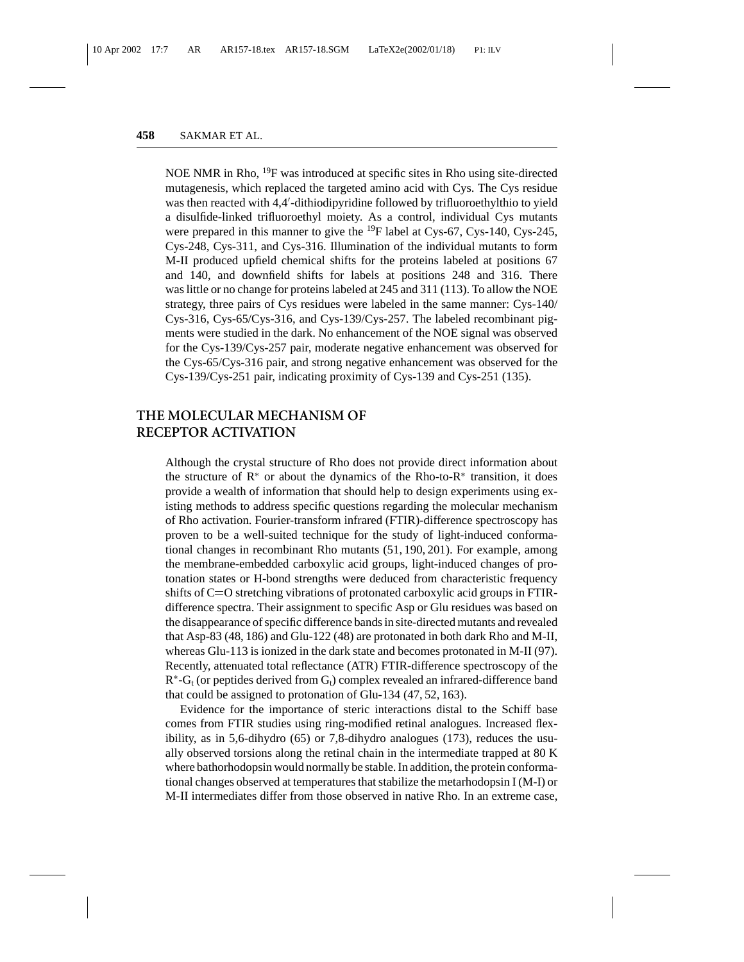NOE NMR in Rho, 19F was introduced at specific sites in Rho using site-directed mutagenesis, which replaced the targeted amino acid with Cys. The Cys residue was then reacted with 4,4'-dithiodipyridine followed by trifluoroethylthio to yield a disulfide-linked trifluoroethyl moiety. As a control, individual Cys mutants were prepared in this manner to give the  $^{19}F$  label at Cys-67, Cys-140, Cys-245, Cys-248, Cys-311, and Cys-316. Illumination of the individual mutants to form M-II produced upfield chemical shifts for the proteins labeled at positions 67 and 140, and downfield shifts for labels at positions 248 and 316. There was little or no change for proteins labeled at 245 and 311 (113). To allow the NOE strategy, three pairs of Cys residues were labeled in the same manner: Cys-140/ Cys-316, Cys-65/Cys-316, and Cys-139/Cys-257. The labeled recombinant pigments were studied in the dark. No enhancement of the NOE signal was observed for the Cys-139/Cys-257 pair, moderate negative enhancement was observed for the Cys-65/Cys-316 pair, and strong negative enhancement was observed for the Cys-139/Cys-251 pair, indicating proximity of Cys-139 and Cys-251 (135).

### **THE MOLECULAR MECHANISM OF RECEPTOR ACTIVATION**

Although the crystal structure of Rho does not provide direct information about the structure of R<sup>∗</sup> or about the dynamics of the Rho-to-R<sup>∗</sup> transition, it does provide a wealth of information that should help to design experiments using existing methods to address specific questions regarding the molecular mechanism of Rho activation. Fourier-transform infrared (FTIR)-difference spectroscopy has proven to be a well-suited technique for the study of light-induced conformational changes in recombinant Rho mutants (51, 190, 201). For example, among the membrane-embedded carboxylic acid groups, light-induced changes of protonation states or H-bond strengths were deduced from characteristic frequency shifts of  $C = O$  stretching vibrations of protonated carboxylic acid groups in FTIRdifference spectra. Their assignment to specific Asp or Glu residues was based on the disappearance of specific difference bands in site-directed mutants and revealed that Asp-83 (48, 186) and Glu-122 (48) are protonated in both dark Rho and M-II, whereas Glu-113 is ionized in the dark state and becomes protonated in M-II (97). Recently, attenuated total reflectance (ATR) FTIR-difference spectroscopy of the  $R^*$ -G<sub>t</sub> (or peptides derived from G<sub>t</sub>) complex revealed an infrared-difference band that could be assigned to protonation of Glu-134 (47, 52, 163).

Evidence for the importance of steric interactions distal to the Schiff base comes from FTIR studies using ring-modified retinal analogues. Increased flexibility, as in 5,6-dihydro (65) or 7,8-dihydro analogues (173), reduces the usually observed torsions along the retinal chain in the intermediate trapped at 80 K where bathorhodopsin would normally be stable. In addition, the protein conformational changes observed at temperatures that stabilize the metarhodopsin I (M-I) or M-II intermediates differ from those observed in native Rho. In an extreme case,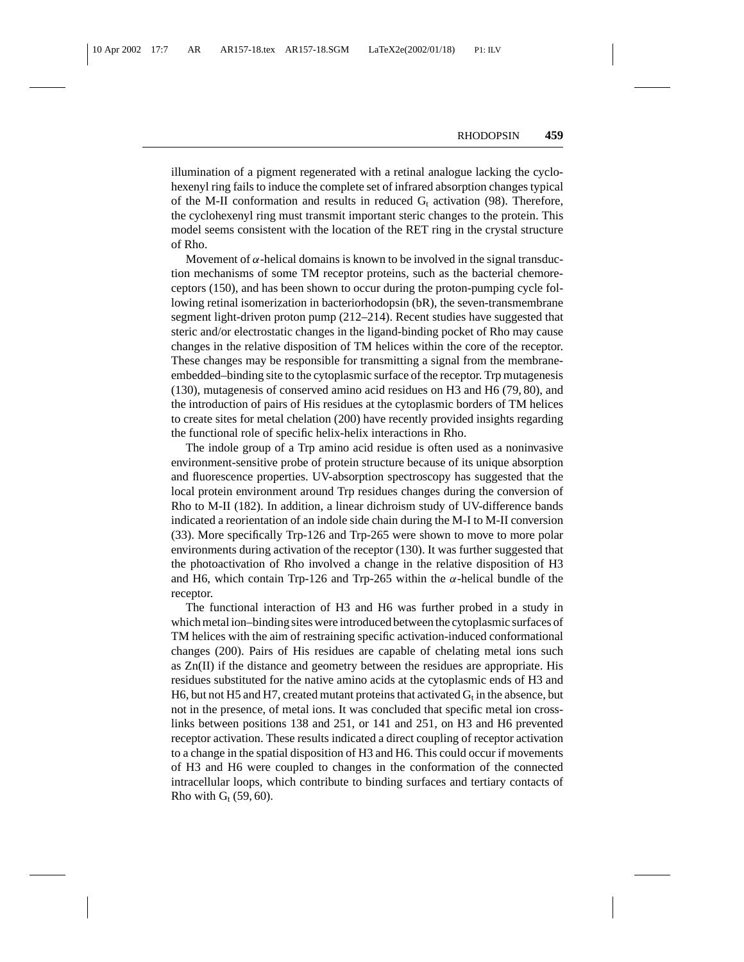illumination of a pigment regenerated with a retinal analogue lacking the cyclohexenyl ring fails to induce the complete set of infrared absorption changes typical of the M-II conformation and results in reduced  $G_t$  activation (98). Therefore, the cyclohexenyl ring must transmit important steric changes to the protein. This model seems consistent with the location of the RET ring in the crystal structure of Rho.

Movement of  $\alpha$ -helical domains is known to be involved in the signal transduction mechanisms of some TM receptor proteins, such as the bacterial chemoreceptors (150), and has been shown to occur during the proton-pumping cycle following retinal isomerization in bacteriorhodopsin (bR), the seven-transmembrane segment light-driven proton pump (212–214). Recent studies have suggested that steric and/or electrostatic changes in the ligand-binding pocket of Rho may cause changes in the relative disposition of TM helices within the core of the receptor. These changes may be responsible for transmitting a signal from the membraneembedded–binding site to the cytoplasmic surface of the receptor. Trp mutagenesis (130), mutagenesis of conserved amino acid residues on H3 and H6 (79, 80), and the introduction of pairs of His residues at the cytoplasmic borders of TM helices to create sites for metal chelation (200) have recently provided insights regarding the functional role of specific helix-helix interactions in Rho.

The indole group of a Trp amino acid residue is often used as a noninvasive environment-sensitive probe of protein structure because of its unique absorption and fluorescence properties. UV-absorption spectroscopy has suggested that the local protein environment around Trp residues changes during the conversion of Rho to M-II (182). In addition, a linear dichroism study of UV-difference bands indicated a reorientation of an indole side chain during the M-I to M-II conversion (33). More specifically Trp-126 and Trp-265 were shown to move to more polar environments during activation of the receptor (130). It was further suggested that the photoactivation of Rho involved a change in the relative disposition of H3 and H6, which contain Trp-126 and Trp-265 within the  $\alpha$ -helical bundle of the receptor.

The functional interaction of H3 and H6 was further probed in a study in which metal ion–binding sites were introduced between the cytoplasmic surfaces of TM helices with the aim of restraining specific activation-induced conformational changes (200). Pairs of His residues are capable of chelating metal ions such as  $Zn(\mathbf{II})$  if the distance and geometry between the residues are appropriate. His residues substituted for the native amino acids at the cytoplasmic ends of H3 and H6, but not H5 and H7, created mutant proteins that activated  $G_t$  in the absence, but not in the presence, of metal ions. It was concluded that specific metal ion crosslinks between positions 138 and 251, or 141 and 251, on H3 and H6 prevented receptor activation. These results indicated a direct coupling of receptor activation to a change in the spatial disposition of H3 and H6. This could occur if movements of H3 and H6 were coupled to changes in the conformation of the connected intracellular loops, which contribute to binding surfaces and tertiary contacts of Rho with  $G_t$  (59, 60).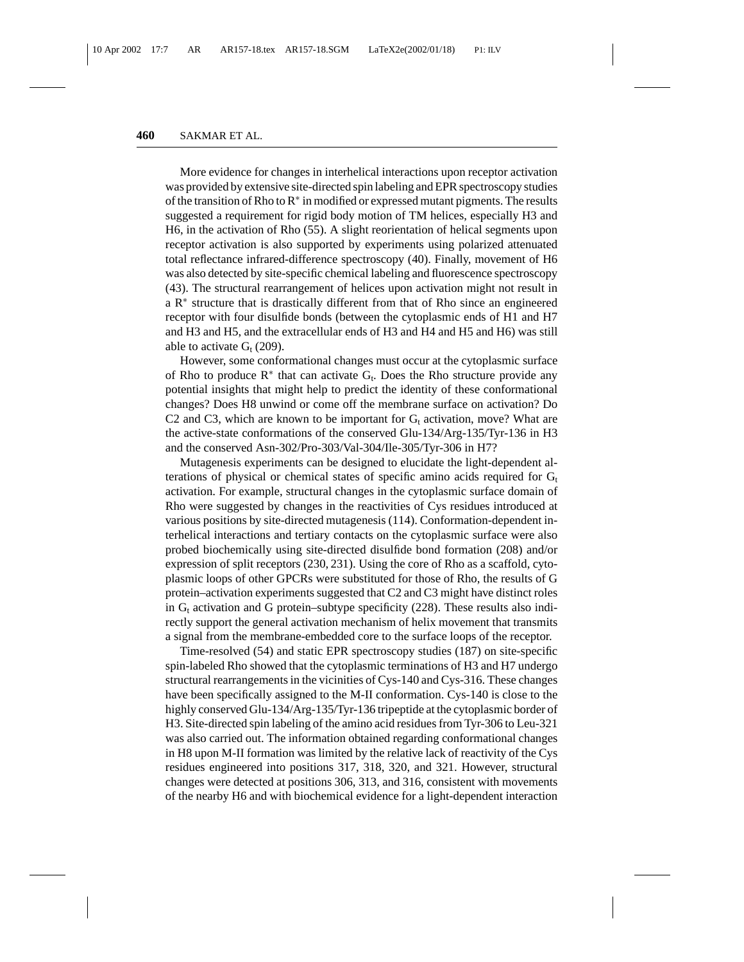More evidence for changes in interhelical interactions upon receptor activation was provided by extensive site-directed spin labeling and EPR spectroscopy studies of the transition of Rho to R<sup>∗</sup> in modified or expressed mutant pigments. The results suggested a requirement for rigid body motion of TM helices, especially H3 and H6, in the activation of Rho (55). A slight reorientation of helical segments upon receptor activation is also supported by experiments using polarized attenuated total reflectance infrared-difference spectroscopy (40). Finally, movement of H6 was also detected by site-specific chemical labeling and fluorescence spectroscopy (43). The structural rearrangement of helices upon activation might not result in a R<sup>∗</sup> structure that is drastically different from that of Rho since an engineered receptor with four disulfide bonds (between the cytoplasmic ends of H1 and H7 and H3 and H5, and the extracellular ends of H3 and H4 and H5 and H6) was still able to activate  $G_t$  (209).

However, some conformational changes must occur at the cytoplasmic surface of Rho to produce  $R^*$  that can activate  $G_t$ . Does the Rho structure provide any potential insights that might help to predict the identity of these conformational changes? Does H8 unwind or come off the membrane surface on activation? Do C2 and C3, which are known to be important for  $G_t$  activation, move? What are the active-state conformations of the conserved Glu-134/Arg-135/Tyr-136 in H3 and the conserved Asn-302/Pro-303/Val-304/Ile-305/Tyr-306 in H7?

Mutagenesis experiments can be designed to elucidate the light-dependent alterations of physical or chemical states of specific amino acids required for  $G_t$ activation. For example, structural changes in the cytoplasmic surface domain of Rho were suggested by changes in the reactivities of Cys residues introduced at various positions by site-directed mutagenesis (114). Conformation-dependent interhelical interactions and tertiary contacts on the cytoplasmic surface were also probed biochemically using site-directed disulfide bond formation (208) and/or expression of split receptors (230, 231). Using the core of Rho as a scaffold, cytoplasmic loops of other GPCRs were substituted for those of Rho, the results of G protein–activation experiments suggested that C2 and C3 might have distinct roles in  $G_t$  activation and G protein–subtype specificity (228). These results also indirectly support the general activation mechanism of helix movement that transmits a signal from the membrane-embedded core to the surface loops of the receptor.

Time-resolved (54) and static EPR spectroscopy studies (187) on site-specific spin-labeled Rho showed that the cytoplasmic terminations of H3 and H7 undergo structural rearrangements in the vicinities of Cys-140 and Cys-316. These changes have been specifically assigned to the M-II conformation. Cys-140 is close to the highly conserved Glu-134/Arg-135/Tyr-136 tripeptide at the cytoplasmic border of H3. Site-directed spin labeling of the amino acid residues from Tyr-306 to Leu-321 was also carried out. The information obtained regarding conformational changes in H8 upon M-II formation was limited by the relative lack of reactivity of the Cys residues engineered into positions 317, 318, 320, and 321. However, structural changes were detected at positions 306, 313, and 316, consistent with movements of the nearby H6 and with biochemical evidence for a light-dependent interaction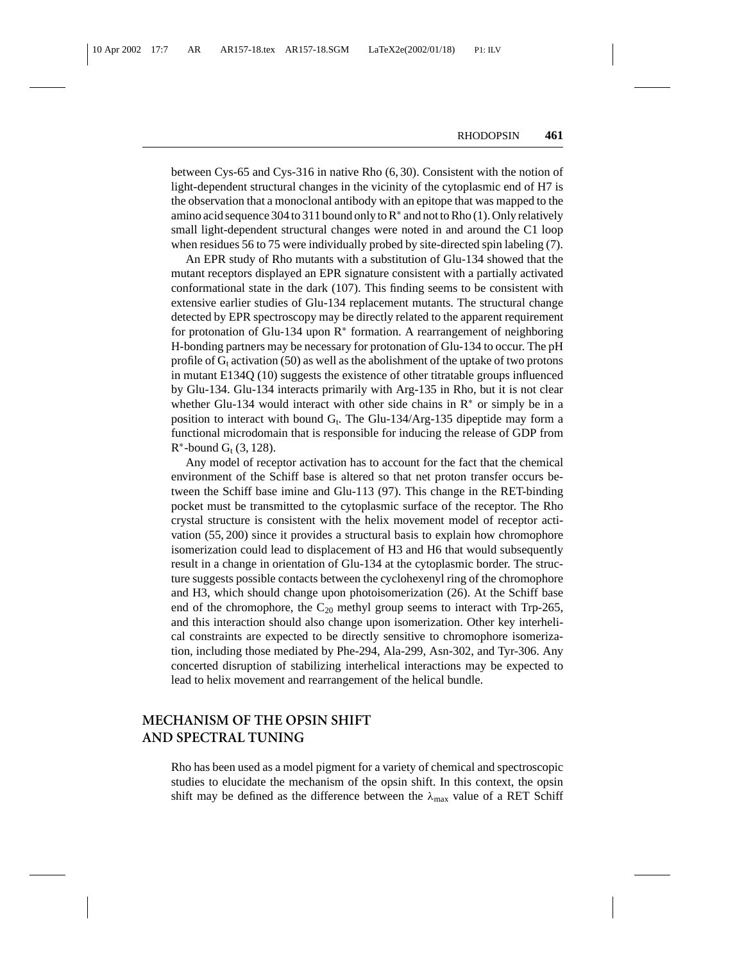between Cys-65 and Cys-316 in native Rho (6, 30). Consistent with the notion of light-dependent structural changes in the vicinity of the cytoplasmic end of H7 is the observation that a monoclonal antibody with an epitope that was mapped to the amino acid sequence 304 to 311 bound only to R<sup>∗</sup> and not to Rho (1). Only relatively small light-dependent structural changes were noted in and around the C1 loop when residues 56 to 75 were individually probed by site-directed spin labeling (7).

An EPR study of Rho mutants with a substitution of Glu-134 showed that the mutant receptors displayed an EPR signature consistent with a partially activated conformational state in the dark (107). This finding seems to be consistent with extensive earlier studies of Glu-134 replacement mutants. The structural change detected by EPR spectroscopy may be directly related to the apparent requirement for protonation of Glu-134 upon  $\mathbb{R}^*$  formation. A rearrangement of neighboring H-bonding partners may be necessary for protonation of Glu-134 to occur. The pH profile of  $G_t$  activation (50) as well as the abolishment of the uptake of two protons in mutant E134Q (10) suggests the existence of other titratable groups influenced by Glu-134. Glu-134 interacts primarily with Arg-135 in Rho, but it is not clear whether Glu-134 would interact with other side chains in  $\mathbb{R}^*$  or simply be in a position to interact with bound  $G_t$ . The Glu-134/Arg-135 dipeptide may form a functional microdomain that is responsible for inducing the release of GDP from  $R^*$ -bound  $G_t$  (3, 128).

Any model of receptor activation has to account for the fact that the chemical environment of the Schiff base is altered so that net proton transfer occurs between the Schiff base imine and Glu-113 (97). This change in the RET-binding pocket must be transmitted to the cytoplasmic surface of the receptor. The Rho crystal structure is consistent with the helix movement model of receptor activation (55, 200) since it provides a structural basis to explain how chromophore isomerization could lead to displacement of H3 and H6 that would subsequently result in a change in orientation of Glu-134 at the cytoplasmic border. The structure suggests possible contacts between the cyclohexenyl ring of the chromophore and H3, which should change upon photoisomerization (26). At the Schiff base end of the chromophore, the  $C_{20}$  methyl group seems to interact with Trp-265, and this interaction should also change upon isomerization. Other key interhelical constraints are expected to be directly sensitive to chromophore isomerization, including those mediated by Phe-294, Ala-299, Asn-302, and Tyr-306. Any concerted disruption of stabilizing interhelical interactions may be expected to lead to helix movement and rearrangement of the helical bundle.

# **MECHANISM OF THE OPSIN SHIFT AND SPECTRAL TUNING**

Rho has been used as a model pigment for a variety of chemical and spectroscopic studies to elucidate the mechanism of the opsin shift. In this context, the opsin shift may be defined as the difference between the  $\lambda_{\text{max}}$  value of a RET Schiff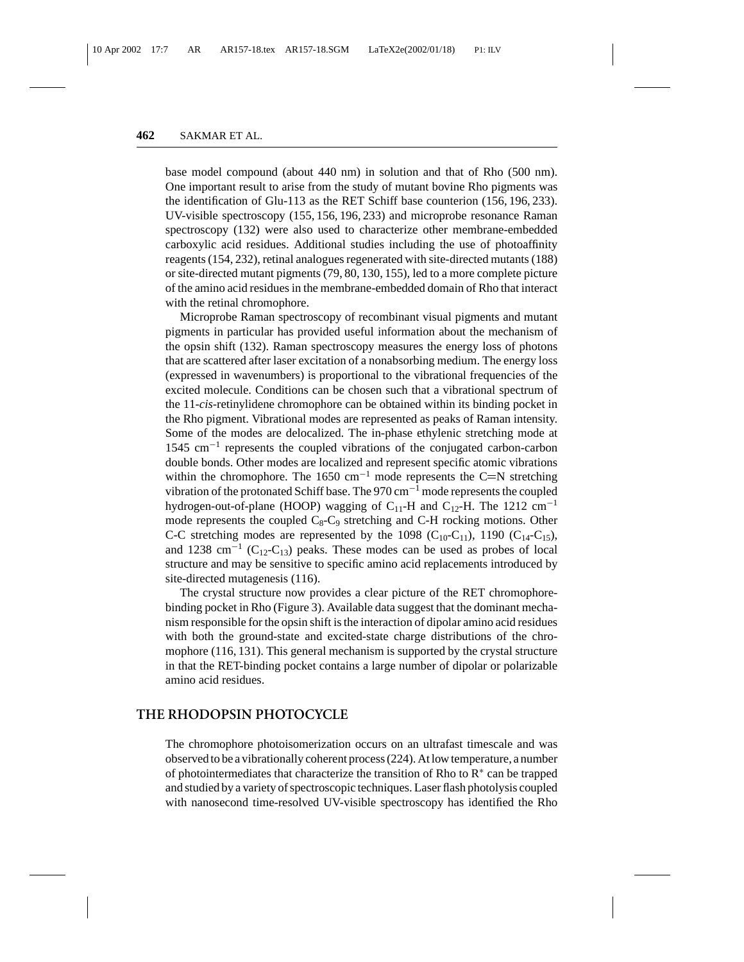base model compound (about 440 nm) in solution and that of Rho (500 nm). One important result to arise from the study of mutant bovine Rho pigments was the identification of Glu-113 as the RET Schiff base counterion (156, 196, 233). UV-visible spectroscopy (155, 156, 196, 233) and microprobe resonance Raman spectroscopy (132) were also used to characterize other membrane-embedded carboxylic acid residues. Additional studies including the use of photoaffinity reagents (154, 232), retinal analogues regenerated with site-directed mutants (188) or site-directed mutant pigments (79, 80, 130, 155), led to a more complete picture of the amino acid residues in the membrane-embedded domain of Rho that interact with the retinal chromophore.

Microprobe Raman spectroscopy of recombinant visual pigments and mutant pigments in particular has provided useful information about the mechanism of the opsin shift (132). Raman spectroscopy measures the energy loss of photons that are scattered after laser excitation of a nonabsorbing medium. The energy loss (expressed in wavenumbers) is proportional to the vibrational frequencies of the excited molecule. Conditions can be chosen such that a vibrational spectrum of the 11-*cis*-retinylidene chromophore can be obtained within its binding pocket in the Rho pigment. Vibrational modes are represented as peaks of Raman intensity. Some of the modes are delocalized. The in-phase ethylenic stretching mode at 1545 cm−<sup>1</sup> represents the coupled vibrations of the conjugated carbon-carbon double bonds. Other modes are localized and represent specific atomic vibrations within the chromophore. The 1650 cm<sup>-1</sup> mode represents the C=N stretching vibration of the protonated Schiff base. The 970 cm−<sup>1</sup> mode represents the coupled hydrogen-out-of-plane (HOOP) wagging of C<sub>11</sub>-H and C<sub>12</sub>-H. The 1212 cm<sup>-1</sup> mode represents the coupled  $C_8-C_9$  stretching and C-H rocking motions. Other C-C stretching modes are represented by the 1098 (C<sub>10</sub>-C<sub>11</sub>), 1190 (C<sub>14</sub>-C<sub>15</sub>), and 1238 cm<sup>-1</sup> (C<sub>12</sub>-C<sub>13</sub>) peaks. These modes can be used as probes of local structure and may be sensitive to specific amino acid replacements introduced by site-directed mutagenesis (116).

The crystal structure now provides a clear picture of the RET chromophorebinding pocket in Rho (Figure 3). Available data suggest that the dominant mechanism responsible for the opsin shift is the interaction of dipolar amino acid residues with both the ground-state and excited-state charge distributions of the chromophore (116, 131). This general mechanism is supported by the crystal structure in that the RET-binding pocket contains a large number of dipolar or polarizable amino acid residues.

#### **THE RHODOPSIN PHOTOCYCLE**

The chromophore photoisomerization occurs on an ultrafast timescale and was observed to be a vibrationally coherent process (224). At low temperature, a number of photointermediates that characterize the transition of Rho to R<sup>∗</sup> can be trapped and studied by a variety of spectroscopic techniques. Laser flash photolysis coupled with nanosecond time-resolved UV-visible spectroscopy has identified the Rho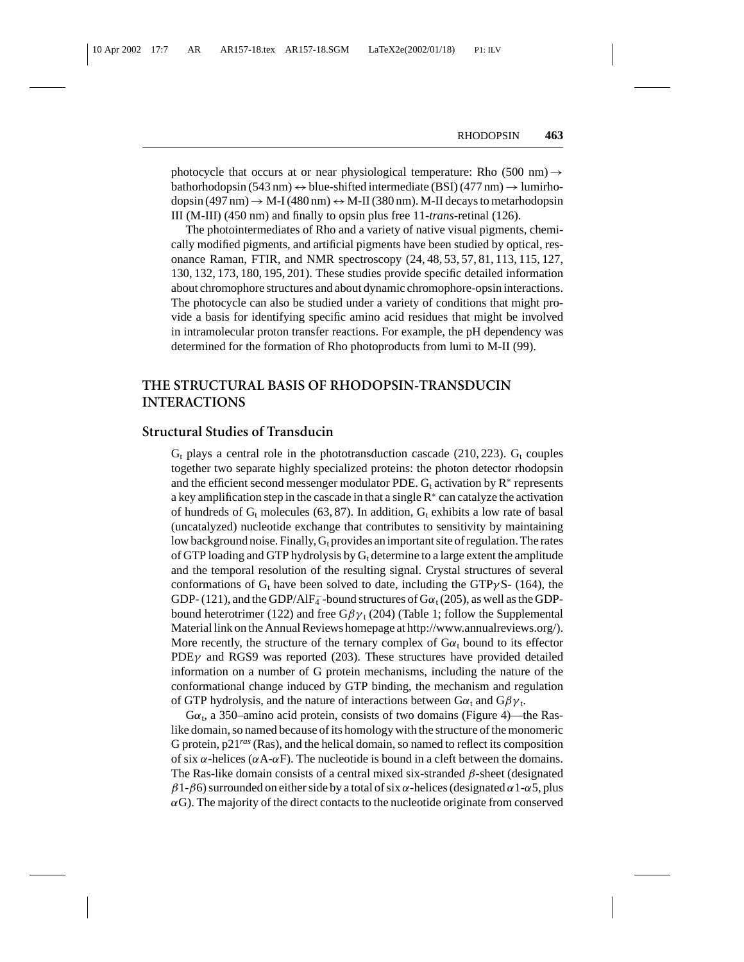photocycle that occurs at or near physiological temperature: Rho (500 nm) $\rightarrow$ bathorhodopsin (543 nm)  $\leftrightarrow$  blue-shifted intermediate (BSI) (477 nm)  $\rightarrow$  lumirhodopsin (497 nm)  $\rightarrow$  M-I (480 nm)  $\leftrightarrow$  M-II (380 nm). M-II decays to metarhodopsin III (M-III) (450 nm) and finally to opsin plus free 11-*trans*-retinal (126).

The photointermediates of Rho and a variety of native visual pigments, chemically modified pigments, and artificial pigments have been studied by optical, resonance Raman, FTIR, and NMR spectroscopy (24, 48, 53, 57, 81, 113, 115, 127, 130, 132, 173, 180, 195, 201). These studies provide specific detailed information about chromophore structures and about dynamic chromophore-opsin interactions. The photocycle can also be studied under a variety of conditions that might provide a basis for identifying specific amino acid residues that might be involved in intramolecular proton transfer reactions. For example, the pH dependency was determined for the formation of Rho photoproducts from lumi to M-II (99).

# **THE STRUCTURAL BASIS OF RHODOPSIN-TRANSDUCIN INTERACTIONS**

### **Structural Studies of Transducin**

 $G_t$  plays a central role in the phototransduction cascade (210, 223).  $G_t$  couples together two separate highly specialized proteins: the photon detector rhodopsin and the efficient second messenger modulator PDE.  $G_t$  activation by  $R^*$  represents a key amplification step in the cascade in that a single  $R<sup>*</sup>$  can catalyze the activation of hundreds of  $G_t$  molecules (63, 87). In addition,  $G_t$  exhibits a low rate of basal (uncatalyzed) nucleotide exchange that contributes to sensitivity by maintaining low background noise. Finally,  $G_t$  provides an important site of regulation. The rates of GTP loading and GTP hydrolysis by  $G_t$  determine to a large extent the amplitude and the temporal resolution of the resulting signal. Crystal structures of several conformations of  $G_t$  have been solved to date, including the GTP $\gamma$ S- (164), the GDP- (121), and the GDP/AlF<sub>4</sub><sup>-</sup>-bound structures of G $\alpha$ <sub>t</sub> (205), as well as the GDPbound heterotrimer (122) and free  $G\beta\gamma_t$  (204) (Table 1; follow the Supplemental Material link on the Annual Reviews homepage at http://www.annualreviews.org/). More recently, the structure of the ternary complex of  $G\alpha_t$  bound to its effector PDE $\gamma$  and RGS9 was reported (203). These structures have provided detailed information on a number of G protein mechanisms, including the nature of the conformational change induced by GTP binding, the mechanism and regulation of GTP hydrolysis, and the nature of interactions between  $G\alpha_t$  and  $G\beta\gamma_t$ .

 $G\alpha_t$ , a 350–amino acid protein, consists of two domains (Figure 4)—the Raslike domain, so named because of its homology with the structure of the monomeric G protein, p21*ras* (Ras), and the helical domain, so named to reflect its composition of six α-helices ( $αA-αF$ ). The nucleotide is bound in a cleft between the domains. The Ras-like domain consists of a central mixed six-stranded  $\beta$ -sheet (designated  $\beta$ 1- $\beta$ 6) surrounded on either side by a total of six  $\alpha$ -helices (designated  $\alpha$ 1- $\alpha$ 5, plus  $\alpha$ G). The majority of the direct contacts to the nucleotide originate from conserved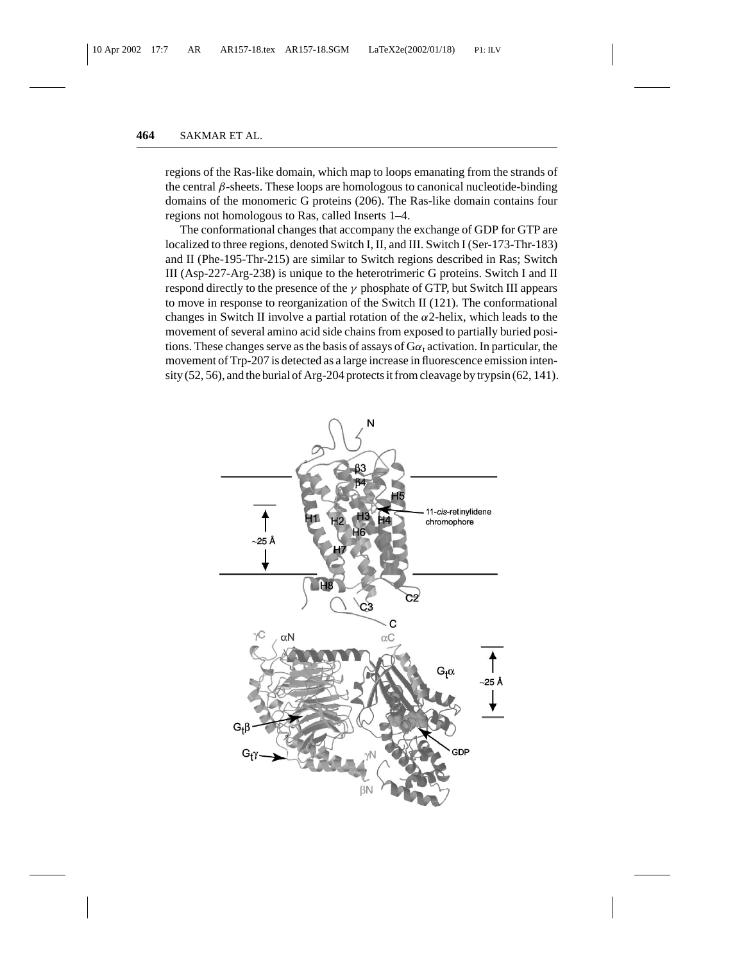regions of the Ras-like domain, which map to loops emanating from the strands of the central  $\beta$ -sheets. These loops are homologous to canonical nucleotide-binding domains of the monomeric G proteins (206). The Ras-like domain contains four regions not homologous to Ras, called Inserts 1–4.

The conformational changes that accompany the exchange of GDP for GTP are localized to three regions, denoted Switch I, II, and III. Switch I (Ser-173-Thr-183) and II (Phe-195-Thr-215) are similar to Switch regions described in Ras; Switch III (Asp-227-Arg-238) is unique to the heterotrimeric G proteins. Switch I and II respond directly to the presence of the  $\gamma$  phosphate of GTP, but Switch III appears to move in response to reorganization of the Switch II (121). The conformational changes in Switch II involve a partial rotation of the  $\alpha$ 2-helix, which leads to the movement of several amino acid side chains from exposed to partially buried positions. These changes serve as the basis of assays of  $G\alpha_t$  activation. In particular, the movement of Trp-207 is detected as a large increase in fluorescence emission intensity (52, 56), and the burial of Arg-204 protects it from cleavage by trypsin (62, 141).

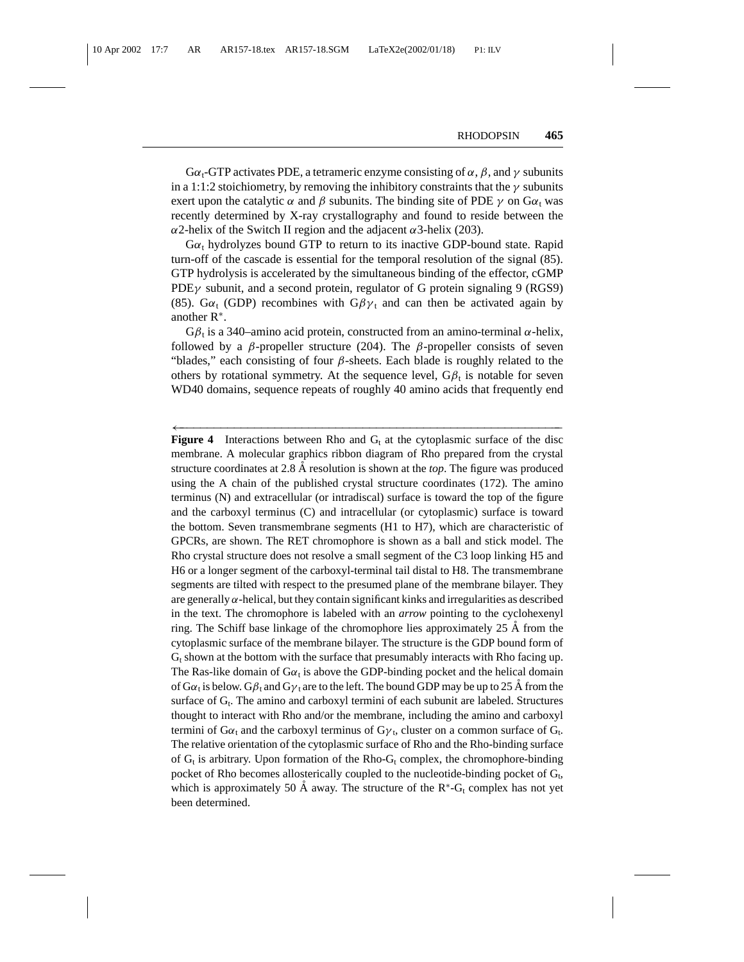G $\alpha_t$ -GTP activates PDE, a tetrameric enzyme consisting of  $\alpha$ ,  $\beta$ , and  $\gamma$  subunits in a 1:1:2 stoichiometry, by removing the inhibitory constraints that the  $\gamma$  subunits exert upon the catalytic  $\alpha$  and  $\beta$  subunits. The binding site of PDE  $\gamma$  on G $\alpha_t$  was recently determined by X-ray crystallography and found to reside between the α2-helix of the Switch II region and the adjacent α3-helix (203).

 $G\alpha_t$  hydrolyzes bound GTP to return to its inactive GDP-bound state. Rapid turn-off of the cascade is essential for the temporal resolution of the signal (85). GTP hydrolysis is accelerated by the simultaneous binding of the effector, cGMP PDE<sub> $\gamma$ </sub> subunit, and a second protein, regulator of G protein signaling 9 (RGS9) (85). G $\alpha_t$  (GDP) recombines with G $\beta y_t$  and can then be activated again by another R∗.

 $G\beta_t$  is a 340–amino acid protein, constructed from an amino-terminal  $\alpha$ -helix, followed by a  $\beta$ -propeller structure (204). The  $\beta$ -propeller consists of seven "blades," each consisting of four  $\beta$ -sheets. Each blade is roughly related to the others by rotational symmetry. At the sequence level,  $G\beta_t$  is notable for seven WD40 domains, sequence repeats of roughly 40 amino acids that frequently end

←−−−−−−−−−−−−−−−−−−−−−−−−−−−−−−−−−−−−−−−−−−−−−−−−−−−−−−−−− **Figure 4** Interactions between Rho and Gt at the cytoplasmic surface of the disc membrane. A molecular graphics ribbon diagram of Rho prepared from the crystal structure coordinates at 2.8  $\AA$  resolution is shown at the *top*. The figure was produced using the A chain of the published crystal structure coordinates (172). The amino terminus (N) and extracellular (or intradiscal) surface is toward the top of the figure and the carboxyl terminus (C) and intracellular (or cytoplasmic) surface is toward the bottom. Seven transmembrane segments (H1 to H7), which are characteristic of GPCRs, are shown. The RET chromophore is shown as a ball and stick model. The Rho crystal structure does not resolve a small segment of the C3 loop linking H5 and H6 or a longer segment of the carboxyl-terminal tail distal to H8. The transmembrane segments are tilted with respect to the presumed plane of the membrane bilayer. They are generally  $\alpha$ -helical, but they contain significant kinks and irregularities as described in the text. The chromophore is labeled with an *arrow* pointing to the cyclohexenyl ring. The Schiff base linkage of the chromophore lies approximately  $25 \text{ Å}$  from the cytoplasmic surface of the membrane bilayer. The structure is the GDP bound form of  $G_t$  shown at the bottom with the surface that presumably interacts with Rho facing up. The Ras-like domain of  $G\alpha_t$  is above the GDP-binding pocket and the helical domain of G $\alpha_t$  is below. G $\beta_t$  and G $\gamma_t$  are to the left. The bound GDP may be up to 25 Å from the surface of  $G_t$ . The amino and carboxyl termini of each subunit are labeled. Structures thought to interact with Rho and/or the membrane, including the amino and carboxyl termini of G $\alpha_t$  and the carboxyl terminus of G $\gamma_t$ , cluster on a common surface of G<sub>t</sub>. The relative orientation of the cytoplasmic surface of Rho and the Rho-binding surface of  $G_t$  is arbitrary. Upon formation of the Rho- $G_t$  complex, the chromophore-binding pocket of Rho becomes allosterically coupled to the nucleotide-binding pocket of  $G_t$ , which is approximately 50 Å away. The structure of the  $R^*$ -G<sub>t</sub> complex has not yet been determined.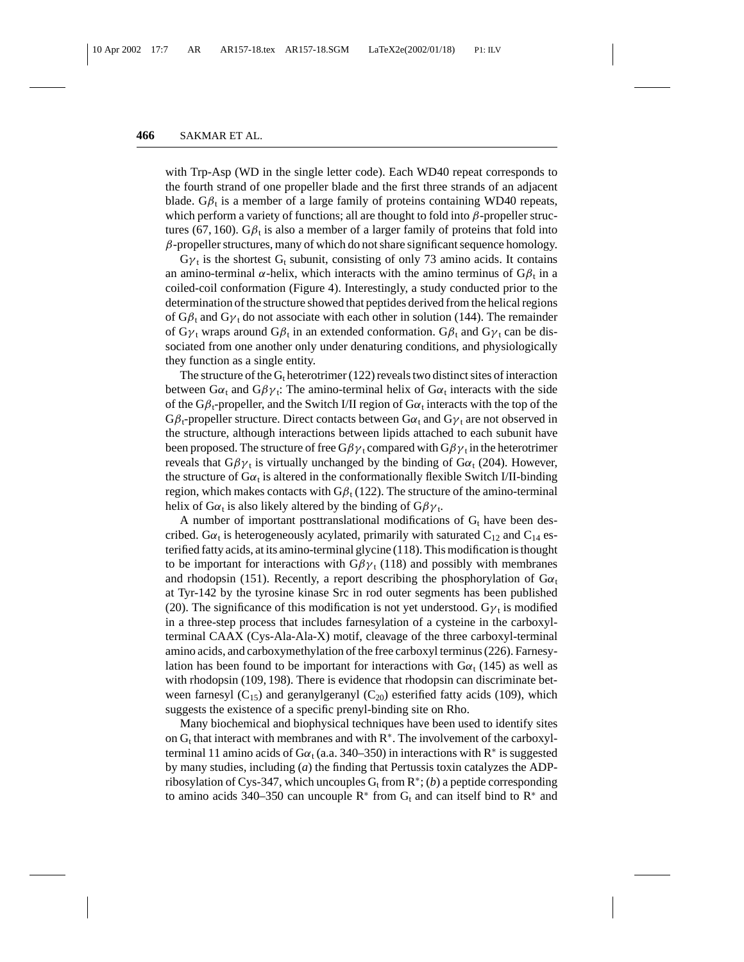with Trp-Asp (WD in the single letter code). Each WD40 repeat corresponds to the fourth strand of one propeller blade and the first three strands of an adjacent blade.  $G\beta_t$  is a member of a large family of proteins containing WD40 repeats, which perform a variety of functions; all are thought to fold into  $\beta$ -propeller structures (67, 160). G $\beta_t$  is also a member of a larger family of proteins that fold into  $\beta$ -propeller structures, many of which do not share significant sequence homology.

 $G_{\gamma t}$  is the shortest  $G_t$  subunit, consisting of only 73 amino acids. It contains an amino-terminal  $\alpha$ -helix, which interacts with the amino terminus of  $G\beta_t$  in a coiled-coil conformation (Figure 4). Interestingly, a study conducted prior to the determination of the structure showed that peptides derived from the helical regions of  $G\beta_t$  and  $G\gamma_t$  do not associate with each other in solution (144). The remainder of  $G\gamma_t$  wraps around  $G\beta_t$  in an extended conformation.  $G\beta_t$  and  $G\gamma_t$  can be dissociated from one another only under denaturing conditions, and physiologically they function as a single entity.

The structure of the  $G_t$  heterotrimer (122) reveals two distinct sites of interaction between G $\alpha_t$  and G $\beta \gamma_t$ : The amino-terminal helix of G $\alpha_t$  interacts with the side of the G $\beta_t$ -propeller, and the Switch I/II region of G $\alpha_t$  interacts with the top of the  $G\beta_t$ -propeller structure. Direct contacts between  $G\alpha_t$  and  $G\gamma_t$  are not observed in the structure, although interactions between lipids attached to each subunit have been proposed. The structure of free  $G\beta\gamma_t$  compared with  $G\beta\gamma_t$  in the heterotrimer reveals that  $G\beta\gamma_t$  is virtually unchanged by the binding of  $G\alpha_t$  (204). However, the structure of  $G\alpha_t$  is altered in the conformationally flexible Switch I/II-binding region, which makes contacts with  $G\beta_t$  (122). The structure of the amino-terminal helix of G $\alpha_t$  is also likely altered by the binding of G $\beta \gamma_t$ .

A number of important posttranslational modifications of  $G_t$  have been described. G $\alpha_t$  is heterogeneously acylated, primarily with saturated C<sub>12</sub> and C<sub>14</sub> esterified fatty acids, at its amino-terminal glycine (118). This modification is thought to be important for interactions with  $G\beta\gamma_t$  (118) and possibly with membranes and rhodopsin (151). Recently, a report describing the phosphorylation of  $Ga<sub>t</sub>$ at Tyr-142 by the tyrosine kinase Src in rod outer segments has been published (20). The significance of this modification is not yet understood.  $G_{\gamma_t}$  is modified in a three-step process that includes farnesylation of a cysteine in the carboxylterminal CAAX (Cys-Ala-Ala-X) motif, cleavage of the three carboxyl-terminal amino acids, and carboxymethylation of the free carboxyl terminus (226). Farnesylation has been found to be important for interactions with  $G\alpha_{t}$  (145) as well as with rhodopsin (109, 198). There is evidence that rhodopsin can discriminate between farnesyl  $(C_{15})$  and geranylgeranyl  $(C_{20})$  esterified fatty acids (109), which suggests the existence of a specific prenyl-binding site on Rho.

Many biochemical and biophysical techniques have been used to identify sites on  $G_t$  that interact with membranes and with  $R^*$ . The involvement of the carboxylterminal 11 amino acids of G $\alpha_t$  (a.a. 340–350) in interactions with R<sup>∗</sup> is suggested by many studies, including (*a*) the finding that Pertussis toxin catalyzes the ADPribosylation of Cys-347, which uncouples  $G_t$  from  $\mathbb{R}^*$ ; (*b*) a peptide corresponding to amino acids 340–350 can uncouple  $R^*$  from  $G_t$  and can itself bind to  $R^*$  and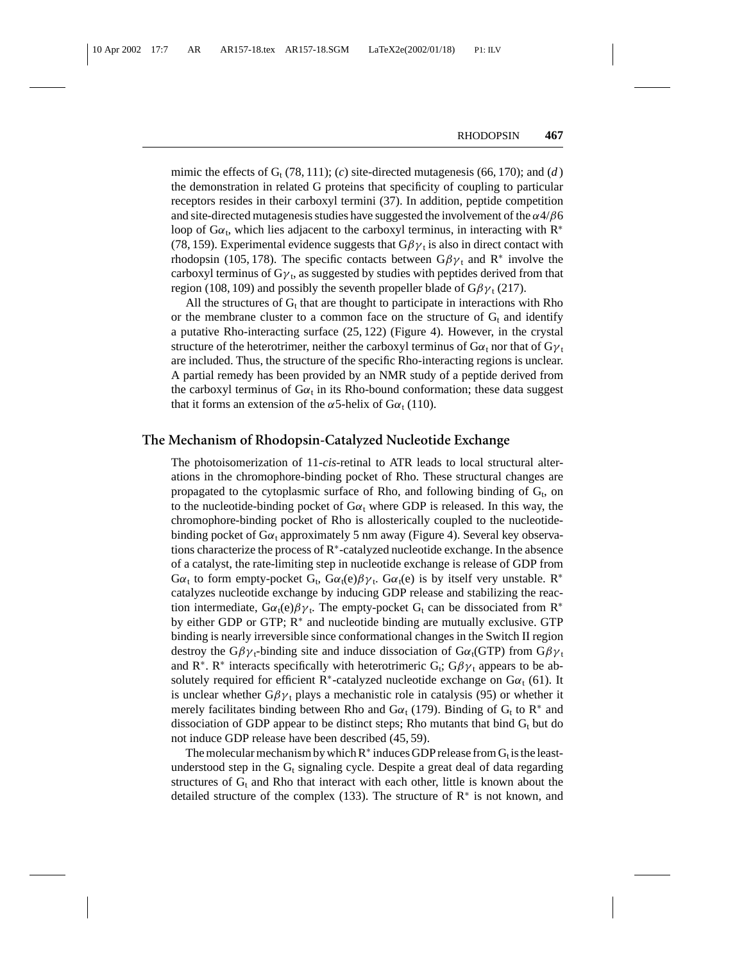mimic the effects of  $G_t$  (78, 111); (*c*) site-directed mutagenesis (66, 170); and (*d*) the demonstration in related G proteins that specificity of coupling to particular receptors resides in their carboxyl termini (37). In addition, peptide competition and site-directed mutagenesis studies have suggested the involvement of the  $\alpha$ 4/ $\beta$ 6 loop of  $G\alpha_t$ , which lies adjacent to the carboxyl terminus, in interacting with  $R^*$ (78, 159). Experimental evidence suggests that  $G\beta\gamma_t$  is also in direct contact with rhodopsin (105, 178). The specific contacts between  $G\beta\gamma_t$  and  $R^*$  involve the carboxyl terminus of  $G\gamma_1$ , as suggested by studies with peptides derived from that region (108, 109) and possibly the seventh propeller blade of  $G\beta\gamma_t$  (217).

All the structures of  $G_t$  that are thought to participate in interactions with Rho or the membrane cluster to a common face on the structure of  $G_t$  and identify a putative Rho-interacting surface (25, 122) (Figure 4). However, in the crystal structure of the heterotrimer, neither the carboxyl terminus of  $G\alpha_t$  nor that of  $G\gamma_t$ are included. Thus, the structure of the specific Rho-interacting regions is unclear. A partial remedy has been provided by an NMR study of a peptide derived from the carboxyl terminus of  $G\alpha_t$  in its Rho-bound conformation; these data suggest that it forms an extension of the  $\alpha$ 5-helix of G $\alpha$ <sub>t</sub> (110).

#### **The Mechanism of Rhodopsin-Catalyzed Nucleotide Exchange**

The photoisomerization of 11-*cis*-retinal to ATR leads to local structural alterations in the chromophore-binding pocket of Rho. These structural changes are propagated to the cytoplasmic surface of Rho, and following binding of  $G_t$ , on to the nucleotide-binding pocket of  $G\alpha_t$  where GDP is released. In this way, the chromophore-binding pocket of Rho is allosterically coupled to the nucleotidebinding pocket of  $G\alpha_1$  approximately 5 nm away (Figure 4). Several key observations characterize the process of R∗-catalyzed nucleotide exchange. In the absence of a catalyst, the rate-limiting step in nucleotide exchange is release of GDP from  $G\alpha_t$  to form empty-pocket  $G_t$ ,  $G\alpha_t(e)\beta\gamma_t$ .  $G\alpha_t(e)$  is by itself very unstable.  $R^*$ catalyzes nucleotide exchange by inducing GDP release and stabilizing the reaction intermediate,  $G\alpha_t(e)\beta\gamma_t$ . The empty-pocket  $G_t$  can be dissociated from  $\mathbb{R}^*$ by either GDP or GTP; R<sup>∗</sup> and nucleotide binding are mutually exclusive. GTP binding is nearly irreversible since conformational changes in the Switch II region destroy the Gβ $\gamma_t$ -binding site and induce dissociation of G $\alpha_t$ (GTP) from Gβ $\gamma_t$ and  $\mathbb{R}^*$ .  $\mathbb{R}^*$  interacts specifically with heterotrimeric  $G_t$ ;  $G\beta\gamma_t$  appears to be absolutely required for efficient R<sup>\*</sup>-catalyzed nucleotide exchange on  $G\alpha_t$  (61). It is unclear whether  $G\beta\gamma_t$  plays a mechanistic role in catalysis (95) or whether it merely facilitates binding between Rho and G $\alpha_t$  (179). Binding of G<sub>t</sub> to R<sup>∗</sup> and dissociation of GDP appear to be distinct steps; Rho mutants that bind  $G_t$  but do not induce GDP release have been described (45, 59).

The molecular mechanism by which  $R^*$  induces GDP release from  $G_t$  is the leastunderstood step in the  $G_t$  signaling cycle. Despite a great deal of data regarding structures of  $G_t$  and Rho that interact with each other, little is known about the detailed structure of the complex (133). The structure of  $\mathbb{R}^*$  is not known, and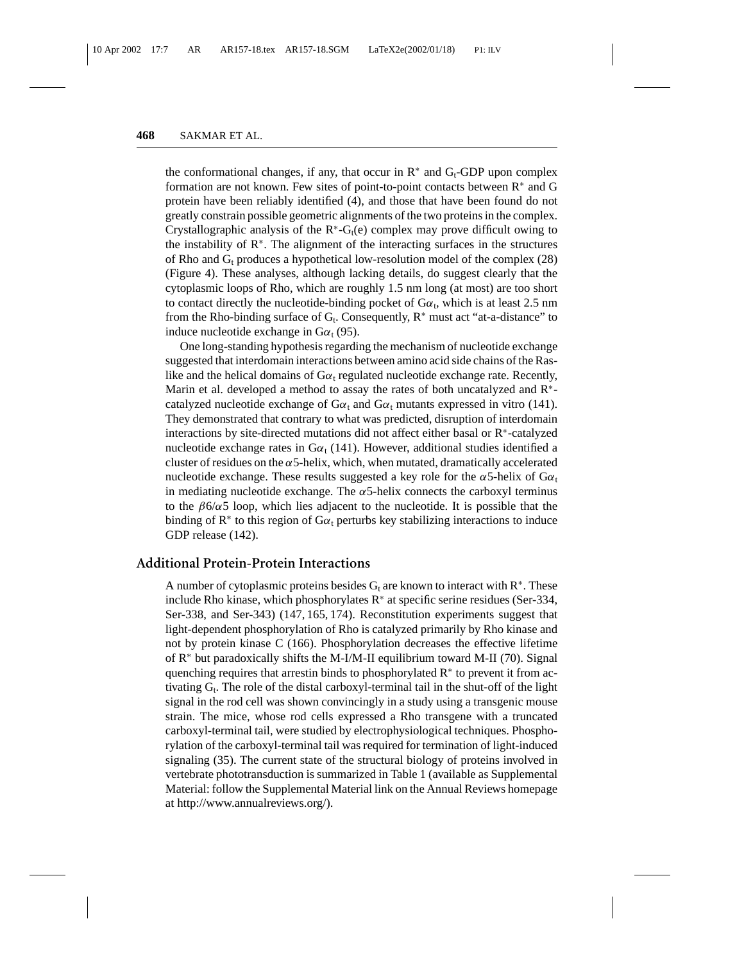the conformational changes, if any, that occur in  $R^*$  and  $G_t$ -GDP upon complex formation are not known. Few sites of point-to-point contacts between R<sup>∗</sup> and G protein have been reliably identified (4), and those that have been found do not greatly constrain possible geometric alignments of the two proteins in the complex. Crystallographic analysis of the  $R^*$ -G<sub>t</sub>(e) complex may prove difficult owing to the instability of  $\mathbb{R}^*$ . The alignment of the interacting surfaces in the structures of Rho and  $G_t$  produces a hypothetical low-resolution model of the complex (28) (Figure 4). These analyses, although lacking details, do suggest clearly that the cytoplasmic loops of Rho, which are roughly 1.5 nm long (at most) are too short to contact directly the nucleotide-binding pocket of  $Ga<sub>t</sub>$ , which is at least 2.5 nm from the Rho-binding surface of  $G_t$ . Consequently,  $R^*$  must act "at-a-distance" to induce nucleotide exchange in  $Ga<sub>t</sub>$  (95).

One long-standing hypothesis regarding the mechanism of nucleotide exchange suggested that interdomain interactions between amino acid side chains of the Raslike and the helical domains of  $G\alpha_t$  regulated nucleotide exchange rate. Recently, Marin et al. developed a method to assay the rates of both uncatalyzed and R∗ catalyzed nucleotide exchange of  $G\alpha_t$  and  $G\alpha_t$  mutants expressed in vitro (141). They demonstrated that contrary to what was predicted, disruption of interdomain interactions by site-directed mutations did not affect either basal or R∗-catalyzed nucleotide exchange rates in  $G\alpha_t$  (141). However, additional studies identified a cluster of residues on the  $\alpha$ 5-helix, which, when mutated, dramatically accelerated nucleotide exchange. These results suggested a key role for the  $\alpha$ 5-helix of G $\alpha$ <sub>t</sub> in mediating nucleotide exchange. The  $\alpha$ 5-helix connects the carboxyl terminus to the  $\beta 6/\alpha 5$  loop, which lies adjacent to the nucleotide. It is possible that the binding of  $\mathbb{R}^*$  to this region of  $G\alpha_t$  perturbs key stabilizing interactions to induce GDP release (142).

#### **Additional Protein-Protein Interactions**

A number of cytoplasmic proteins besides  $G_t$  are known to interact with  $\mathbb{R}^*$ . These include Rho kinase, which phosphorylates R<sup>∗</sup> at specific serine residues (Ser-334, Ser-338, and Ser-343) (147, 165, 174). Reconstitution experiments suggest that light-dependent phosphorylation of Rho is catalyzed primarily by Rho kinase and not by protein kinase C (166). Phosphorylation decreases the effective lifetime of R<sup>∗</sup> but paradoxically shifts the M-I/M-II equilibrium toward M-II (70). Signal quenching requires that arrestin binds to phosphorylated  $\mathbb{R}^*$  to prevent it from activating  $G_t$ . The role of the distal carboxyl-terminal tail in the shut-off of the light signal in the rod cell was shown convincingly in a study using a transgenic mouse strain. The mice, whose rod cells expressed a Rho transgene with a truncated carboxyl-terminal tail, were studied by electrophysiological techniques. Phosphorylation of the carboxyl-terminal tail was required for termination of light-induced signaling (35). The current state of the structural biology of proteins involved in vertebrate phototransduction is summarized in Table 1 (available as Supplemental Material: follow the Supplemental Material link on the Annual Reviews homepage at http://www.annualreviews.org/).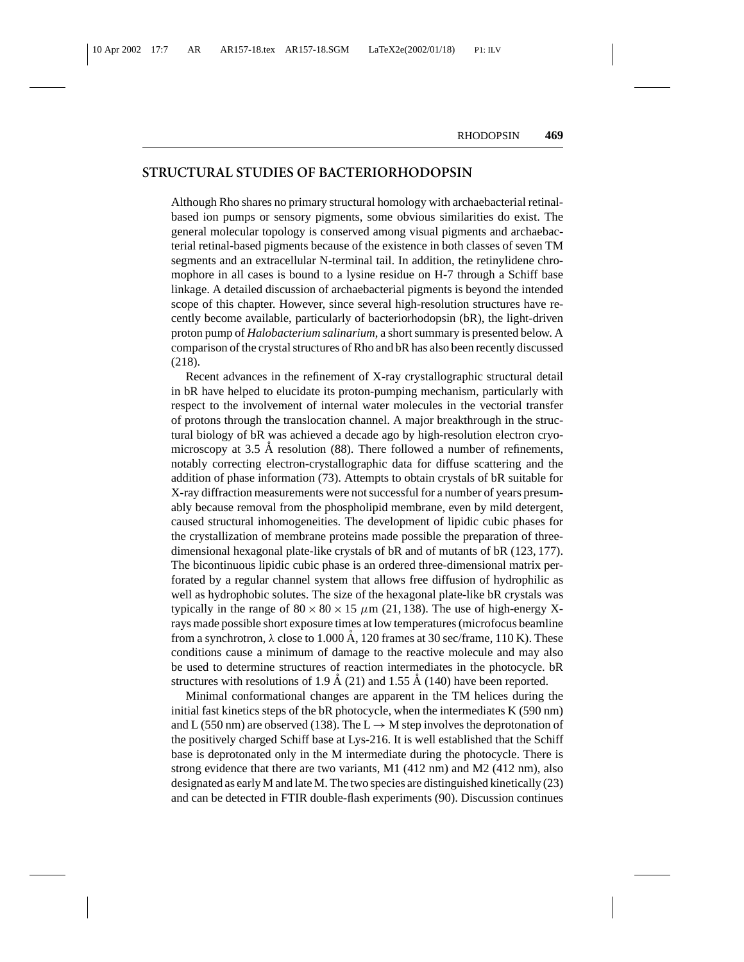#### **STRUCTURAL STUDIES OF BACTERIORHODOPSIN**

Although Rho shares no primary structural homology with archaebacterial retinalbased ion pumps or sensory pigments, some obvious similarities do exist. The general molecular topology is conserved among visual pigments and archaebacterial retinal-based pigments because of the existence in both classes of seven TM segments and an extracellular N-terminal tail. In addition, the retinylidene chromophore in all cases is bound to a lysine residue on H-7 through a Schiff base linkage. A detailed discussion of archaebacterial pigments is beyond the intended scope of this chapter. However, since several high-resolution structures have recently become available, particularly of bacteriorhodopsin (bR), the light-driven proton pump of *Halobacterium salinarium*, a short summary is presented below. A comparison of the crystal structures of Rho and bR has also been recently discussed (218).

Recent advances in the refinement of X-ray crystallographic structural detail in bR have helped to elucidate its proton-pumping mechanism, particularly with respect to the involvement of internal water molecules in the vectorial transfer of protons through the translocation channel. A major breakthrough in the structural biology of bR was achieved a decade ago by high-resolution electron cryomicroscopy at  $3.5$  Å resolution (88). There followed a number of refinements, notably correcting electron-crystallographic data for diffuse scattering and the addition of phase information (73). Attempts to obtain crystals of bR suitable for X-ray diffraction measurements were not successful for a number of years presumably because removal from the phospholipid membrane, even by mild detergent, caused structural inhomogeneities. The development of lipidic cubic phases for the crystallization of membrane proteins made possible the preparation of threedimensional hexagonal plate-like crystals of bR and of mutants of bR (123, 177). The bicontinuous lipidic cubic phase is an ordered three-dimensional matrix perforated by a regular channel system that allows free diffusion of hydrophilic as well as hydrophobic solutes. The size of the hexagonal plate-like bR crystals was typically in the range of  $80 \times 80 \times 15 \mu m$  (21, 138). The use of high-energy Xrays made possible short exposure times at low temperatures (microfocus beamline from a synchrotron,  $\lambda$  close to 1.000 Å, 120 frames at 30 sec/frame, 110 K). These conditions cause a minimum of damage to the reactive molecule and may also be used to determine structures of reaction intermediates in the photocycle. bR structures with resolutions of 1.9 Å (21) and 1.55 Å (140) have been reported.

Minimal conformational changes are apparent in the TM helices during the initial fast kinetics steps of the bR photocycle, when the intermediates K (590 nm) and L (550 nm) are observed (138). The  $L \rightarrow M$  step involves the deprotonation of the positively charged Schiff base at Lys-216. It is well established that the Schiff base is deprotonated only in the M intermediate during the photocycle. There is strong evidence that there are two variants, M1 (412 nm) and M2 (412 nm), also designated as early M and late M. The two species are distinguished kinetically (23) and can be detected in FTIR double-flash experiments (90). Discussion continues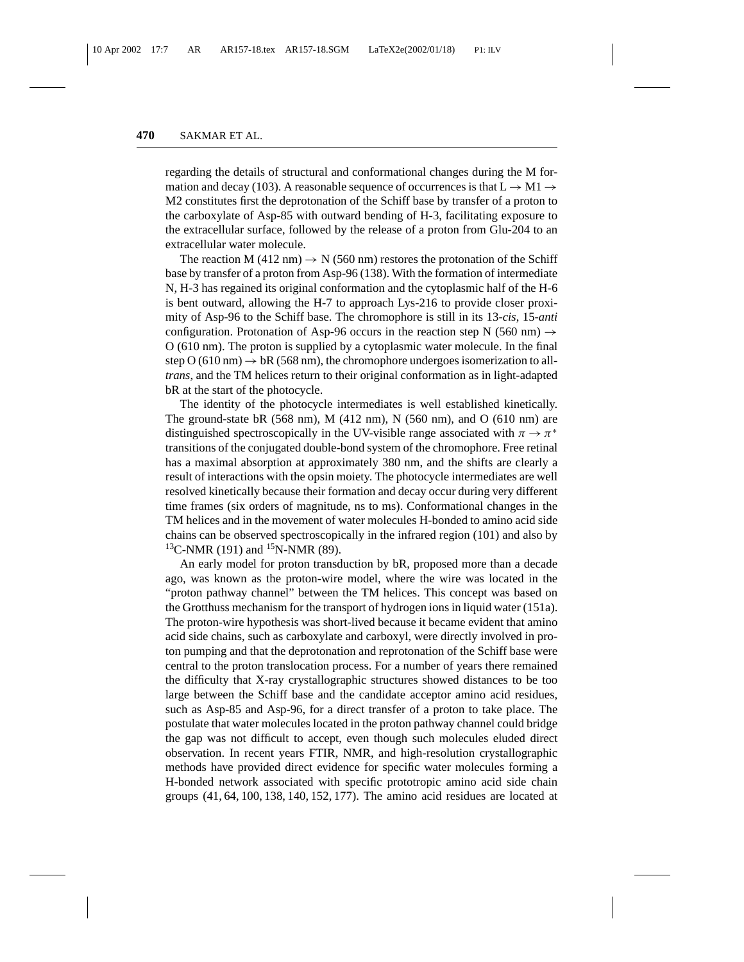regarding the details of structural and conformational changes during the M formation and decay (103). A reasonable sequence of occurrences is that  $L \rightarrow M1 \rightarrow$ M2 constitutes first the deprotonation of the Schiff base by transfer of a proton to the carboxylate of Asp-85 with outward bending of H-3, facilitating exposure to the extracellular surface, followed by the release of a proton from Glu-204 to an extracellular water molecule.

The reaction M (412 nm)  $\rightarrow$  N (560 nm) restores the protonation of the Schiff base by transfer of a proton from Asp-96 (138). With the formation of intermediate N, H-3 has regained its original conformation and the cytoplasmic half of the H-6 is bent outward, allowing the H-7 to approach Lys-216 to provide closer proximity of Asp-96 to the Schiff base. The chromophore is still in its 13-*cis*, 15-*anti* configuration. Protonation of Asp-96 occurs in the reaction step N (560 nm)  $\rightarrow$ O (610 nm). The proton is supplied by a cytoplasmic water molecule. In the final step O (610 nm)  $\rightarrow$  bR (568 nm), the chromophore undergoes isomerization to all*trans*, and the TM helices return to their original conformation as in light-adapted bR at the start of the photocycle.

The identity of the photocycle intermediates is well established kinetically. The ground-state bR (568 nm), M (412 nm), N (560 nm), and O (610 nm) are distinguished spectroscopically in the UV-visible range associated with  $\pi \rightarrow \pi^*$ transitions of the conjugated double-bond system of the chromophore. Free retinal has a maximal absorption at approximately 380 nm, and the shifts are clearly a result of interactions with the opsin moiety. The photocycle intermediates are well resolved kinetically because their formation and decay occur during very different time frames (six orders of magnitude, ns to ms). Conformational changes in the TM helices and in the movement of water molecules H-bonded to amino acid side chains can be observed spectroscopically in the infrared region (101) and also by  $^{13}$ C-NMR (191) and  $^{15}$ N-NMR (89).

An early model for proton transduction by bR, proposed more than a decade ago, was known as the proton-wire model, where the wire was located in the "proton pathway channel" between the TM helices. This concept was based on the Grotthuss mechanism for the transport of hydrogen ions in liquid water (151a). The proton-wire hypothesis was short-lived because it became evident that amino acid side chains, such as carboxylate and carboxyl, were directly involved in proton pumping and that the deprotonation and reprotonation of the Schiff base were central to the proton translocation process. For a number of years there remained the difficulty that X-ray crystallographic structures showed distances to be too large between the Schiff base and the candidate acceptor amino acid residues, such as Asp-85 and Asp-96, for a direct transfer of a proton to take place. The postulate that water molecules located in the proton pathway channel could bridge the gap was not difficult to accept, even though such molecules eluded direct observation. In recent years FTIR, NMR, and high-resolution crystallographic methods have provided direct evidence for specific water molecules forming a H-bonded network associated with specific prototropic amino acid side chain groups (41, 64, 100, 138, 140, 152, 177). The amino acid residues are located at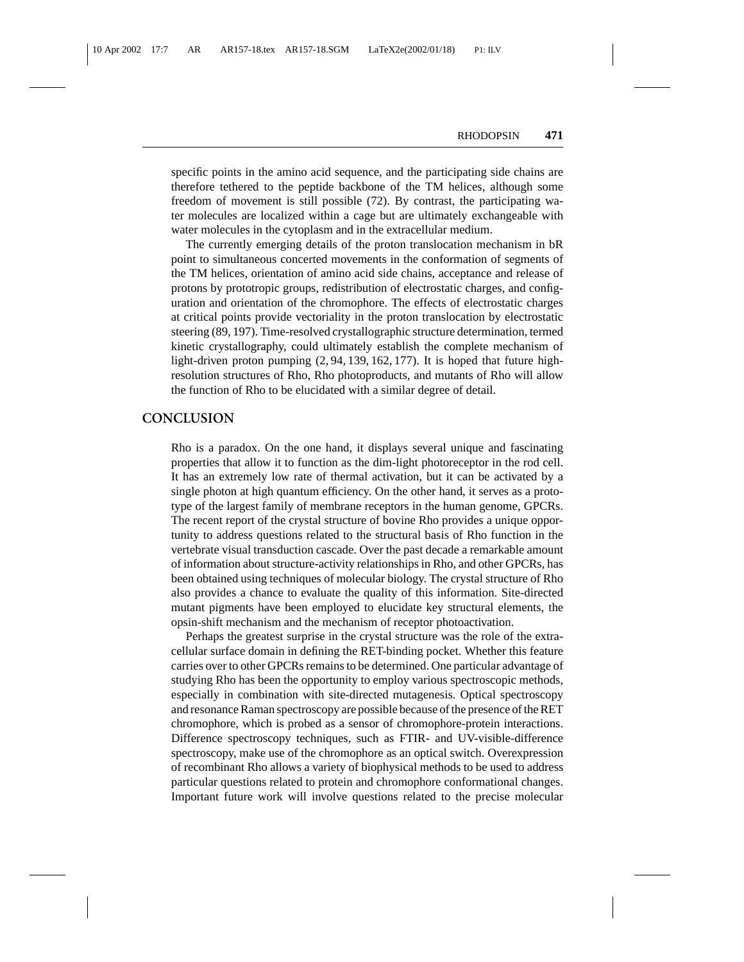specific points in the amino acid sequence, and the participating side chains are therefore tethered to the peptide backbone of the TM helices, although some freedom of movement is still possible (72). By contrast, the participating water molecules are localized within a cage but are ultimately exchangeable with water molecules in the cytoplasm and in the extracellular medium.

The currently emerging details of the proton translocation mechanism in bR point to simultaneous concerted movements in the conformation of segments of the TM helices, orientation of amino acid side chains, acceptance and release of protons by prototropic groups, redistribution of electrostatic charges, and configuration and orientation of the chromophore. The effects of electrostatic charges at critical points provide vectoriality in the proton translocation by electrostatic steering (89, 197). Time-resolved crystallographic structure determination, termed kinetic crystallography, could ultimately establish the complete mechanism of light-driven proton pumping  $(2, 94, 139, 162, 177)$ . It is hoped that future highresolution structures of Rho, Rho photoproducts, and mutants of Rho will allow the function of Rho to be elucidated with a similar degree of detail.

#### **CONCLUSION**

Rho is a paradox. On the one hand, it displays several unique and fascinating properties that allow it to function as the dim-light photoreceptor in the rod cell. It has an extremely low rate of thermal activation, but it can be activated by a single photon at high quantum efficiency. On the other hand, it serves as a prototype of the largest family of membrane receptors in the human genome, GPCRs. The recent report of the crystal structure of bovine Rho provides a unique opportunity to address questions related to the structural basis of Rho function in the vertebrate visual transduction cascade. Over the past decade a remarkable amount of information about structure-activity relationships in Rho, and other GPCRs, has been obtained using techniques of molecular biology. The crystal structure of Rho also provides a chance to evaluate the quality of this information. Site-directed mutant pigments have been employed to elucidate key structural elements, the opsin-shift mechanism and the mechanism of receptor photoactivation.

Perhaps the greatest surprise in the crystal structure was the role of the extracellular surface domain in defining the RET-binding pocket. Whether this feature carries over to other GPCRs remains to be determined. One particular advantage of studying Rho has been the opportunity to employ various spectroscopic methods, especially in combination with site-directed mutagenesis. Optical spectroscopy and resonance Raman spectroscopy are possible because of the presence of the RET chromophore, which is probed as a sensor of chromophore-protein interactions. Difference spectroscopy techniques, such as FTIR- and UV-visible-difference spectroscopy, make use of the chromophore as an optical switch. Overexpression of recombinant Rho allows a variety of biophysical methods to be used to address particular questions related to protein and chromophore conformational changes. Important future work will involve questions related to the precise molecular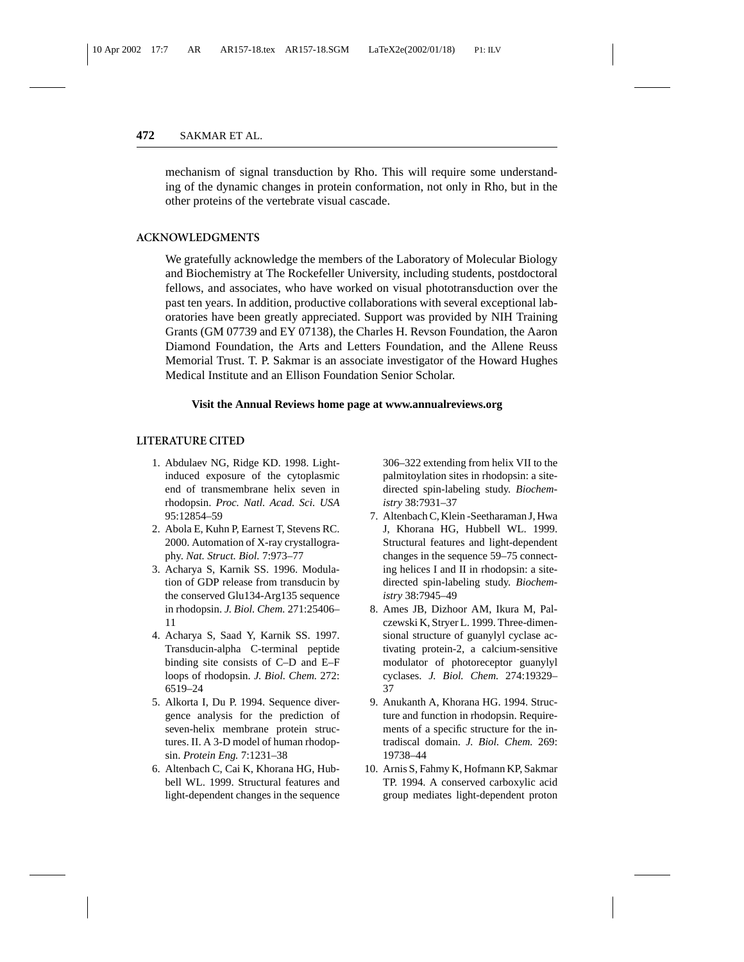mechanism of signal transduction by Rho. This will require some understanding of the dynamic changes in protein conformation, not only in Rho, but in the other proteins of the vertebrate visual cascade.

#### **ACKNOWLEDGMENTS**

We gratefully acknowledge the members of the Laboratory of Molecular Biology and Biochemistry at The Rockefeller University, including students, postdoctoral fellows, and associates, who have worked on visual phototransduction over the past ten years. In addition, productive collaborations with several exceptional laboratories have been greatly appreciated. Support was provided by NIH Training Grants (GM 07739 and EY 07138), the Charles H. Revson Foundation, the Aaron Diamond Foundation, the Arts and Letters Foundation, and the Allene Reuss Memorial Trust. T. P. Sakmar is an associate investigator of the Howard Hughes Medical Institute and an Ellison Foundation Senior Scholar.

#### **Visit the Annual Reviews home page at www.annualreviews.org**

#### **LITERATURE CITED**

- 1. Abdulaev NG, Ridge KD. 1998. Lightinduced exposure of the cytoplasmic end of transmembrane helix seven in rhodopsin. *Proc. Natl. Acad. Sci. USA* 95:12854–59
- 2. Abola E, Kuhn P, Earnest T, Stevens RC. 2000. Automation of X-ray crystallography. *Nat. Struct. Biol.* 7:973–77
- 3. Acharya S, Karnik SS. 1996. Modulation of GDP release from transducin by the conserved Glu134-Arg135 sequence in rhodopsin. *J. Biol. Chem.* 271:25406– 11
- 4. Acharya S, Saad Y, Karnik SS. 1997. Transducin-alpha C-terminal peptide binding site consists of C–D and E–F loops of rhodopsin. *J. Biol. Chem.* 272: 6519–24
- 5. Alkorta I, Du P. 1994. Sequence divergence analysis for the prediction of seven-helix membrane protein structures. II. A 3-D model of human rhodopsin. *Protein Eng.* 7:1231–38
- 6. Altenbach C, Cai K, Khorana HG, Hubbell WL. 1999. Structural features and light-dependent changes in the sequence

306–322 extending from helix VII to the palmitoylation sites in rhodopsin: a sitedirected spin-labeling study. *Biochemistry* 38:7931–37

- 7. Altenbach C, Klein -Seetharaman J, Hwa J, Khorana HG, Hubbell WL. 1999. Structural features and light-dependent changes in the sequence 59–75 connecting helices I and II in rhodopsin: a sitedirected spin-labeling study. *Biochemistry* 38:7945–49
- 8. Ames JB, Dizhoor AM, Ikura M, Palczewski K, Stryer L. 1999. Three-dimensional structure of guanylyl cyclase activating protein-2, a calcium-sensitive modulator of photoreceptor guanylyl cyclases. *J. Biol. Chem.* 274:19329– 37
- 9. Anukanth A, Khorana HG. 1994. Structure and function in rhodopsin. Requirements of a specific structure for the intradiscal domain. *J. Biol. Chem.* 269: 19738–44
- 10. Arnis S, Fahmy K, Hofmann KP, Sakmar TP. 1994. A conserved carboxylic acid group mediates light-dependent proton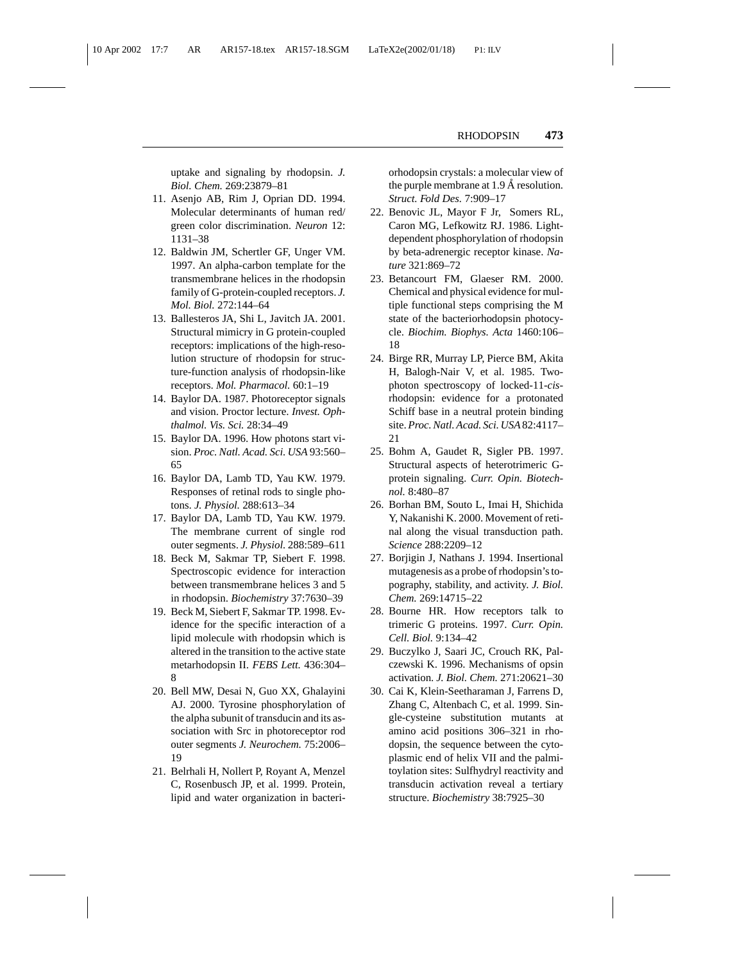uptake and signaling by rhodopsin. *J. Biol. Chem.* 269:23879–81

- 11. Asenjo AB, Rim J, Oprian DD. 1994. Molecular determinants of human red/ green color discrimination. *Neuron* 12: 1131–38
- 12. Baldwin JM, Schertler GF, Unger VM. 1997. An alpha-carbon template for the transmembrane helices in the rhodopsin family of G-protein-coupled receptors. *J. Mol. Biol.* 272:144–64
- 13. Ballesteros JA, Shi L, Javitch JA. 2001. Structural mimicry in G protein-coupled receptors: implications of the high-resolution structure of rhodopsin for structure-function analysis of rhodopsin-like receptors. *Mol. Pharmacol.* 60:1–19
- 14. Baylor DA. 1987. Photoreceptor signals and vision. Proctor lecture. *Invest. Ophthalmol. Vis. Sci.* 28:34–49
- 15. Baylor DA. 1996. How photons start vision. *Proc. Natl. Acad. Sci. USA* 93:560– 65
- 16. Baylor DA, Lamb TD, Yau KW. 1979. Responses of retinal rods to single photons. *J. Physiol.* 288:613–34
- 17. Baylor DA, Lamb TD, Yau KW. 1979. The membrane current of single rod outer segments. *J. Physiol.* 288:589–611
- 18. Beck M, Sakmar TP, Siebert F. 1998. Spectroscopic evidence for interaction between transmembrane helices 3 and 5 in rhodopsin. *Biochemistry* 37:7630–39
- 19. Beck M, Siebert F, Sakmar TP. 1998. Evidence for the specific interaction of a lipid molecule with rhodopsin which is altered in the transition to the active state metarhodopsin II. *FEBS Lett.* 436:304– 8
- 20. Bell MW, Desai N, Guo XX, Ghalayini AJ. 2000. Tyrosine phosphorylation of the alpha subunit of transducin and its association with Src in photoreceptor rod outer segments *J. Neurochem.* 75:2006– 19
- 21. Belrhali H, Nollert P, Royant A, Menzel C, Rosenbusch JP, et al. 1999. Protein, lipid and water organization in bacteri-

orhodopsin crystals: a molecular view of the purple membrane at  $1.9 \text{ Å}$  resolution. *Struct. Fold Des.* 7:909–17

- 22. Benovic JL, Mayor F Jr, Somers RL, Caron MG, Lefkowitz RJ. 1986. Lightdependent phosphorylation of rhodopsin by beta-adrenergic receptor kinase. *Nature* 321:869–72
- 23. Betancourt FM, Glaeser RM. 2000. Chemical and physical evidence for multiple functional steps comprising the M state of the bacteriorhodopsin photocycle. *Biochim. Biophys. Acta* 1460:106– 18
- 24. Birge RR, Murray LP, Pierce BM, Akita H, Balogh-Nair V, et al. 1985. Twophoton spectroscopy of locked-11-*cis*rhodopsin: evidence for a protonated Schiff base in a neutral protein binding site.*Proc. Natl. Acad. Sci. USA*82:4117– 21
- 25. Bohm A, Gaudet R, Sigler PB. 1997. Structural aspects of heterotrimeric Gprotein signaling. *Curr. Opin. Biotechnol.* 8:480–87
- 26. Borhan BM, Souto L, Imai H, Shichida Y, Nakanishi K. 2000. Movement of retinal along the visual transduction path. *Science* 288:2209–12
- 27. Borjigin J, Nathans J. 1994. Insertional mutagenesis as a probe of rhodopsin's topography, stability, and activity. *J. Biol. Chem.* 269:14715–22
- 28. Bourne HR. How receptors talk to trimeric G proteins. 1997. *Curr. Opin. Cell. Biol.* 9:134–42
- 29. Buczylko J, Saari JC, Crouch RK, Palczewski K. 1996. Mechanisms of opsin activation. *J. Biol. Chem.* 271:20621–30
- 30. Cai K, Klein-Seetharaman J, Farrens D, Zhang C, Altenbach C, et al. 1999. Single-cysteine substitution mutants at amino acid positions 306–321 in rhodopsin, the sequence between the cytoplasmic end of helix VII and the palmitoylation sites: Sulfhydryl reactivity and transducin activation reveal a tertiary structure. *Biochemistry* 38:7925–30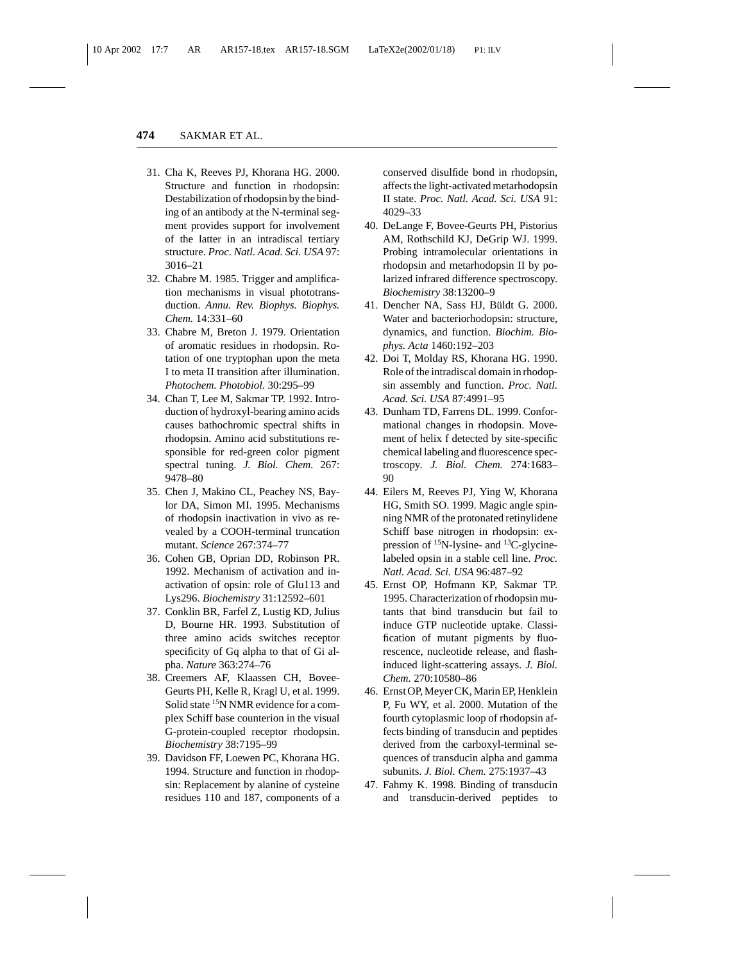- 31. Cha K, Reeves PJ, Khorana HG. 2000. Structure and function in rhodopsin: Destabilization of rhodopsin by the binding of an antibody at the N-terminal segment provides support for involvement of the latter in an intradiscal tertiary structure. *Proc. Natl. Acad. Sci. USA* 97: 3016–21
- 32. Chabre M. 1985. Trigger and amplification mechanisms in visual phototransduction. *Annu. Rev. Biophys. Biophys. Chem.* 14:331–60
- 33. Chabre M, Breton J. 1979. Orientation of aromatic residues in rhodopsin. Rotation of one tryptophan upon the meta I to meta II transition after illumination. *Photochem. Photobiol.* 30:295–99
- 34. Chan T, Lee M, Sakmar TP. 1992. Introduction of hydroxyl-bearing amino acids causes bathochromic spectral shifts in rhodopsin. Amino acid substitutions responsible for red-green color pigment spectral tuning. *J. Biol. Chem.* 267: 9478–80
- 35. Chen J, Makino CL, Peachey NS, Baylor DA, Simon MI. 1995. Mechanisms of rhodopsin inactivation in vivo as revealed by a COOH-terminal truncation mutant. *Science* 267:374–77
- 36. Cohen GB, Oprian DD, Robinson PR. 1992. Mechanism of activation and inactivation of opsin: role of Glu113 and Lys296. *Biochemistry* 31:12592–601
- 37. Conklin BR, Farfel Z, Lustig KD, Julius D, Bourne HR. 1993. Substitution of three amino acids switches receptor specificity of Gq alpha to that of Gi alpha. *Nature* 363:274–76
- 38. Creemers AF, Klaassen CH, Bovee-Geurts PH, Kelle R, Kragl U, et al. 1999. Solid state <sup>15</sup>N NMR evidence for a complex Schiff base counterion in the visual G-protein-coupled receptor rhodopsin. *Biochemistry* 38:7195–99
- 39. Davidson FF, Loewen PC, Khorana HG. 1994. Structure and function in rhodopsin: Replacement by alanine of cysteine residues 110 and 187, components of a

conserved disulfide bond in rhodopsin, affects the light-activated metarhodopsin II state. *Proc. Natl. Acad. Sci. USA* 91: 4029–33

- 40. DeLange F, Bovee-Geurts PH, Pistorius AM, Rothschild KJ, DeGrip WJ. 1999. Probing intramolecular orientations in rhodopsin and metarhodopsin II by polarized infrared difference spectroscopy. *Biochemistry* 38:13200–9
- 41. Dencher NA, Sass HJ, Büldt G. 2000. Water and bacteriorhodopsin: structure, dynamics, and function. *Biochim. Biophys. Acta* 1460:192–203
- 42. Doi T, Molday RS, Khorana HG. 1990. Role of the intradiscal domain in rhodopsin assembly and function. *Proc. Natl. Acad. Sci. USA* 87:4991–95
- 43. Dunham TD, Farrens DL. 1999. Conformational changes in rhodopsin. Movement of helix f detected by site-specific chemical labeling and fluorescence spectroscopy. *J. Biol. Chem.* 274:1683– 90
- 44. Eilers M, Reeves PJ, Ying W, Khorana HG, Smith SO. 1999. Magic angle spinning NMR of the protonated retinylidene Schiff base nitrogen in rhodopsin: expression of 15N-lysine- and 13C-glycinelabeled opsin in a stable cell line. *Proc. Natl. Acad. Sci. USA* 96:487–92
- 45. Ernst OP, Hofmann KP, Sakmar TP. 1995. Characterization of rhodopsin mutants that bind transducin but fail to induce GTP nucleotide uptake. Classification of mutant pigments by fluorescence, nucleotide release, and flashinduced light-scattering assays. *J. Biol. Chem.* 270:10580–86
- 46. Ernst OP, Meyer CK, Marin EP, Henklein P, Fu WY, et al. 2000. Mutation of the fourth cytoplasmic loop of rhodopsin affects binding of transducin and peptides derived from the carboxyl-terminal sequences of transducin alpha and gamma subunits. *J. Biol. Chem.* 275:1937–43
- 47. Fahmy K. 1998. Binding of transducin and transducin-derived peptides to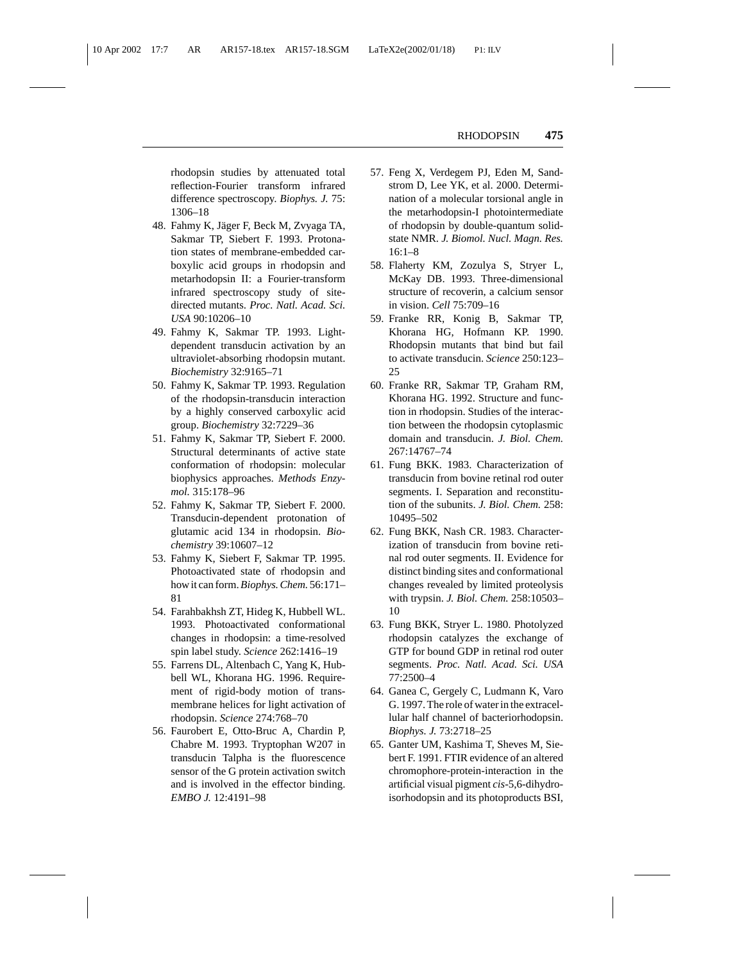rhodopsin studies by attenuated total reflection-Fourier transform infrared difference spectroscopy. *Biophys. J.* 75: 1306–18

- 48. Fahmy K, Jäger F, Beck M, Zvyaga TA, Sakmar TP, Siebert F. 1993. Protonation states of membrane-embedded carboxylic acid groups in rhodopsin and metarhodopsin II: a Fourier-transform infrared spectroscopy study of sitedirected mutants. *Proc. Natl. Acad. Sci. USA* 90:10206–10
- 49. Fahmy K, Sakmar TP. 1993. Lightdependent transducin activation by an ultraviolet-absorbing rhodopsin mutant. *Biochemistry* 32:9165–71
- 50. Fahmy K, Sakmar TP. 1993. Regulation of the rhodopsin-transducin interaction by a highly conserved carboxylic acid group. *Biochemistry* 32:7229–36
- 51. Fahmy K, Sakmar TP, Siebert F. 2000. Structural determinants of active state conformation of rhodopsin: molecular biophysics approaches. *Methods Enzymol.* 315:178–96
- 52. Fahmy K, Sakmar TP, Siebert F. 2000. Transducin-dependent protonation of glutamic acid 134 in rhodopsin. *Biochemistry* 39:10607–12
- 53. Fahmy K, Siebert F, Sakmar TP. 1995. Photoactivated state of rhodopsin and how it can form.*Biophys. Chem.* 56:171– 81
- 54. Farahbakhsh ZT, Hideg K, Hubbell WL. 1993. Photoactivated conformational changes in rhodopsin: a time-resolved spin label study. *Science* 262:1416–19
- 55. Farrens DL, Altenbach C, Yang K, Hubbell WL, Khorana HG. 1996. Requirement of rigid-body motion of transmembrane helices for light activation of rhodopsin. *Science* 274:768–70
- 56. Faurobert E, Otto-Bruc A, Chardin P, Chabre M. 1993. Tryptophan W207 in transducin Talpha is the fluorescence sensor of the G protein activation switch and is involved in the effector binding. *EMBO J.* 12:4191–98
- 57. Feng X, Verdegem PJ, Eden M, Sandstrom D, Lee YK, et al. 2000. Determination of a molecular torsional angle in the metarhodopsin-I photointermediate of rhodopsin by double-quantum solidstate NMR. *J. Biomol. Nucl. Magn. Res.* 16:1–8
- 58. Flaherty KM, Zozulya S, Stryer L, McKay DB. 1993. Three-dimensional structure of recoverin, a calcium sensor in vision. *Cell* 75:709–16
- 59. Franke RR, Konig B, Sakmar TP, Khorana HG, Hofmann KP. 1990. Rhodopsin mutants that bind but fail to activate transducin. *Science* 250:123– 25
- 60. Franke RR, Sakmar TP, Graham RM, Khorana HG. 1992. Structure and function in rhodopsin. Studies of the interaction between the rhodopsin cytoplasmic domain and transducin. *J. Biol. Chem.* 267:14767–74
- 61. Fung BKK. 1983. Characterization of transducin from bovine retinal rod outer segments. I. Separation and reconstitution of the subunits. *J. Biol. Chem.* 258: 10495–502
- 62. Fung BKK, Nash CR. 1983. Characterization of transducin from bovine retinal rod outer segments. II. Evidence for distinct binding sites and conformational changes revealed by limited proteolysis with trypsin. *J. Biol. Chem.* 258:10503– 10
- 63. Fung BKK, Stryer L. 1980. Photolyzed rhodopsin catalyzes the exchange of GTP for bound GDP in retinal rod outer segments. *Proc. Natl. Acad. Sci. USA* 77:2500–4
- 64. Ganea C, Gergely C, Ludmann K, Varo G. 1997. The role of water in the extracellular half channel of bacteriorhodopsin. *Biophys. J.* 73:2718–25
- 65. Ganter UM, Kashima T, Sheves M, Siebert F. 1991. FTIR evidence of an altered chromophore-protein-interaction in the artificial visual pigment *cis*-5,6-dihydroisorhodopsin and its photoproducts BSI,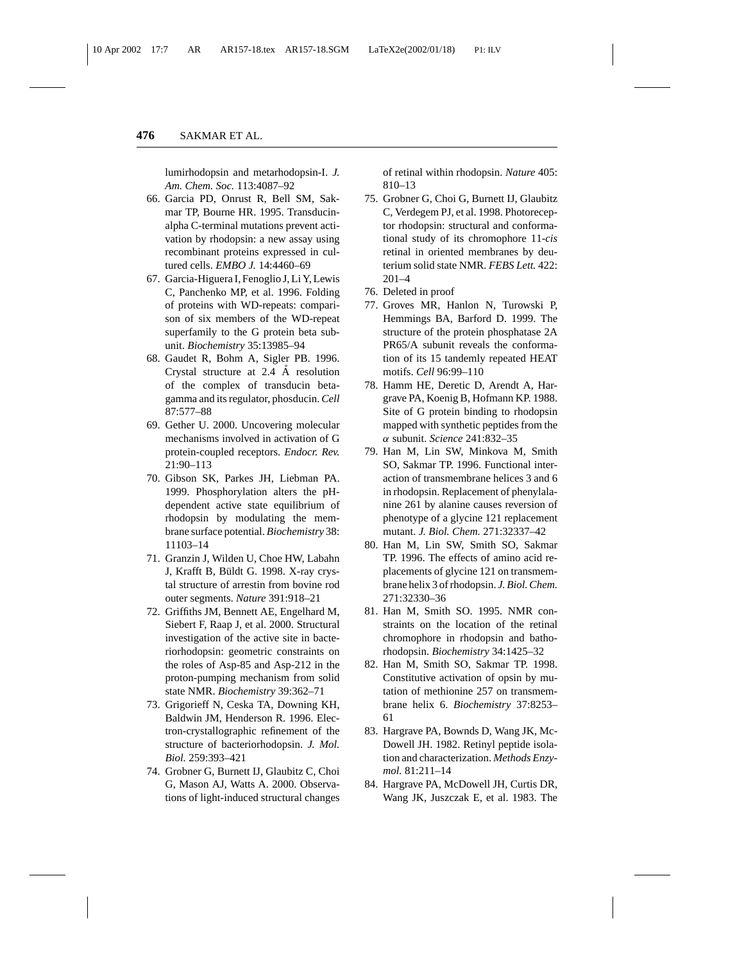lumirhodopsin and metarhodopsin-I. *J. Am. Chem. Soc.* 113:4087–92

- 66. Garcia PD, Onrust R, Bell SM, Sakmar TP, Bourne HR. 1995. Transducinalpha C-terminal mutations prevent activation by rhodopsin: a new assay using recombinant proteins expressed in cultured cells. *EMBO J.* 14:4460–69
- 67. Garcia-Higuera I, Fenoglio J, Li Y, Lewis C, Panchenko MP, et al. 1996. Folding of proteins with WD-repeats: comparison of six members of the WD-repeat superfamily to the G protein beta subunit. *Biochemistry* 35:13985–94
- 68. Gaudet R, Bohm A, Sigler PB. 1996. Crystal structure at  $2.4$  Å resolution of the complex of transducin betagamma and its regulator, phosducin. *Cell* 87:577–88
- 69. Gether U. 2000. Uncovering molecular mechanisms involved in activation of G protein-coupled receptors. *Endocr. Rev.* 21:90–113
- 70. Gibson SK, Parkes JH, Liebman PA. 1999. Phosphorylation alters the pHdependent active state equilibrium of rhodopsin by modulating the membrane surface potential. *Biochemistry* 38: 11103–14
- 71. Granzin J, Wilden U, Choe HW, Labahn J, Krafft B, Büldt G. 1998. X-ray crystal structure of arrestin from bovine rod outer segments. *Nature* 391:918–21
- 72. Griffiths JM, Bennett AE, Engelhard M, Siebert F, Raap J, et al. 2000. Structural investigation of the active site in bacteriorhodopsin: geometric constraints on the roles of Asp-85 and Asp-212 in the proton-pumping mechanism from solid state NMR. *Biochemistry* 39:362–71
- 73. Grigorieff N, Ceska TA, Downing KH, Baldwin JM, Henderson R. 1996. Electron-crystallographic refinement of the structure of bacteriorhodopsin. *J. Mol. Biol.* 259:393–421
- 74. Grobner G, Burnett IJ, Glaubitz C, Choi G, Mason AJ, Watts A. 2000. Observations of light-induced structural changes

of retinal within rhodopsin. *Nature* 405: 810–13

- 75. Grobner G, Choi G, Burnett IJ, Glaubitz C, Verdegem PJ, et al. 1998. Photoreceptor rhodopsin: structural and conformational study of its chromophore 11-*cis* retinal in oriented membranes by deuterium solid state NMR. *FEBS Lett.* 422: 201–4
- 76. Deleted in proof
- 77. Groves MR, Hanlon N, Turowski P, Hemmings BA, Barford D. 1999. The structure of the protein phosphatase 2A PR65/A subunit reveals the conformation of its 15 tandemly repeated HEAT motifs. *Cell* 96:99–110
- 78. Hamm HE, Deretic D, Arendt A, Hargrave PA, Koenig B, Hofmann KP. 1988. Site of G protein binding to rhodopsin mapped with synthetic peptides from the α subunit. *Science* 241:832–35
- 79. Han M, Lin SW, Minkova M, Smith SO, Sakmar TP. 1996. Functional interaction of transmembrane helices 3 and 6 in rhodopsin. Replacement of phenylalanine 261 by alanine causes reversion of phenotype of a glycine 121 replacement mutant. *J. Biol. Chem.* 271:32337–42
- 80. Han M, Lin SW, Smith SO, Sakmar TP. 1996. The effects of amino acid replacements of glycine 121 on transmembrane helix 3 of rhodopsin. *J. Biol. Chem.* 271:32330–36
- 81. Han M, Smith SO. 1995. NMR constraints on the location of the retinal chromophore in rhodopsin and bathorhodopsin. *Biochemistry* 34:1425–32
- 82. Han M, Smith SO, Sakmar TP. 1998. Constitutive activation of opsin by mutation of methionine 257 on transmembrane helix 6. *Biochemistry* 37:8253– 61
- 83. Hargrave PA, Bownds D, Wang JK, Mc-Dowell JH. 1982. Retinyl peptide isolation and characterization. *Methods Enzymol.* 81:211–14
- 84. Hargrave PA, McDowell JH, Curtis DR, Wang JK, Juszczak E, et al. 1983. The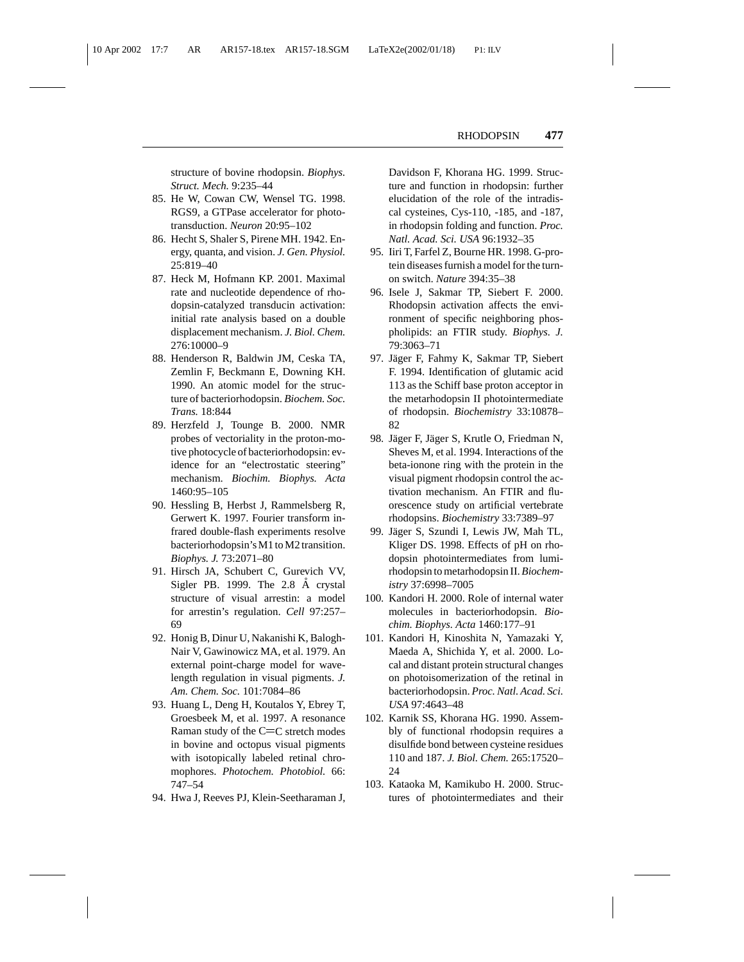structure of bovine rhodopsin. *Biophys. Struct. Mech.* 9:235–44

- 85. He W, Cowan CW, Wensel TG. 1998. RGS9, a GTPase accelerator for phototransduction. *Neuron* 20:95–102
- 86. Hecht S, Shaler S, Pirene MH. 1942. Energy, quanta, and vision. *J. Gen. Physiol.* 25:819–40
- 87. Heck M, Hofmann KP. 2001. Maximal rate and nucleotide dependence of rhodopsin-catalyzed transducin activation: initial rate analysis based on a double displacement mechanism. *J. Biol. Chem.* 276:10000–9
- 88. Henderson R, Baldwin JM, Ceska TA, Zemlin F, Beckmann E, Downing KH. 1990. An atomic model for the structure of bacteriorhodopsin. *Biochem. Soc. Trans.* 18:844
- 89. Herzfeld J, Tounge B. 2000. NMR probes of vectoriality in the proton-motive photocycle of bacteriorhodopsin: evidence for an "electrostatic steering" mechanism. *Biochim. Biophys. Acta* 1460:95–105
- 90. Hessling B, Herbst J, Rammelsberg R, Gerwert K. 1997. Fourier transform infrared double-flash experiments resolve bacteriorhodopsin's M1 to M2 transition. *Biophys. J.* 73:2071–80
- 91. Hirsch JA, Schubert C, Gurevich VV, Sigler PB. 1999. The 2.8 Å crystal structure of visual arrestin: a model for arrestin's regulation. *Cell* 97:257– 69
- 92. Honig B, Dinur U, Nakanishi K, Balogh-Nair V, Gawinowicz MA, et al. 1979. An external point-charge model for wavelength regulation in visual pigments. *J. Am. Chem. Soc.* 101:7084–86
- 93. Huang L, Deng H, Koutalos Y, Ebrey T, Groesbeek M, et al. 1997. A resonance Raman study of the  $C = C$  stretch modes in bovine and octopus visual pigments with isotopically labeled retinal chromophores. *Photochem. Photobiol.* 66: 747–54
- 94. Hwa J, Reeves PJ, Klein-Seetharaman J,

Davidson F, Khorana HG. 1999. Structure and function in rhodopsin: further elucidation of the role of the intradiscal cysteines, Cys-110, -185, and -187, in rhodopsin folding and function. *Proc. Natl. Acad. Sci. USA* 96:1932–35

- 95. Iiri T, Farfel Z, Bourne HR. 1998. G-protein diseases furnish a model for the turnon switch. *Nature* 394:35–38
- 96. Isele J, Sakmar TP, Siebert F. 2000. Rhodopsin activation affects the environment of specific neighboring phospholipids: an FTIR study. *Biophys. J.* 79:3063–71
- 97. Jäger F, Fahmy K, Sakmar TP, Siebert F. 1994. Identification of glutamic acid 113 as the Schiff base proton acceptor in the metarhodopsin II photointermediate of rhodopsin. *Biochemistry* 33:10878– 82
- 98. Jäger F, Jäger S, Krutle O, Friedman N, Sheves M, et al. 1994. Interactions of the beta-ionone ring with the protein in the visual pigment rhodopsin control the activation mechanism. An FTIR and fluorescence study on artificial vertebrate rhodopsins. *Biochemistry* 33:7389–97
- 99. Jäger S, Szundi I, Lewis JW, Mah TL, Kliger DS. 1998. Effects of pH on rhodopsin photointermediates from lumirhodopsin to metarhodopsin II.*Biochemistry* 37:6998–7005
- 100. Kandori H. 2000. Role of internal water molecules in bacteriorhodopsin. *Biochim. Biophys. Acta* 1460:177–91
- 101. Kandori H, Kinoshita N, Yamazaki Y, Maeda A, Shichida Y, et al. 2000. Local and distant protein structural changes on photoisomerization of the retinal in bacteriorhodopsin. *Proc. Natl. Acad. Sci. USA* 97:4643–48
- 102. Karnik SS, Khorana HG. 1990. Assembly of functional rhodopsin requires a disulfide bond between cysteine residues 110 and 187. *J. Biol. Chem.* 265:17520–  $24$
- 103. Kataoka M, Kamikubo H. 2000. Structures of photointermediates and their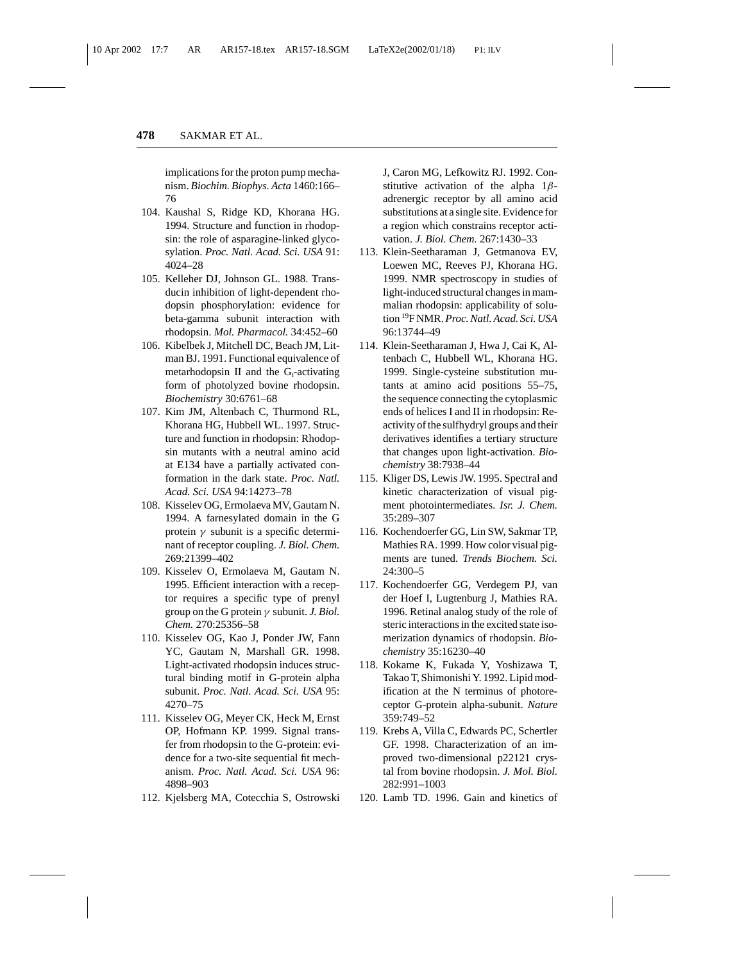implications for the proton pump mechanism. *Biochim. Biophys. Acta* 1460:166– 76

- 104. Kaushal S, Ridge KD, Khorana HG. 1994. Structure and function in rhodopsin: the role of asparagine-linked glycosylation. *Proc. Natl. Acad. Sci. USA* 91: 4024–28
- 105. Kelleher DJ, Johnson GL. 1988. Transducin inhibition of light-dependent rhodopsin phosphorylation: evidence for beta-gamma subunit interaction with rhodopsin. *Mol. Pharmacol.* 34:452–60
- 106. Kibelbek J, Mitchell DC, Beach JM, Litman BJ. 1991. Functional equivalence of metarhodopsin II and the  $G_t$ -activating form of photolyzed bovine rhodopsin. *Biochemistry* 30:6761–68
- 107. Kim JM, Altenbach C, Thurmond RL, Khorana HG, Hubbell WL. 1997. Structure and function in rhodopsin: Rhodopsin mutants with a neutral amino acid at E134 have a partially activated conformation in the dark state. *Proc. Natl. Acad. Sci. USA* 94:14273–78
- 108. Kisselev OG, Ermolaeva MV, Gautam N. 1994. A farnesylated domain in the G protein  $\gamma$  subunit is a specific determinant of receptor coupling. *J. Biol. Chem.* 269:21399–402
- 109. Kisselev O, Ermolaeva M, Gautam N. 1995. Efficient interaction with a receptor requires a specific type of prenyl group on the G protein γ subunit. *J. Biol. Chem.* 270:25356–58
- 110. Kisselev OG, Kao J, Ponder JW, Fann YC, Gautam N, Marshall GR. 1998. Light-activated rhodopsin induces structural binding motif in G-protein alpha subunit. *Proc. Natl. Acad. Sci. USA* 95: 4270–75
- 111. Kisselev OG, Meyer CK, Heck M, Ernst OP, Hofmann KP. 1999. Signal transfer from rhodopsin to the G-protein: evidence for a two-site sequential fit mechanism. *Proc. Natl. Acad. Sci. USA* 96: 4898–903
- 112. Kjelsberg MA, Cotecchia S, Ostrowski

J, Caron MG, Lefkowitz RJ. 1992. Constitutive activation of the alpha  $1\beta$ adrenergic receptor by all amino acid substitutions at a single site. Evidence for a region which constrains receptor activation. *J. Biol. Chem.* 267:1430–33

- 113. Klein-Seetharaman J, Getmanova EV, Loewen MC, Reeves PJ, Khorana HG. 1999. NMR spectroscopy in studies of light-induced structural changes in mammalian rhodopsin: applicability of solution 19F NMR.*Proc. Natl. Acad. Sci. USA* 96:13744–49
- 114. Klein-Seetharaman J, Hwa J, Cai K, Altenbach C, Hubbell WL, Khorana HG. 1999. Single-cysteine substitution mutants at amino acid positions 55–75, the sequence connecting the cytoplasmic ends of helices I and II in rhodopsin: Reactivity of the sulfhydryl groups and their derivatives identifies a tertiary structure that changes upon light-activation. *Biochemistry* 38:7938–44
- 115. Kliger DS, Lewis JW. 1995. Spectral and kinetic characterization of visual pigment photointermediates. *Isr. J. Chem.* 35:289–307
- 116. Kochendoerfer GG, Lin SW, Sakmar TP, Mathies RA. 1999. How color visual pigments are tuned. *Trends Biochem. Sci.* 24:300–5
- 117. Kochendoerfer GG, Verdegem PJ, van der Hoef I, Lugtenburg J, Mathies RA. 1996. Retinal analog study of the role of steric interactions in the excited state isomerization dynamics of rhodopsin. *Biochemistry* 35:16230–40
- 118. Kokame K, Fukada Y, Yoshizawa T, Takao T, Shimonishi Y. 1992. Lipid modification at the N terminus of photoreceptor G-protein alpha-subunit. *Nature* 359:749–52
- 119. Krebs A, Villa C, Edwards PC, Schertler GF. 1998. Characterization of an improved two-dimensional p22121 crystal from bovine rhodopsin. *J. Mol. Biol.* 282:991–1003
- 120. Lamb TD. 1996. Gain and kinetics of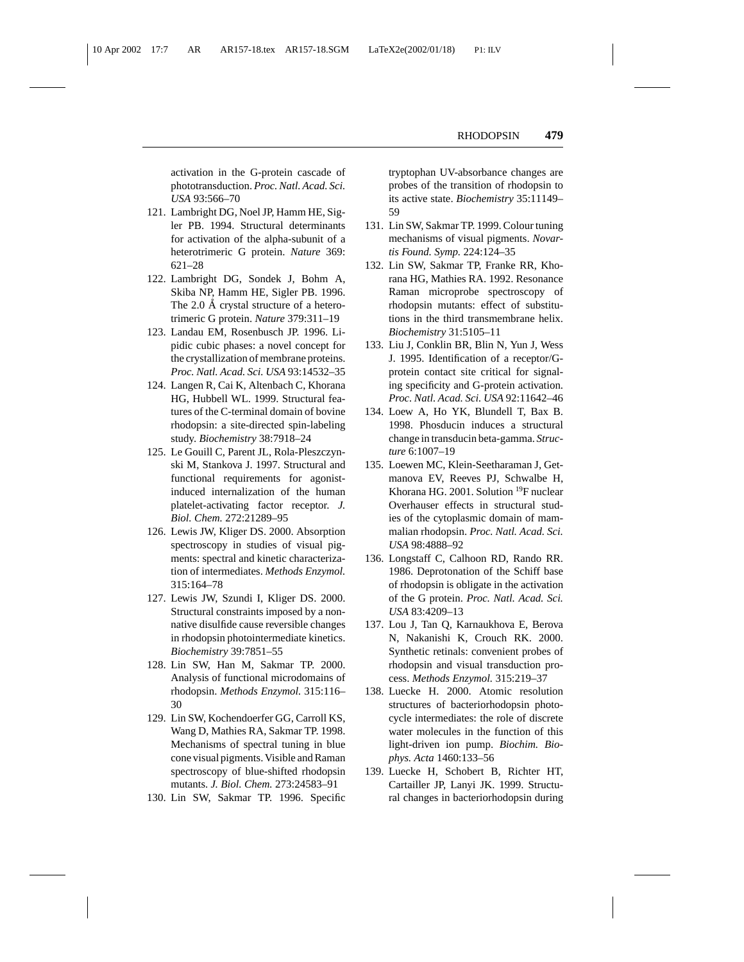activation in the G-protein cascade of phototransduction. *Proc. Natl. Acad. Sci. USA* 93:566–70

- 121. Lambright DG, Noel JP, Hamm HE, Sigler PB. 1994. Structural determinants for activation of the alpha-subunit of a heterotrimeric G protein. *Nature* 369: 621–28
- 122. Lambright DG, Sondek J, Bohm A, Skiba NP, Hamm HE, Sigler PB. 1996. The 2.0 Å crystal structure of a heterotrimeric G protein. *Nature* 379:311–19
- 123. Landau EM, Rosenbusch JP. 1996. Lipidic cubic phases: a novel concept for the crystallization of membrane proteins. *Proc. Natl. Acad. Sci. USA* 93:14532–35
- 124. Langen R, Cai K, Altenbach C, Khorana HG, Hubbell WL. 1999. Structural features of the C-terminal domain of bovine rhodopsin: a site-directed spin-labeling study. *Biochemistry* 38:7918–24
- 125. Le Gouill C, Parent JL, Rola-Pleszczynski M, Stankova J. 1997. Structural and functional requirements for agonistinduced internalization of the human platelet-activating factor receptor. *J. Biol. Chem.* 272:21289–95
- 126. Lewis JW, Kliger DS. 2000. Absorption spectroscopy in studies of visual pigments: spectral and kinetic characterization of intermediates. *Methods Enzymol.* 315:164–78
- 127. Lewis JW, Szundi I, Kliger DS. 2000. Structural constraints imposed by a nonnative disulfide cause reversible changes in rhodopsin photointermediate kinetics. *Biochemistry* 39:7851–55
- 128. Lin SW, Han M, Sakmar TP. 2000. Analysis of functional microdomains of rhodopsin. *Methods Enzymol.* 315:116– 30
- 129. Lin SW, Kochendoerfer GG, Carroll KS, Wang D, Mathies RA, Sakmar TP. 1998. Mechanisms of spectral tuning in blue cone visual pigments. Visible and Raman spectroscopy of blue-shifted rhodopsin mutants. *J. Biol. Chem.* 273:24583–91
- 130. Lin SW, Sakmar TP. 1996. Specific

tryptophan UV-absorbance changes are probes of the transition of rhodopsin to its active state. *Biochemistry* 35:11149– 59

- 131. Lin SW, Sakmar TP. 1999. Colour tuning mechanisms of visual pigments. *Novartis Found. Symp.* 224:124–35
- 132. Lin SW, Sakmar TP, Franke RR, Khorana HG, Mathies RA. 1992. Resonance Raman microprobe spectroscopy of rhodopsin mutants: effect of substitutions in the third transmembrane helix. *Biochemistry* 31:5105–11
- 133. Liu J, Conklin BR, Blin N, Yun J, Wess J. 1995. Identification of a receptor/Gprotein contact site critical for signaling specificity and G-protein activation. *Proc. Natl. Acad. Sci. USA* 92:11642–46
- 134. Loew A, Ho YK, Blundell T, Bax B. 1998. Phosducin induces a structural change in transducin beta-gamma. *Structure* 6:1007–19
- 135. Loewen MC, Klein-Seetharaman J, Getmanova EV, Reeves PJ, Schwalbe H, Khorana HG. 2001. Solution 19F nuclear Overhauser effects in structural studies of the cytoplasmic domain of mammalian rhodopsin. *Proc. Natl. Acad. Sci. USA* 98:4888–92
- 136. Longstaff C, Calhoon RD, Rando RR. 1986. Deprotonation of the Schiff base of rhodopsin is obligate in the activation of the G protein. *Proc. Natl. Acad. Sci. USA* 83:4209–13
- 137. Lou J, Tan Q, Karnaukhova E, Berova N, Nakanishi K, Crouch RK. 2000. Synthetic retinals: convenient probes of rhodopsin and visual transduction process. *Methods Enzymol.* 315:219–37
- 138. Luecke H. 2000. Atomic resolution structures of bacteriorhodopsin photocycle intermediates: the role of discrete water molecules in the function of this light-driven ion pump. *Biochim. Biophys. Acta* 1460:133–56
- 139. Luecke H, Schobert B, Richter HT, Cartailler JP, Lanyi JK. 1999. Structural changes in bacteriorhodopsin during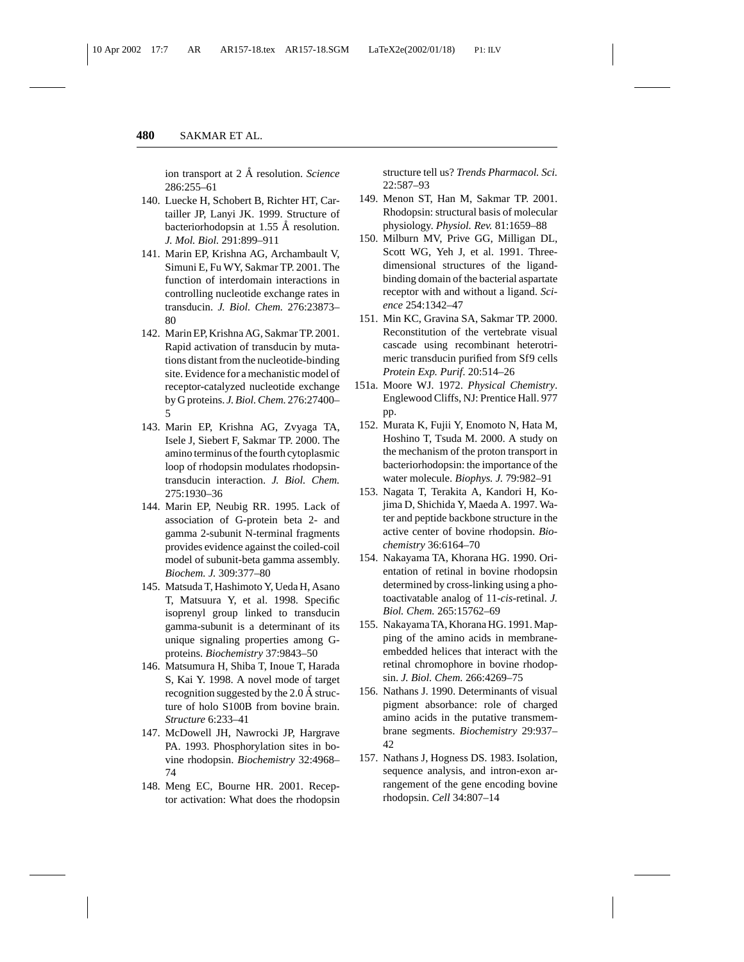ion transport at 2 Å resolution. Science 286:255–61

- 140. Luecke H, Schobert B, Richter HT, Cartailler JP, Lanyi JK. 1999. Structure of bacteriorhodopsin at  $1.55$  Å resolution. *J. Mol. Biol.* 291:899–911
- 141. Marin EP, Krishna AG, Archambault V, Simuni E, Fu WY, Sakmar TP. 2001. The function of interdomain interactions in controlling nucleotide exchange rates in transducin. *J. Biol. Chem.* 276:23873– 80
- 142. Marin EP, Krishna AG, Sakmar TP. 2001. Rapid activation of transducin by mutations distant from the nucleotide-binding site. Evidence for a mechanistic model of receptor-catalyzed nucleotide exchange by G proteins. *J. Biol. Chem.* 276:27400– 5
- 143. Marin EP, Krishna AG, Zvyaga TA, Isele J, Siebert F, Sakmar TP. 2000. The amino terminus of the fourth cytoplasmic loop of rhodopsin modulates rhodopsintransducin interaction. *J. Biol. Chem.* 275:1930–36
- 144. Marin EP, Neubig RR. 1995. Lack of association of G-protein beta 2- and gamma 2-subunit N-terminal fragments provides evidence against the coiled-coil model of subunit-beta gamma assembly. *Biochem. J.* 309:377–80
- 145. Matsuda T, Hashimoto Y, Ueda H, Asano T, Matsuura Y, et al. 1998. Specific isoprenyl group linked to transducin gamma-subunit is a determinant of its unique signaling properties among Gproteins. *Biochemistry* 37:9843–50
- 146. Matsumura H, Shiba T, Inoue T, Harada S, Kai Y. 1998. A novel mode of target recognition suggested by the  $2.0 \text{ Å}$  structure of holo S100B from bovine brain. *Structure* 6:233–41
- 147. McDowell JH, Nawrocki JP, Hargrave PA. 1993. Phosphorylation sites in bovine rhodopsin. *Biochemistry* 32:4968– 74
- 148. Meng EC, Bourne HR. 2001. Receptor activation: What does the rhodopsin

structure tell us? *Trends Pharmacol. Sci.* 22:587–93

- 149. Menon ST, Han M, Sakmar TP. 2001. Rhodopsin: structural basis of molecular physiology. *Physiol. Rev.* 81:1659–88
- 150. Milburn MV, Prive GG, Milligan DL, Scott WG, Yeh J, et al. 1991. Threedimensional structures of the ligandbinding domain of the bacterial aspartate receptor with and without a ligand. *Science* 254:1342–47
- 151. Min KC, Gravina SA, Sakmar TP. 2000. Reconstitution of the vertebrate visual cascade using recombinant heterotrimeric transducin purified from Sf9 cells *Protein Exp. Purif*. 20:514–26
- 151a. Moore WJ. 1972. *Physical Chemistry*. Englewood Cliffs, NJ: Prentice Hall. 977 pp.
- 152. Murata K, Fujii Y, Enomoto N, Hata M, Hoshino T, Tsuda M. 2000. A study on the mechanism of the proton transport in bacteriorhodopsin: the importance of the water molecule. *Biophys. J.* 79:982–91
- 153. Nagata T, Terakita A, Kandori H, Kojima D, Shichida Y, Maeda A. 1997. Water and peptide backbone structure in the active center of bovine rhodopsin. *Biochemistry* 36:6164–70
- 154. Nakayama TA, Khorana HG. 1990. Orientation of retinal in bovine rhodopsin determined by cross-linking using a photoactivatable analog of 11-*cis*-retinal. *J. Biol. Chem.* 265:15762–69
- 155. Nakayama TA, Khorana HG. 1991. Mapping of the amino acids in membraneembedded helices that interact with the retinal chromophore in bovine rhodopsin. *J. Biol. Chem.* 266:4269–75
- 156. Nathans J. 1990. Determinants of visual pigment absorbance: role of charged amino acids in the putative transmembrane segments. *Biochemistry* 29:937– 42
- 157. Nathans J, Hogness DS. 1983. Isolation, sequence analysis, and intron-exon arrangement of the gene encoding bovine rhodopsin. *Cell* 34:807–14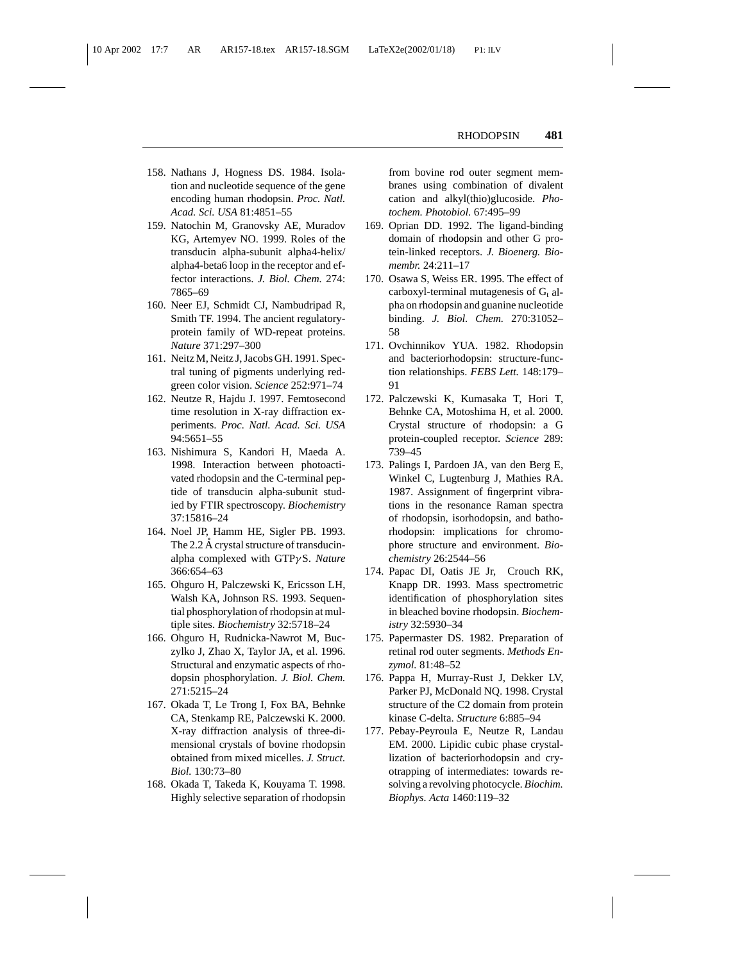- 158. Nathans J, Hogness DS. 1984. Isolation and nucleotide sequence of the gene encoding human rhodopsin. *Proc. Natl. Acad. Sci. USA* 81:4851–55
- 159. Natochin M, Granovsky AE, Muradov KG, Artemyev NO. 1999. Roles of the transducin alpha-subunit alpha4-helix/ alpha4-beta6 loop in the receptor and effector interactions. *J. Biol. Chem.* 274: 7865–69
- 160. Neer EJ, Schmidt CJ, Nambudripad R, Smith TF. 1994. The ancient regulatoryprotein family of WD-repeat proteins. *Nature* 371:297–300
- 161. Neitz M, Neitz J, Jacobs GH. 1991. Spectral tuning of pigments underlying redgreen color vision. *Science* 252:971–74
- 162. Neutze R, Hajdu J. 1997. Femtosecond time resolution in X-ray diffraction experiments. *Proc. Natl. Acad. Sci. USA* 94:5651–55
- 163. Nishimura S, Kandori H, Maeda A. 1998. Interaction between photoactivated rhodopsin and the C-terminal peptide of transducin alpha-subunit studied by FTIR spectroscopy. *Biochemistry* 37:15816–24
- 164. Noel JP, Hamm HE, Sigler PB. 1993. The  $2.2 \text{ Å}$  crystal structure of transducinalpha complexed with GTPγ S. *Nature* 366:654–63
- 165. Ohguro H, Palczewski K, Ericsson LH, Walsh KA, Johnson RS. 1993. Sequential phosphorylation of rhodopsin at multiple sites. *Biochemistry* 32:5718–24
- 166. Ohguro H, Rudnicka-Nawrot M, Buczylko J, Zhao X, Taylor JA, et al. 1996. Structural and enzymatic aspects of rhodopsin phosphorylation. *J. Biol. Chem.* 271:5215–24
- 167. Okada T, Le Trong I, Fox BA, Behnke CA, Stenkamp RE, Palczewski K. 2000. X-ray diffraction analysis of three-dimensional crystals of bovine rhodopsin obtained from mixed micelles. *J. Struct. Biol.* 130:73–80
- 168. Okada T, Takeda K, Kouyama T. 1998. Highly selective separation of rhodopsin

from bovine rod outer segment membranes using combination of divalent cation and alkyl(thio)glucoside. *Photochem. Photobiol.* 67:495–99

- 169. Oprian DD. 1992. The ligand-binding domain of rhodopsin and other G protein-linked receptors. *J. Bioenerg. Biomembr.* 24:211–17
- 170. Osawa S, Weiss ER. 1995. The effect of carboxyl-terminal mutagenesis of  $G_t$  alpha on rhodopsin and guanine nucleotide binding. *J. Biol. Chem.* 270:31052– 58
- 171. Ovchinnikov YUA. 1982. Rhodopsin and bacteriorhodopsin: structure-function relationships. *FEBS Lett.* 148:179– 91
- 172. Palczewski K, Kumasaka T, Hori T, Behnke CA, Motoshima H, et al. 2000. Crystal structure of rhodopsin: a G protein-coupled receptor. *Science* 289: 739–45
- 173. Palings I, Pardoen JA, van den Berg E, Winkel C, Lugtenburg J, Mathies RA. 1987. Assignment of fingerprint vibrations in the resonance Raman spectra of rhodopsin, isorhodopsin, and bathorhodopsin: implications for chromophore structure and environment. *Biochemistry* 26:2544–56
- 174. Papac DI, Oatis JE Jr, Crouch RK, Knapp DR. 1993. Mass spectrometric identification of phosphorylation sites in bleached bovine rhodopsin. *Biochemistry* 32:5930–34
- 175. Papermaster DS. 1982. Preparation of retinal rod outer segments. *Methods Enzymol.* 81:48–52
- 176. Pappa H, Murray-Rust J, Dekker LV, Parker PJ, McDonald NQ. 1998. Crystal structure of the C2 domain from protein kinase C-delta. *Structure* 6:885–94
- 177. Pebay-Peyroula E, Neutze R, Landau EM. 2000. Lipidic cubic phase crystallization of bacteriorhodopsin and cryotrapping of intermediates: towards resolving a revolving photocycle. *Biochim. Biophys. Acta* 1460:119–32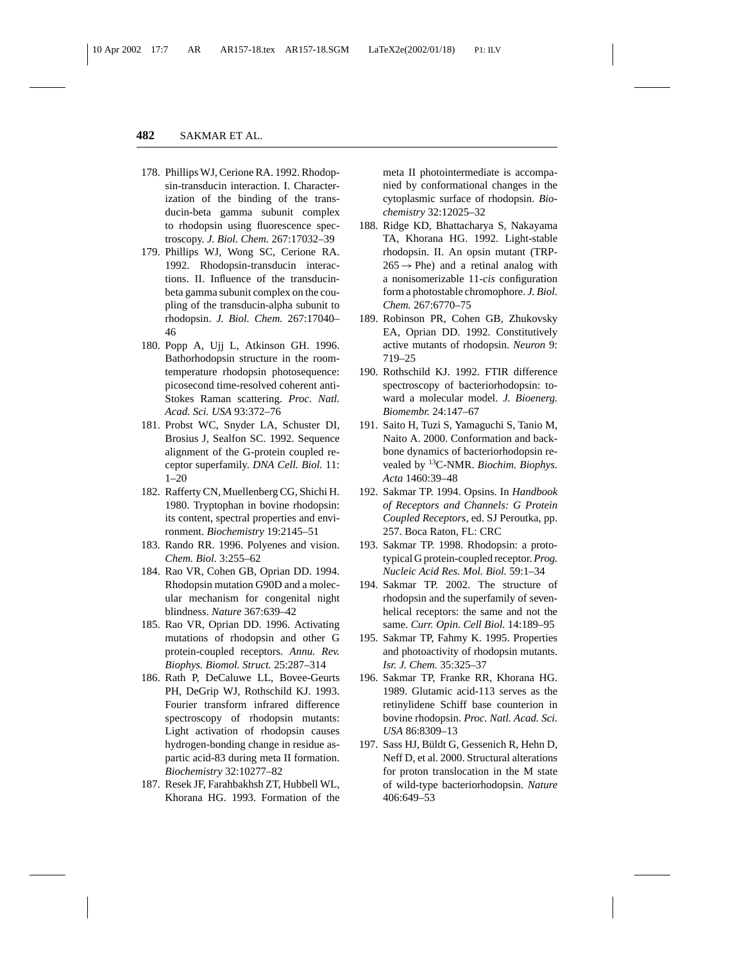- 178. Phillips WJ, Cerione RA. 1992. Rhodopsin-transducin interaction. I. Characterization of the binding of the transducin-beta gamma subunit complex to rhodopsin using fluorescence spectroscopy. *J. Biol. Chem.* 267:17032–39
- 179. Phillips WJ, Wong SC, Cerione RA. 1992. Rhodopsin-transducin interactions. II. Influence of the transducinbeta gamma subunit complex on the coupling of the transducin-alpha subunit to rhodopsin. *J. Biol. Chem.* 267:17040– 46
- 180. Popp A, Ujj L, Atkinson GH. 1996. Bathorhodopsin structure in the roomtemperature rhodopsin photosequence: picosecond time-resolved coherent anti-Stokes Raman scattering. *Proc. Natl. Acad. Sci. USA* 93:372–76
- 181. Probst WC, Snyder LA, Schuster DI, Brosius J, Sealfon SC. 1992. Sequence alignment of the G-protein coupled receptor superfamily. *DNA Cell. Biol.* 11: 1–20
- 182. Rafferty CN, Muellenberg CG, Shichi H. 1980. Tryptophan in bovine rhodopsin: its content, spectral properties and environment. *Biochemistry* 19:2145–51
- 183. Rando RR. 1996. Polyenes and vision. *Chem. Biol.* 3:255–62
- 184. Rao VR, Cohen GB, Oprian DD. 1994. Rhodopsin mutation G90D and a molecular mechanism for congenital night blindness. *Nature* 367:639–42
- 185. Rao VR, Oprian DD. 1996. Activating mutations of rhodopsin and other G protein-coupled receptors. *Annu. Rev. Biophys. Biomol. Struct.* 25:287–314
- 186. Rath P, DeCaluwe LL, Bovee-Geurts PH, DeGrip WJ, Rothschild KJ. 1993. Fourier transform infrared difference spectroscopy of rhodopsin mutants: Light activation of rhodopsin causes hydrogen-bonding change in residue aspartic acid-83 during meta II formation. *Biochemistry* 32:10277–82
- 187. Resek JF, Farahbakhsh ZT, Hubbell WL, Khorana HG. 1993. Formation of the

meta II photointermediate is accompanied by conformational changes in the cytoplasmic surface of rhodopsin. *Biochemistry* 32:12025–32

- 188. Ridge KD, Bhattacharya S, Nakayama TA, Khorana HG. 1992. Light-stable rhodopsin. II. An opsin mutant (TRP- $265 \rightarrow$  Phe) and a retinal analog with a nonisomerizable 11-*cis* configuration form a photostable chromophore. *J. Biol. Chem.* 267:6770–75
- 189. Robinson PR, Cohen GB, Zhukovsky EA, Oprian DD. 1992. Constitutively active mutants of rhodopsin. *Neuron* 9: 719–25
- 190. Rothschild KJ. 1992. FTIR difference spectroscopy of bacteriorhodopsin: toward a molecular model. *J. Bioenerg. Biomembr.* 24:147–67
- 191. Saito H, Tuzi S, Yamaguchi S, Tanio M, Naito A. 2000. Conformation and backbone dynamics of bacteriorhodopsin revealed by 13C-NMR. *Biochim. Biophys. Acta* 1460:39–48
- 192. Sakmar TP. 1994. Opsins. In *Handbook of Receptors and Channels: G Protein Coupled Receptors*, ed. SJ Peroutka, pp. 257. Boca Raton, FL: CRC
- 193. Sakmar TP. 1998. Rhodopsin: a prototypical G protein-coupled receptor.*Prog. Nucleic Acid Res. Mol. Biol.* 59:1–34
- 194. Sakmar TP. 2002. The structure of rhodopsin and the superfamily of sevenhelical receptors: the same and not the same. *Curr. Opin. Cell Biol.* 14:189–95
- 195. Sakmar TP, Fahmy K. 1995. Properties and photoactivity of rhodopsin mutants. *Isr. J. Chem.* 35:325–37
- 196. Sakmar TP, Franke RR, Khorana HG. 1989. Glutamic acid-113 serves as the retinylidene Schiff base counterion in bovine rhodopsin. *Proc. Natl. Acad. Sci. USA* 86:8309–13
- 197. Sass HJ, Büldt G, Gessenich R, Hehn D, Neff D, et al. 2000. Structural alterations for proton translocation in the M state of wild-type bacteriorhodopsin. *Nature* 406:649–53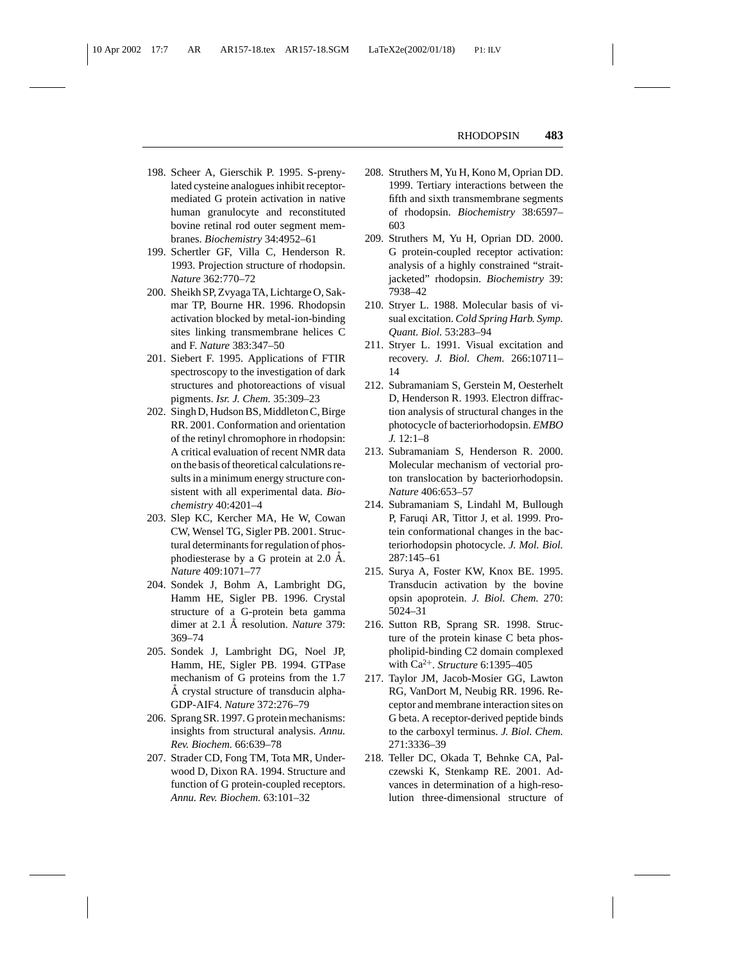- 198. Scheer A, Gierschik P. 1995. S-prenylated cysteine analogues inhibit receptormediated G protein activation in native human granulocyte and reconstituted bovine retinal rod outer segment membranes. *Biochemistry* 34:4952–61
- 199. Schertler GF, Villa C, Henderson R. 1993. Projection structure of rhodopsin. *Nature* 362:770–72
- 200. Sheikh SP, Zvyaga TA, Lichtarge O, Sakmar TP, Bourne HR. 1996. Rhodopsin activation blocked by metal-ion-binding sites linking transmembrane helices C and F. *Nature* 383:347–50
- 201. Siebert F. 1995. Applications of FTIR spectroscopy to the investigation of dark structures and photoreactions of visual pigments. *Isr. J. Chem.* 35:309–23
- 202. Singh D, Hudson BS, Middleton C, Birge RR. 2001. Conformation and orientation of the retinyl chromophore in rhodopsin: A critical evaluation of recent NMR data on the basis of theoretical calculations results in a minimum energy structure consistent with all experimental data. *Biochemistry* 40:4201–4
- 203. Slep KC, Kercher MA, He W, Cowan CW, Wensel TG, Sigler PB. 2001. Structural determinants for regulation of phosphodiesterase by a G protein at  $2.0 \text{ Å}.$ *Nature* 409:1071–77
- 204. Sondek J, Bohm A, Lambright DG, Hamm HE, Sigler PB. 1996. Crystal structure of a G-protein beta gamma dimer at 2.1 Å resolution. *Nature* 379: 369–74
- 205. Sondek J, Lambright DG, Noel JP, Hamm, HE, Sigler PB. 1994. GTPase mechanism of G proteins from the 1.7 A crystal structure of transducin alpha-GDP-AIF4. *Nature* 372:276–79
- 206. Sprang SR. 1997. G protein mechanisms: insights from structural analysis. *Annu. Rev. Biochem.* 66:639–78
- 207. Strader CD, Fong TM, Tota MR, Underwood D, Dixon RA. 1994. Structure and function of G protein-coupled receptors. *Annu. Rev. Biochem.* 63:101–32
- 208. Struthers M, Yu H, Kono M, Oprian DD. 1999. Tertiary interactions between the fifth and sixth transmembrane segments of rhodopsin. *Biochemistry* 38:6597– 603
- 209. Struthers M, Yu H, Oprian DD. 2000. G protein-coupled receptor activation: analysis of a highly constrained "straitjacketed" rhodopsin. *Biochemistry* 39: 7938–42
- 210. Stryer L. 1988. Molecular basis of visual excitation. *Cold Spring Harb. Symp. Quant. Biol.* 53:283–94
- 211. Stryer L. 1991. Visual excitation and recovery. *J. Biol. Chem.* 266:10711– 14
- 212. Subramaniam S, Gerstein M, Oesterhelt D, Henderson R. 1993. Electron diffraction analysis of structural changes in the photocycle of bacteriorhodopsin. *EMBO J.* 12:1–8
- 213. Subramaniam S, Henderson R. 2000. Molecular mechanism of vectorial proton translocation by bacteriorhodopsin. *Nature* 406:653–57
- 214. Subramaniam S, Lindahl M, Bullough P, Faruqi AR, Tittor J, et al. 1999. Protein conformational changes in the bacteriorhodopsin photocycle. *J. Mol. Biol.* 287:145–61
- 215. Surya A, Foster KW, Knox BE. 1995. Transducin activation by the bovine opsin apoprotein. *J. Biol. Chem.* 270: 5024–31
- 216. Sutton RB, Sprang SR. 1998. Structure of the protein kinase C beta phospholipid-binding C2 domain complexed with Ca2+. *Structure* 6:1395–405
- 217. Taylor JM, Jacob-Mosier GG, Lawton RG, VanDort M, Neubig RR. 1996. Receptor and membrane interaction sites on G beta. A receptor-derived peptide binds to the carboxyl terminus. *J. Biol. Chem.* 271:3336–39
- 218. Teller DC, Okada T, Behnke CA, Palczewski K, Stenkamp RE. 2001. Advances in determination of a high-resolution three-dimensional structure of